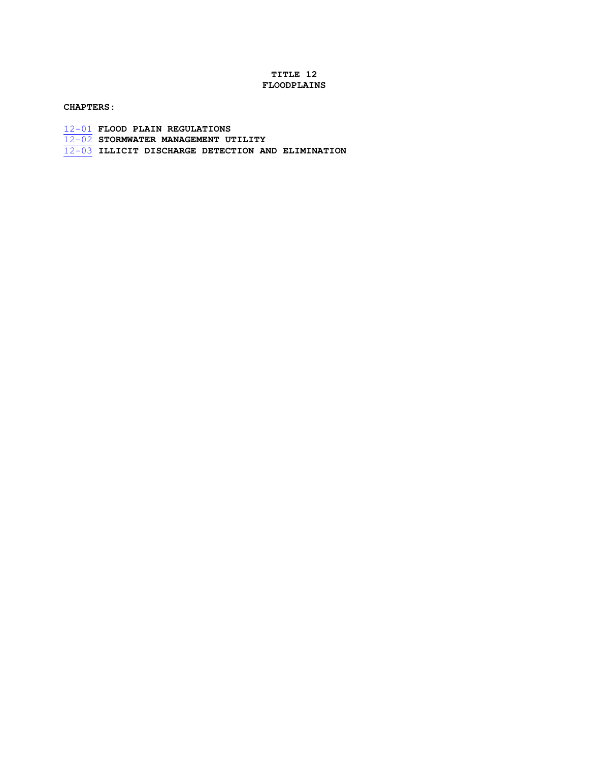# **TITLE 12 FLOODPLAINS**

# **CHAPTERS:**

- 12-01 **FLOOD PLAIN REGULATIONS**
- 12-02 **STORMWATER MANAGEMENT UTILITY**
- 12-03 **ILLICIT DISCHARGE DETECTION AND ELIMINATION**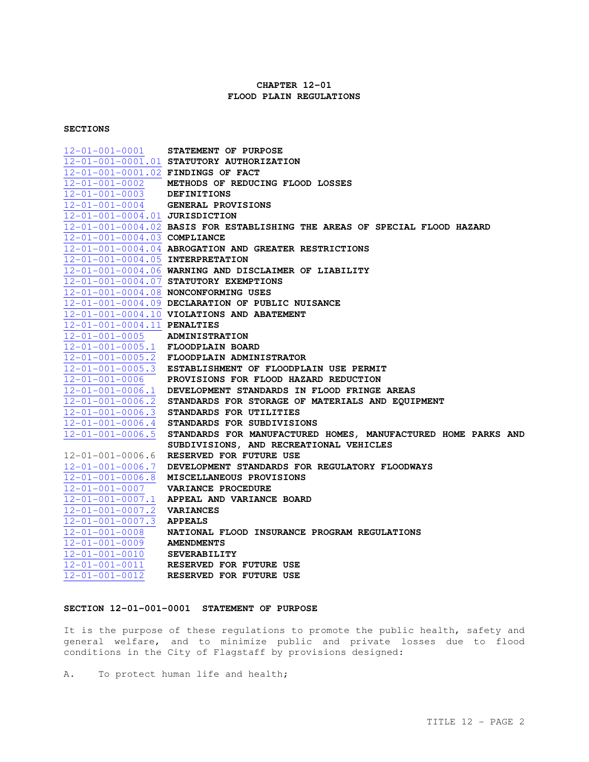### **CHAPTER 12-01 FLOOD PLAIN REGULATIONS**

#### **SECTIONS**

12-01-001-0001 **STATEMENT OF PURPOSE**  12-01-001-0001**.**01 **STATUTORY AUTHORIZATION**  12-01-001-0001**.**02 **FINDINGS OF FACT**  12-01-001-0002 **METHODS OF REDUCING FLOOD LOSSES**  12-01-001-0003 **DEFINITIONS**  12-01-001-0004 **GENERAL PROVISIONS**  12-01-001-0004.01 **JURISDICTION**  12-01-001-0004.02 **BASIS FOR ESTABLISHING THE AREAS OF SPECIAL FLOOD HAZARD**  12-01-001-0004.03 **COMPLIANCE**  12-01-001-0004.04 **ABROGATION AND GREATER RESTRICTIONS**  12-01-001-0004.05 **INTERPRETATION**  12-01-001-0004.06 **WARNING AND DISCLAIMER OF LIABILITY**  12-01-001-0004.07 **STATUTORY EXEMPTIONS**  12-01-001-0004.08 **NONCONFORMING USES**  12-01-001-0004.09 **DECLARATION OF PUBLIC NUISANCE**  12-01-001-0004.10 **VIOLATIONS AND ABATEMENT**  12-01-001-0004.11 **PENALTIES**  12-01-001-0005 **ADMINISTRATION**  12-01-001-0005.1 **FLOODPLAIN BOARD**  12-01-001-0005.2 **FLOODPLAIN ADMINISTRATOR**  12-01-001-0005.3 **ESTABLISHMENT OF FLOODPLAIN USE PERMIT**  12-01-001-0006 **PROVISIONS FOR FLOOD HAZARD REDUCTION**  12-01-001-0006.1 **DEVELOPMENT STANDARDS IN FLOOD FRINGE AREAS**  12-01-001-0006.2 **STANDARDS FOR STORAGE OF MATERIALS AND EQUIPMENT** 12-01-001-0006.3 **STANDARDS FOR UTILITIES**  12-01-001-0006.4 **STANDARDS FOR SUBDIVISIONS**  12-01-001-0006.5 **STANDARDS FOR MANUFACTURED HOMES, MANUFACTURED HOME PARKS AND SUBDIVISIONS, AND RECREATIONAL VEHICLES**  12-01-001-0006.6 **RESERVED FOR FUTURE USE**  12-01-001-0006.7 **DEVELOPMENT STANDARDS FOR REGULATORY FLOODWAYS**  12-01-001-0006.8 **MISCELLANEOUS PROVISIONS**  12-01-001-0007 **VARIANCE PROCEDURE**  12-01-001-0007.1 **APPEAL AND VARIANCE BOARD**  12-01-001-0007.2 **VARIANCES**  12-01-001-0007.3 **APPEALS**  12-01-001-0008 **NATIONAL FLOOD INSURANCE PROGRAM REGULATIONS**  12-01-001-0009 **AMENDMENTS**  12-01-001-0010 **SEVERABILITY**  12-01-001-0011 **RESERVED FOR FUTURE USE**  12-01-001-0012 **RESERVED FOR FUTURE USE** 

#### **SECTION 12-01-001-0001 STATEMENT OF PURPOSE**

It is the purpose of these regulations to promote the public health, safety and general welfare, and to minimize public and private losses due to flood conditions in the City of Flagstaff by provisions designed:

A. To protect human life and health;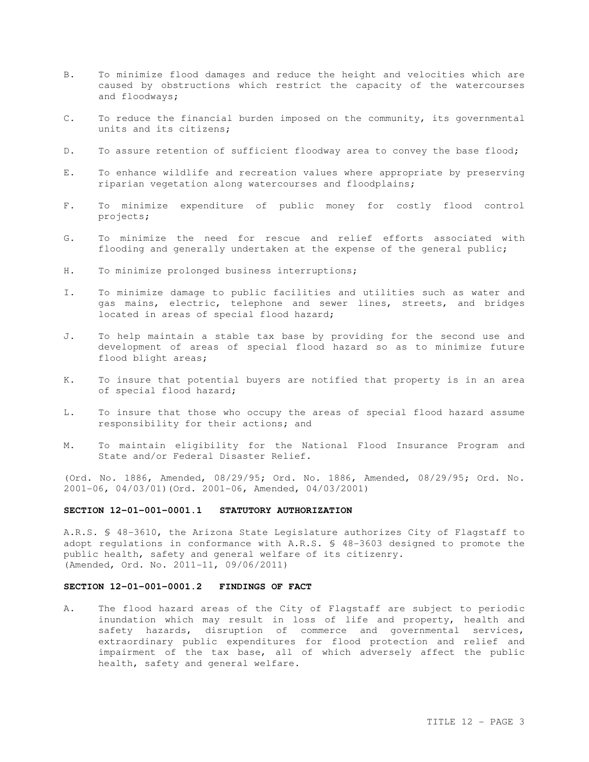- B. To minimize flood damages and reduce the height and velocities which are caused by obstructions which restrict the capacity of the watercourses and floodways;
- C. To reduce the financial burden imposed on the community, its governmental units and its citizens;
- D. To assure retention of sufficient floodway area to convey the base flood;
- E. To enhance wildlife and recreation values where appropriate by preserving riparian vegetation along watercourses and floodplains;
- F. To minimize expenditure of public money for costly flood control projects;
- G. To minimize the need for rescue and relief efforts associated with flooding and generally undertaken at the expense of the general public;
- H. To minimize prolonged business interruptions;
- I. To minimize damage to public facilities and utilities such as water and gas mains, electric, telephone and sewer lines, streets, and bridges located in areas of special flood hazard;
- J. To help maintain a stable tax base by providing for the second use and development of areas of special flood hazard so as to minimize future flood blight areas;
- K. To insure that potential buyers are notified that property is in an area of special flood hazard;
- L. To insure that those who occupy the areas of special flood hazard assume responsibility for their actions; and
- M. To maintain eligibility for the National Flood Insurance Program and State and/or Federal Disaster Relief.

(Ord. No. 1886, Amended, 08/29/95; Ord. No. 1886, Amended, 08/29/95; Ord. No. 2001-06, 04/03/01)(Ord. 2001-06, Amended, 04/03/2001)

#### **SECTION 12-01-001-0001.1 STATUTORY AUTHORIZATION**

A.R.S. § 48-3610, the Arizona State Legislature authorizes City of Flagstaff to adopt regulations in conformance with A.R.S. § 48-3603 designed to promote the public health, safety and general welfare of its citizenry. (Amended, Ord. No. 2011-11, 09/06/2011)

#### **SECTION 12-01-001-0001.2 FINDINGS OF FACT**

A. The flood hazard areas of the City of Flagstaff are subject to periodic inundation which may result in loss of life and property, health and safety hazards, disruption of commerce and governmental services, extraordinary public expenditures for flood protection and relief and impairment of the tax base, all of which adversely affect the public health, safety and general welfare.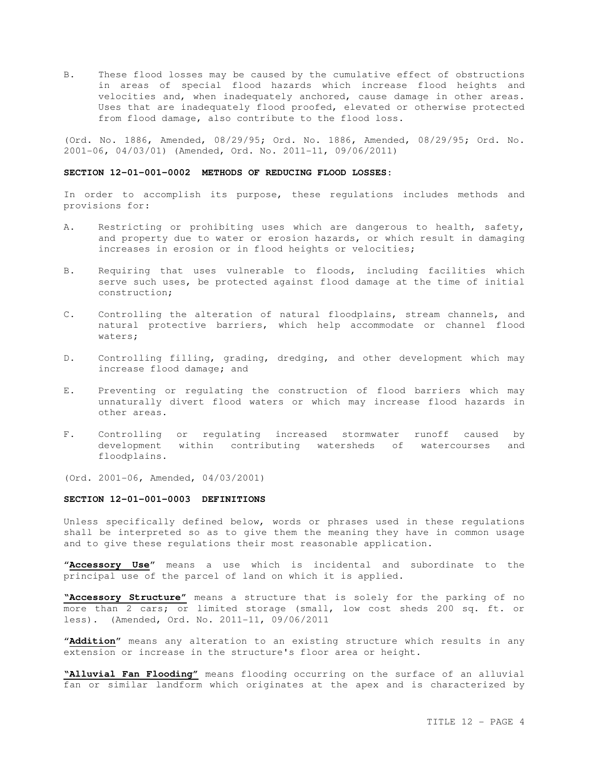B. These flood losses may be caused by the cumulative effect of obstructions in areas of special flood hazards which increase flood heights and velocities and, when inadequately anchored, cause damage in other areas. Uses that are inadequately flood proofed, elevated or otherwise protected from flood damage, also contribute to the flood loss.

(Ord. No. 1886, Amended, 08/29/95; Ord. No. 1886, Amended, 08/29/95; Ord. No. 2001-06, 04/03/01) (Amended, Ord. No. 2011-11, 09/06/2011)

#### **SECTION 12-01-001-0002 METHODS OF REDUCING FLOOD LOSSES:**

In order to accomplish its purpose, these regulations includes methods and provisions for:

- A. Restricting or prohibiting uses which are dangerous to health, safety, and property due to water or erosion hazards, or which result in damaging increases in erosion or in flood heights or velocities;
- B. Requiring that uses vulnerable to floods, including facilities which serve such uses, be protected against flood damage at the time of initial construction;
- C. Controlling the alteration of natural floodplains, stream channels, and natural protective barriers, which help accommodate or channel flood waters;
- D. Controlling filling, grading, dredging, and other development which may increase flood damage; and
- E. Preventing or regulating the construction of flood barriers which may unnaturally divert flood waters or which may increase flood hazards in other areas.
- F. Controlling or regulating increased stormwater runoff caused by development within contributing watersheds of watercourses and floodplains.

(Ord. 2001-06, Amended, 04/03/2001)

#### **SECTION 12-01-001-0003 DEFINITIONS**

Unless specifically defined below, words or phrases used in these regulations shall be interpreted so as to give them the meaning they have in common usage and to give these regulations their most reasonable application.

"**Accessory Use**" means a use which is incidental and subordinate to the principal use of the parcel of land on which it is applied.

**"Accessory Structure"** means a structure that is solely for the parking of no more than 2 cars; or limited storage (small, low cost sheds 200 sq. ft. or less). (Amended, Ord. No. 2011-11, 09/06/2011

"**Addition**" means any alteration to an existing structure which results in any extension or increase in the structure's floor area or height.

**"Alluvial Fan Flooding"** means flooding occurring on the surface of an alluvial fan or similar landform which originates at the apex and is characterized by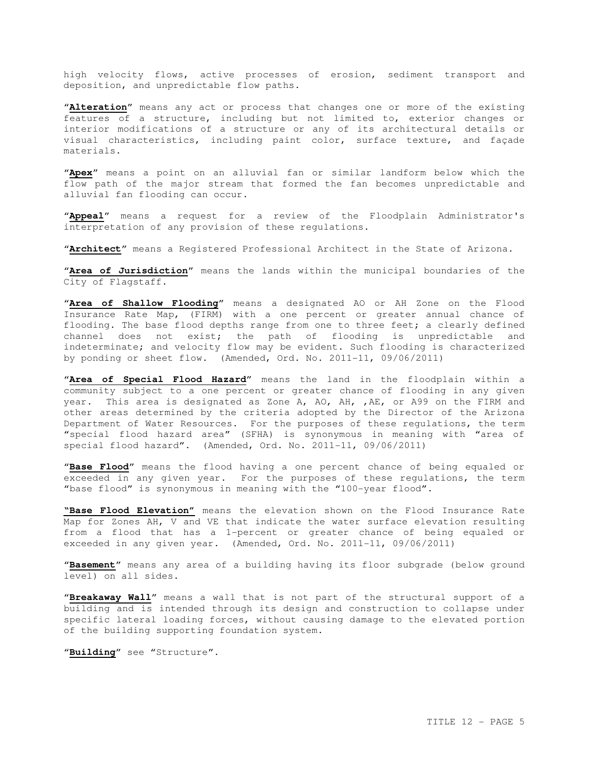high velocity flows, active processes of erosion, sediment transport and deposition, and unpredictable flow paths.

"**Alteration**" means any act or process that changes one or more of the existing features of a structure, including but not limited to, exterior changes or interior modifications of a structure or any of its architectural details or visual characteristics, including paint color, surface texture, and façade materials.

"**Apex**" means a point on an alluvial fan or similar landform below which the flow path of the major stream that formed the fan becomes unpredictable and alluvial fan flooding can occur.

"**Appeal**" means a request for a review of the Floodplain Administrator's interpretation of any provision of these regulations.

"**Architect**" means a Registered Professional Architect in the State of Arizona.

"**Area of Jurisdiction**" means the lands within the municipal boundaries of the City of Flagstaff.

"**Area of Shallow Flooding**" means a designated AO or AH Zone on the Flood Insurance Rate Map, (FIRM) with a one percent or greater annual chance of flooding. The base flood depths range from one to three feet; a clearly defined channel does not exist; the path of flooding is unpredictable and indeterminate; and velocity flow may be evident. Such flooding is characterized by ponding or sheet flow. (Amended, Ord. No. 2011-11, 09/06/2011)

"**Area of Special Flood Hazard**" means the land in the floodplain within a community subject to a one percent or greater chance of flooding in any given year. This area is designated as Zone A, AO, AH, ,AE, or A99 on the FIRM and other areas determined by the criteria adopted by the Director of the Arizona Department of Water Resources. For the purposes of these regulations, the term "special flood hazard area" (SFHA) is synonymous in meaning with "area of special flood hazard". (Amended, Ord. No. 2011-11, 09/06/2011)

"**Base Flood**" means the flood having a one percent chance of being equaled or exceeded in any given year. For the purposes of these regulations, the term "base flood" is synonymous in meaning with the "100-year flood".

**"Base Flood Elevation"** means the elevation shown on the Flood Insurance Rate Map for Zones AH, V and VE that indicate the water surface elevation resulting from a flood that has a 1-percent or greater chance of being equaled or exceeded in any given year. (Amended, Ord. No. 2011-11, 09/06/2011)

"**Basement**" means any area of a building having its floor subgrade (below ground level) on all sides.

"**Breakaway Wall**" means a wall that is not part of the structural support of a building and is intended through its design and construction to collapse under specific lateral loading forces, without causing damage to the elevated portion of the building supporting foundation system.

"**Building**" see "Structure".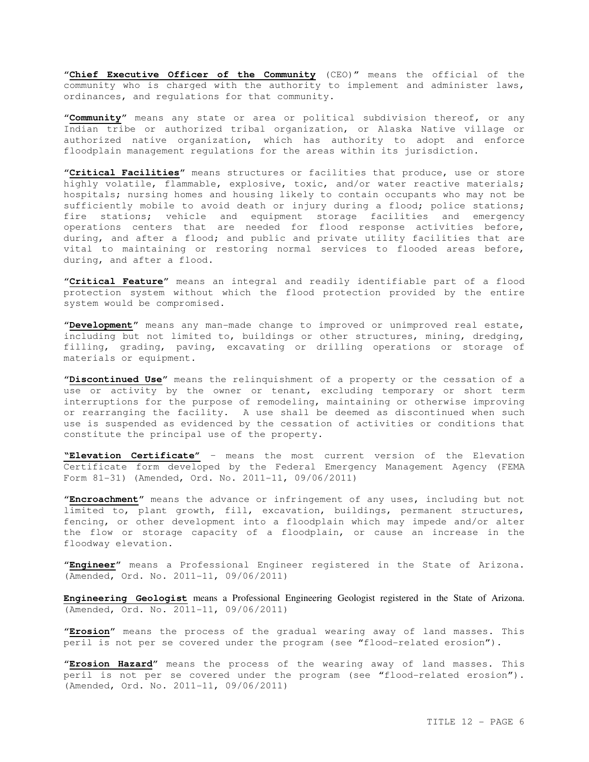"**Chief Executive Officer of the Community** (CEO)" means the official of the community who is charged with the authority to implement and administer laws, ordinances, and regulations for that community.

"**Community**" means any state or area or political subdivision thereof, or any Indian tribe or authorized tribal organization, or Alaska Native village or authorized native organization, which has authority to adopt and enforce floodplain management regulations for the areas within its jurisdiction.

"**Critical Facilities**" means structures or facilities that produce, use or store highly volatile, flammable, explosive, toxic, and/or water reactive materials; hospitals; nursing homes and housing likely to contain occupants who may not be sufficiently mobile to avoid death or injury during a flood; police stations; fire stations; vehicle and equipment storage facilities and emergency operations centers that are needed for flood response activities before, during, and after a flood; and public and private utility facilities that are vital to maintaining or restoring normal services to flooded areas before, during, and after a flood.

"**Critical Feature**" means an integral and readily identifiable part of a flood protection system without which the flood protection provided by the entire system would be compromised.

"**Development**" means any man-made change to improved or unimproved real estate, including but not limited to, buildings or other structures, mining, dredging, filling, grading, paving, excavating or drilling operations or storage of materials or equipment.

"**Discontinued Use**" means the relinquishment of a property or the cessation of a use or activity by the owner or tenant, excluding temporary or short term interruptions for the purpose of remodeling, maintaining or otherwise improving or rearranging the facility. A use shall be deemed as discontinued when such use is suspended as evidenced by the cessation of activities or conditions that constitute the principal use of the property.

**"Elevation Certificate"** – means the most current version of the Elevation Certificate form developed by the Federal Emergency Management Agency (FEMA Form 81-31) (Amended, Ord. No. 2011-11, 09/06/2011)

"**Encroachment**" means the advance or infringement of any uses, including but not limited to, plant growth, fill, excavation, buildings, permanent structures, fencing, or other development into a floodplain which may impede and/or alter the flow or storage capacity of a floodplain, or cause an increase in the floodway elevation.

"**Engineer**" means a Professional Engineer registered in the State of Arizona. (Amended, Ord. No. 2011-11, 09/06/2011)

**Engineering Geologist** means a Professional Engineering Geologist registered in the State of Arizona. (Amended, Ord. No. 2011-11, 09/06/2011)

"**Erosion**" means the process of the gradual wearing away of land masses. This peril is not per se covered under the program (see "flood-related erosion").

"**Erosion Hazard**" means the process of the wearing away of land masses. This peril is not per se covered under the program (see "flood-related erosion"). (Amended, Ord. No. 2011-11, 09/06/2011)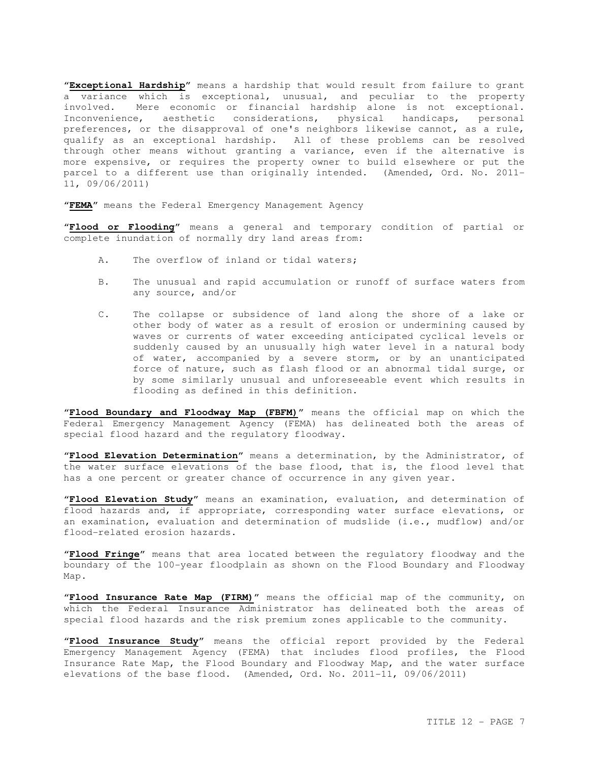"**Exceptional Hardship**" means a hardship that would result from failure to grant a variance which is exceptional, unusual, and peculiar to the property involved. Mere economic or financial hardship alone is not exceptional. Inconvenience, aesthetic considerations, physical handicaps, personal preferences, or the disapproval of one's neighbors likewise cannot, as a rule, qualify as an exceptional hardship. All of these problems can be resolved through other means without granting a variance, even if the alternative is more expensive, or requires the property owner to build elsewhere or put the parcel to a different use than originally intended. (Amended, Ord. No. 2011- 11, 09/06/2011)

"**FEMA**" means the Federal Emergency Management Agency

"**Flood or Flooding**" means a general and temporary condition of partial or complete inundation of normally dry land areas from:

- A. The overflow of inland or tidal waters;
- B. The unusual and rapid accumulation or runoff of surface waters from any source, and/or
- C. The collapse or subsidence of land along the shore of a lake or other body of water as a result of erosion or undermining caused by waves or currents of water exceeding anticipated cyclical levels or suddenly caused by an unusually high water level in a natural body of water, accompanied by a severe storm, or by an unanticipated force of nature, such as flash flood or an abnormal tidal surge, or by some similarly unusual and unforeseeable event which results in flooding as defined in this definition.

"**Flood Boundary and Floodway Map (FBFM)**" means the official map on which the Federal Emergency Management Agency (FEMA) has delineated both the areas of special flood hazard and the regulatory floodway.

"**Flood Elevation Determination**" means a determination, by the Administrator, of the water surface elevations of the base flood, that is, the flood level that has a one percent or greater chance of occurrence in any given year.

"**Flood Elevation Study**" means an examination, evaluation, and determination of flood hazards and, if appropriate, corresponding water surface elevations, or an examination, evaluation and determination of mudslide (i.e., mudflow) and/or flood-related erosion hazards.

"**Flood Fringe**" means that area located between the regulatory floodway and the boundary of the 100-year floodplain as shown on the Flood Boundary and Floodway Map.

"**Flood Insurance Rate Map (FIRM)**" means the official map of the community, on which the Federal Insurance Administrator has delineated both the areas of special flood hazards and the risk premium zones applicable to the community.

"**Flood Insurance Study**" means the official report provided by the Federal Emergency Management Agency (FEMA) that includes flood profiles, the Flood Insurance Rate Map, the Flood Boundary and Floodway Map, and the water surface elevations of the base flood. (Amended, Ord. No. 2011-11, 09/06/2011)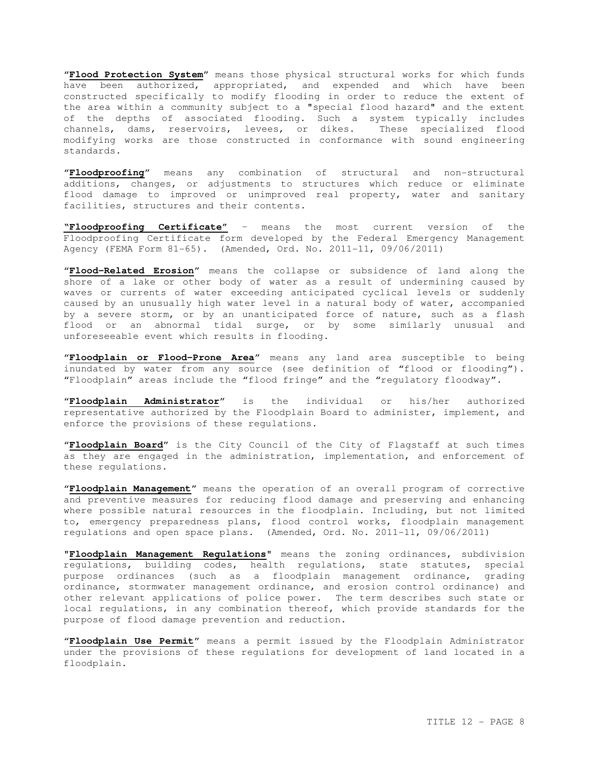"**Flood Protection System**" means those physical structural works for which funds have been authorized, appropriated, and expended and which have been constructed specifically to modify flooding in order to reduce the extent of the area within a community subject to a "special flood hazard" and the extent of the depths of associated flooding. Such a system typically includes channels, dams, reservoirs, levees, or dikes. These specialized flood modifying works are those constructed in conformance with sound engineering standards.

"**Floodproofing**" means any combination of structural and non-structural additions, changes, or adjustments to structures which reduce or eliminate flood damage to improved or unimproved real property, water and sanitary facilities, structures and their contents.

**"Floodproofing Certificate"** – means the most current version of the Floodproofing Certificate form developed by the Federal Emergency Management Agency (FEMA Form 81-65). (Amended, Ord. No. 2011-11, 09/06/2011)

"**Flood-Related Erosion**" means the collapse or subsidence of land along the shore of a lake or other body of water as a result of undermining caused by waves or currents of water exceeding anticipated cyclical levels or suddenly caused by an unusually high water level in a natural body of water, accompanied by a severe storm, or by an unanticipated force of nature, such as a flash flood or an abnormal tidal surge, or by some similarly unusual and unforeseeable event which results in flooding.

"**Floodplain or Flood-Prone Area**" means any land area susceptible to being inundated by water from any source (see definition of "flood or flooding"). "Floodplain" areas include the "flood fringe" and the "regulatory floodway".

"**Floodplain Administrator**" is the individual or his/her authorized representative authorized by the Floodplain Board to administer, implement, and enforce the provisions of these regulations.

"**Floodplain Board**" is the City Council of the City of Flagstaff at such times as they are engaged in the administration, implementation, and enforcement of these regulations.

"**Floodplain Management**" means the operation of an overall program of corrective and preventive measures for reducing flood damage and preserving and enhancing where possible natural resources in the floodplain. Including, but not limited to, emergency preparedness plans, flood control works, floodplain management regulations and open space plans. (Amended, Ord. No. 2011-11, 09/06/2011)

"**Floodplain Management Regulations**" means the zoning ordinances, subdivision regulations, building codes, health regulations, state statutes, special purpose ordinances (such as a floodplain management ordinance, grading ordinance, stormwater management ordinance, and erosion control ordinance) and other relevant applications of police power. The term describes such state or local regulations, in any combination thereof, which provide standards for the purpose of flood damage prevention and reduction.

"**Floodplain Use Permit**" means a permit issued by the Floodplain Administrator under the provisions of these regulations for development of land located in a floodplain.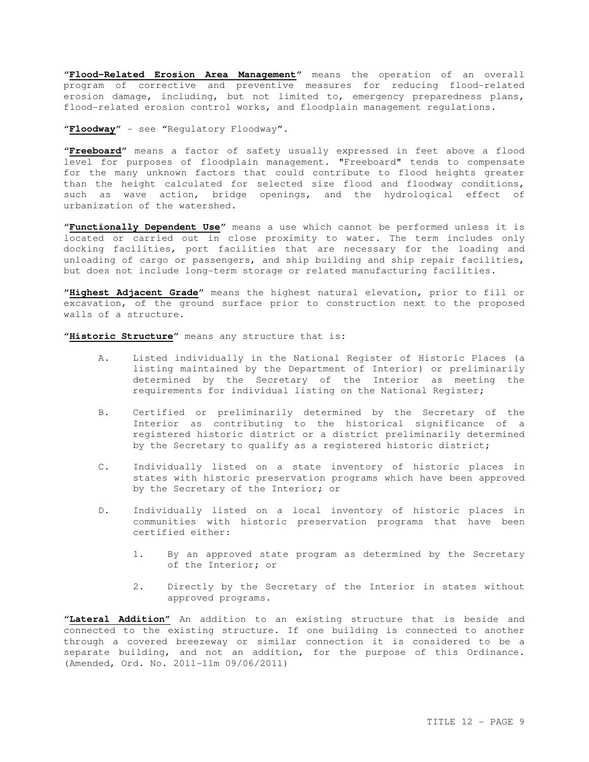"**Flood-Related Erosion Area Management**" means the operation of an overall program of corrective and preventive measures for reducing flood-related erosion damage, including, but not limited to, emergency preparedness plans, flood-related erosion control works, and floodplain management regulations.

"**Floodway**" - see "Regulatory Floodway".

"**Freeboard**" means a factor of safety usually expressed in feet above a flood level for purposes of floodplain management. "Freeboard" tends to compensate for the many unknown factors that could contribute to flood heights greater than the height calculated for selected size flood and floodway conditions, such as wave action, bridge openings, and the hydrological effect of urbanization of the watershed.

"**Functionally Dependent Use**" means a use which cannot be performed unless it is located or carried out in close proximity to water. The term includes only docking facilities, port facilities that are necessary for the loading and unloading of cargo or passengers, and ship building and ship repair facilities, but does not include long-term storage or related manufacturing facilities.

"**Highest Adjacent Grade**" means the highest natural elevation, prior to fill or excavation, of the ground surface prior to construction next to the proposed walls of a structure.

"**Historic Structure**" means any structure that is:

- A. Listed individually in the National Register of Historic Places (a listing maintained by the Department of Interior) or preliminarily determined by the Secretary of the Interior as meeting the requirements for individual listing on the National Register;
- B. Certified or preliminarily determined by the Secretary of the Interior as contributing to the historical significance of a registered historic district or a district preliminarily determined by the Secretary to qualify as a registered historic district;
- C. Individually listed on a state inventory of historic places in states with historic preservation programs which have been approved by the Secretary of the Interior; or
- D. Individually listed on a local inventory of historic places in communities with historic preservation programs that have been certified either:
	- 1. By an approved state program as determined by the Secretary of the Interior; or
	- 2. Directly by the Secretary of the Interior in states without approved programs.

"**Lateral Addition"** An addition to an existing structure that is beside and connected to the existing structure. If one building is connected to another through a covered breezeway or similar connection it is considered to be a separate building, and not an addition, for the purpose of this Ordinance. (Amended, Ord. No. 2011-11m 09/06/2011)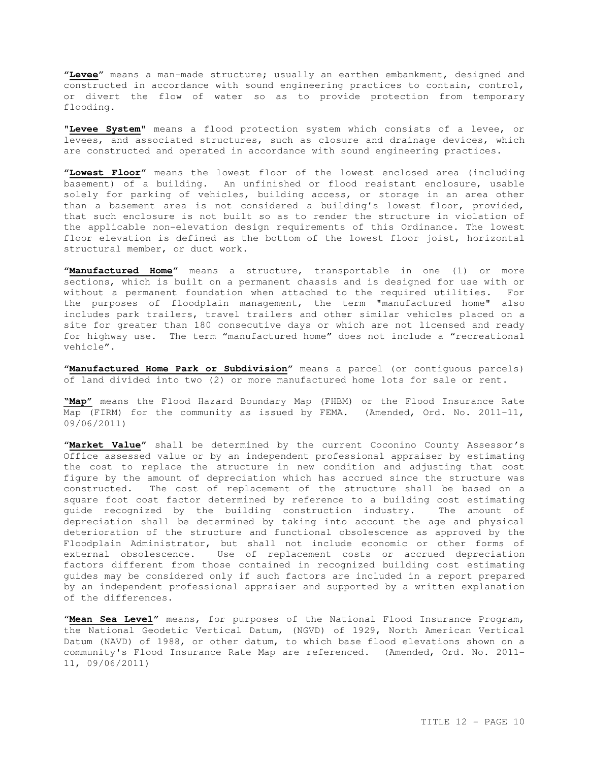"**Levee**" means a man-made structure; usually an earthen embankment, designed and constructed in accordance with sound engineering practices to contain, control, or divert the flow of water so as to provide protection from temporary flooding.

"**Levee System**" means a flood protection system which consists of a levee, or levees, and associated structures, such as closure and drainage devices, which are constructed and operated in accordance with sound engineering practices.

"**Lowest Floor**" means the lowest floor of the lowest enclosed area (including basement) of a building. An unfinished or flood resistant enclosure, usable solely for parking of vehicles, building access, or storage in an area other than a basement area is not considered a building's lowest floor, provided, that such enclosure is not built so as to render the structure in violation of the applicable non-elevation design requirements of this Ordinance. The lowest floor elevation is defined as the bottom of the lowest floor joist, horizontal structural member, or duct work.

"**Manufactured Home**" means a structure, transportable in one (1) or more sections, which is built on a permanent chassis and is designed for use with or without a permanent foundation when attached to the required utilities. For the purposes of floodplain management, the term "manufactured home" also includes park trailers, travel trailers and other similar vehicles placed on a site for greater than 180 consecutive days or which are not licensed and ready for highway use. The term "manufactured home" does not include a "recreational vehicle".

"**Manufactured Home Park or Subdivision**" means a parcel (or contiguous parcels) of land divided into two (2) or more manufactured home lots for sale or rent.

**"Map"** means the Flood Hazard Boundary Map (FHBM) or the Flood Insurance Rate Map (FIRM) for the community as issued by FEMA. (Amended, Ord. No. 2011-11, 09/06/2011)

"**Market Value**" shall be determined by the current Coconino County Assessor's Office assessed value or by an independent professional appraiser by estimating the cost to replace the structure in new condition and adjusting that cost figure by the amount of depreciation which has accrued since the structure was constructed. The cost of replacement of the structure shall be based on a square foot cost factor determined by reference to a building cost estimating guide recognized by the building construction industry. The amount of depreciation shall be determined by taking into account the age and physical deterioration of the structure and functional obsolescence as approved by the Floodplain Administrator, but shall not include economic or other forms of external obsolescence. Use of replacement costs or accrued depreciation factors different from those contained in recognized building cost estimating guides may be considered only if such factors are included in a report prepared by an independent professional appraiser and supported by a written explanation of the differences.

"**Mean Sea Level**" means, for purposes of the National Flood Insurance Program, the National Geodetic Vertical Datum, (NGVD) of 1929, North American Vertical Datum (NAVD) of 1988, or other datum, to which base flood elevations shown on a community's Flood Insurance Rate Map are referenced. (Amended, Ord. No. 2011- 11, 09/06/2011)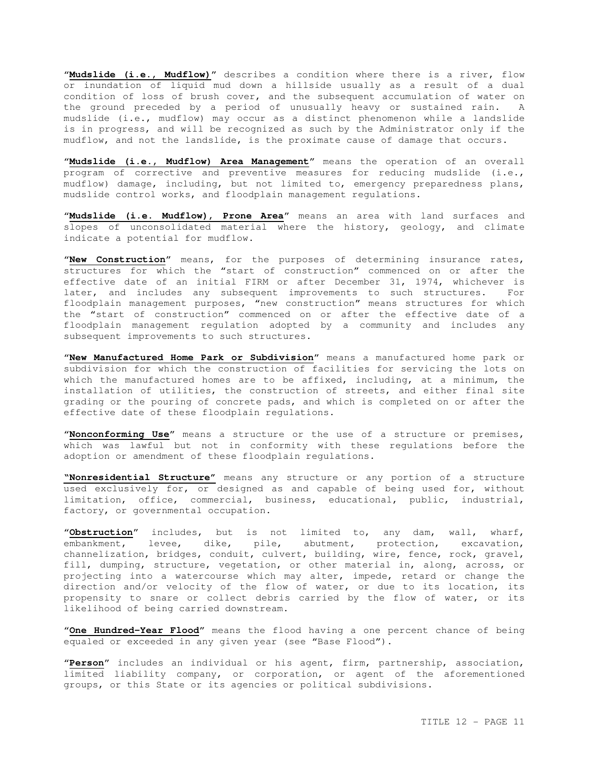"**Mudslide (i.e., Mudflow)**" describes a condition where there is a river, flow or inundation of liquid mud down a hillside usually as a result of a dual condition of loss of brush cover, and the subsequent accumulation of water on the ground preceded by a period of unusually heavy or sustained rain. A mudslide (i.e., mudflow) may occur as a distinct phenomenon while a landslide is in progress, and will be recognized as such by the Administrator only if the mudflow, and not the landslide, is the proximate cause of damage that occurs.

"**Mudslide (i.e., Mudflow) Area Management**" means the operation of an overall program of corrective and preventive measures for reducing mudslide (i.e., mudflow) damage, including, but not limited to, emergency preparedness plans, mudslide control works, and floodplain management regulations.

"**Mudslide (i.e. Mudflow), Prone Area**" means an area with land surfaces and slopes of unconsolidated material where the history, geology, and climate indicate a potential for mudflow.

"**New Construction**" means, for the purposes of determining insurance rates, structures for which the "start of construction" commenced on or after the effective date of an initial FIRM or after December 31, 1974, whichever is later, and includes any subsequent improvements to such structures. For floodplain management purposes, "new construction" means structures for which the "start of construction" commenced on or after the effective date of a floodplain management regulation adopted by a community and includes any subsequent improvements to such structures.

"**New Manufactured Home Park or Subdivision**" means a manufactured home park or subdivision for which the construction of facilities for servicing the lots on which the manufactured homes are to be affixed, including, at a minimum, the installation of utilities, the construction of streets, and either final site grading or the pouring of concrete pads, and which is completed on or after the effective date of these floodplain regulations.

"**Nonconforming Use**" means a structure or the use of a structure or premises, which was lawful but not in conformity with these regulations before the adoption or amendment of these floodplain regulations.

**"Nonresidential Structure"** means any structure or any portion of a structure used exclusively for, or designed as and capable of being used for, without limitation, office, commercial, business, educational, public, industrial, factory, or governmental occupation.

"**Obstruction**" includes, but is not limited to, any dam, wall, wharf, embankment, levee, dike, pile, abutment, protection, excavation, channelization, bridges, conduit, culvert, building, wire, fence, rock, gravel, fill, dumping, structure, vegetation, or other material in, along, across, or projecting into a watercourse which may alter, impede, retard or change the direction and/or velocity of the flow of water, or due to its location, its propensity to snare or collect debris carried by the flow of water, or its likelihood of being carried downstream.

"**One Hundred-Year Flood**" means the flood having a one percent chance of being equaled or exceeded in any given year (see "Base Flood").

"**Person**" includes an individual or his agent, firm, partnership, association, limited liability company, or corporation, or agent of the aforementioned groups, or this State or its agencies or political subdivisions.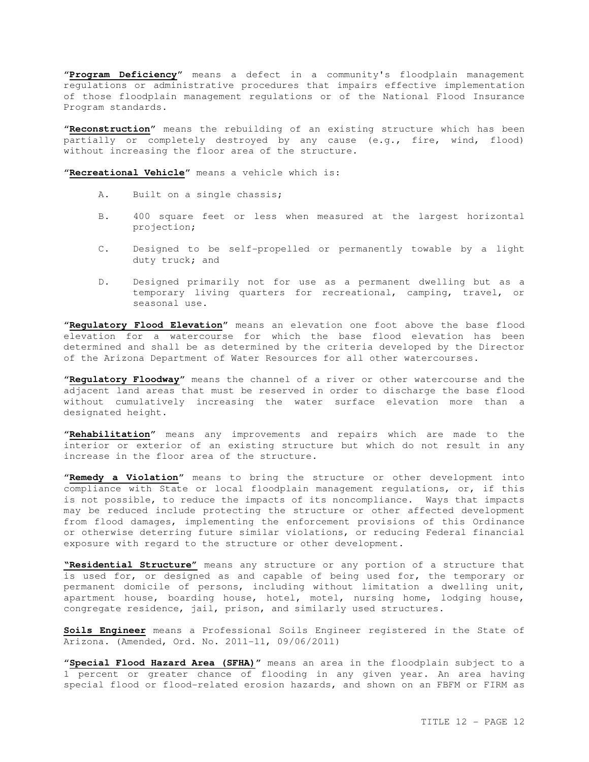"**Program Deficiency**" means a defect in a community's floodplain management regulations or administrative procedures that impairs effective implementation of those floodplain management regulations or of the National Flood Insurance Program standards.

"**Reconstruction**" means the rebuilding of an existing structure which has been partially or completely destroyed by any cause (e.g., fire, wind, flood) without increasing the floor area of the structure.

"**Recreational Vehicle**" means a vehicle which is:

- A. Built on a single chassis;
- B. 400 square feet or less when measured at the largest horizontal projection;
- C. Designed to be self-propelled or permanently towable by a light duty truck; and
- D. Designed primarily not for use as a permanent dwelling but as a temporary living quarters for recreational, camping, travel, or seasonal use.

"**Regulatory Flood Elevation**" means an elevation one foot above the base flood elevation for a watercourse for which the base flood elevation has been determined and shall be as determined by the criteria developed by the Director of the Arizona Department of Water Resources for all other watercourses.

"**Regulatory Floodway**" means the channel of a river or other watercourse and the adjacent land areas that must be reserved in order to discharge the base flood without cumulatively increasing the water surface elevation more than a designated height.

"**Rehabilitation**" means any improvements and repairs which are made to the interior or exterior of an existing structure but which do not result in any increase in the floor area of the structure.

"**Remedy a Violation**" means to bring the structure or other development into compliance with State or local floodplain management regulations, or, if this is not possible, to reduce the impacts of its noncompliance. Ways that impacts may be reduced include protecting the structure or other affected development from flood damages, implementing the enforcement provisions of this Ordinance or otherwise deterring future similar violations, or reducing Federal financial exposure with regard to the structure or other development.

**"Residential Structure"** means any structure or any portion of a structure that is used for, or designed as and capable of being used for, the temporary or permanent domicile of persons, including without limitation a dwelling unit, apartment house, boarding house, hotel, motel, nursing home, lodging house, congregate residence, jail, prison, and similarly used structures.

**Soils Engineer** means a Professional Soils Engineer registered in the State of Arizona. (Amended, Ord. No. 2011-11, 09/06/2011)

"**Special Flood Hazard Area (SFHA)**" means an area in the floodplain subject to a 1 percent or greater chance of flooding in any given year. An area having special flood or flood-related erosion hazards, and shown on an FBFM or FIRM as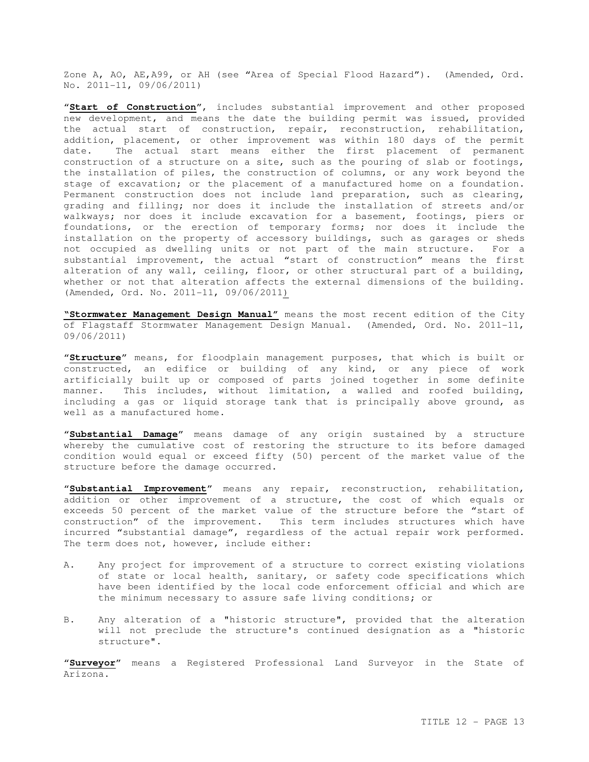Zone A, AO, AE,A99, or AH (see "Area of Special Flood Hazard"). (Amended, Ord. No. 2011-11, 09/06/2011)

"**Start of Construction**", includes substantial improvement and other proposed new development, and means the date the building permit was issued, provided the actual start of construction, repair, reconstruction, rehabilitation, addition, placement, or other improvement was within 180 days of the permit date. The actual start means either the first placement of permanent construction of a structure on a site, such as the pouring of slab or footings, the installation of piles, the construction of columns, or any work beyond the stage of excavation; or the placement of a manufactured home on a foundation. Permanent construction does not include land preparation, such as clearing, grading and filling; nor does it include the installation of streets and/or walkways; nor does it include excavation for a basement, footings, piers or foundations, or the erection of temporary forms; nor does it include the installation on the property of accessory buildings, such as garages or sheds not occupied as dwelling units or not part of the main structure. For a substantial improvement, the actual "start of construction" means the first alteration of any wall, ceiling, floor, or other structural part of a building, whether or not that alteration affects the external dimensions of the building. (Amended, Ord. No. 2011-11, 09/06/2011)

**"Stormwater Management Design Manual"** means the most recent edition of the City of Flagstaff Stormwater Management Design Manual. (Amended, Ord. No. 2011-11, 09/06/2011)

"**Structure**" means, for floodplain management purposes, that which is built or constructed, an edifice or building of any kind, or any piece of work artificially built up or composed of parts joined together in some definite manner. This includes, without limitation, a walled and roofed building, including a gas or liquid storage tank that is principally above ground, as well as a manufactured home.

"**Substantial Damage**" means damage of any origin sustained by a structure whereby the cumulative cost of restoring the structure to its before damaged condition would equal or exceed fifty (50) percent of the market value of the structure before the damage occurred.

"**Substantial Improvement**" means any repair, reconstruction, rehabilitation, addition or other improvement of a structure, the cost of which equals or exceeds 50 percent of the market value of the structure before the "start of construction" of the improvement. This term includes structures which have incurred "substantial damage", regardless of the actual repair work performed. The term does not, however, include either:

- A. Any project for improvement of a structure to correct existing violations of state or local health, sanitary, or safety code specifications which have been identified by the local code enforcement official and which are the minimum necessary to assure safe living conditions; or
- B. Any alteration of a "historic structure", provided that the alteration will not preclude the structure's continued designation as a "historic structure".

"**Surveyor**" means a Registered Professional Land Surveyor in the State of Arizona.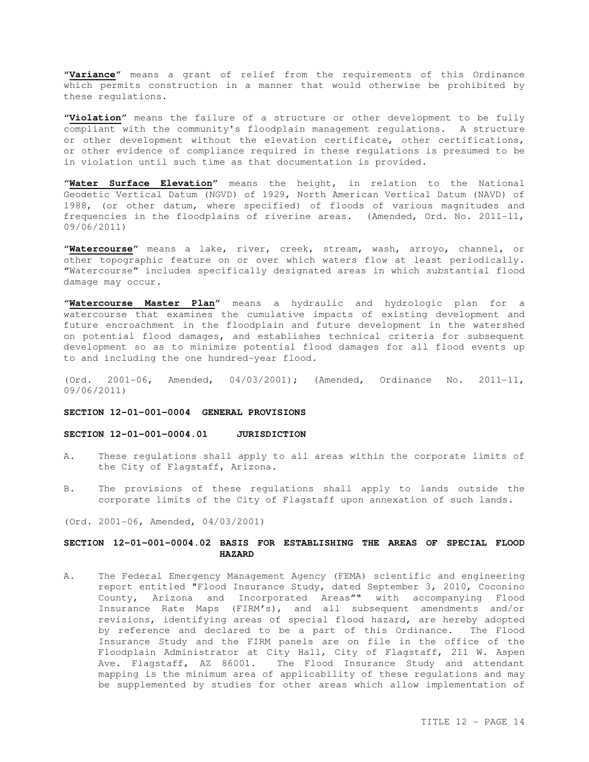"**Variance**" means a grant of relief from the requirements of this Ordinance which permits construction in a manner that would otherwise be prohibited by these regulations.

"**Violation**" means the failure of a structure or other development to be fully compliant with the community's floodplain management regulations. A structure or other development without the elevation certificate, other certifications, or other evidence of compliance required in these regulations is presumed to be in violation until such time as that documentation is provided.

"**Water Surface Elevation**" means the height, in relation to the National Geodetic Vertical Datum (NGVD) of 1929, North American Vertical Datum (NAVD) of 1988, (or other datum, where specified) of floods of various magnitudes and frequencies in the floodplains of riverine areas. (Amended, Ord. No. 2011-11, 09/06/2011)

"**Watercourse**" means a lake, river, creek, stream, wash, arroyo, channel, or other topographic feature on or over which waters flow at least periodically. "Watercourse" includes specifically designated areas in which substantial flood damage may occur.

"**Watercourse Master Plan**" means a hydraulic and hydrologic plan for a watercourse that examines the cumulative impacts of existing development and future encroachment in the floodplain and future development in the watershed on potential flood damages, and establishes technical criteria for subsequent development so as to minimize potential flood damages for all flood events up to and including the one hundred-year flood.

(Ord. 2001-06, Amended, 04/03/2001); (Amended, Ordinance No. 2011-11, 09/06/2011)

### **SECTION 12-01-001-0004 GENERAL PROVISIONS**

#### **SECTION 12-01-001-0004.01 JURISDICTION**

- A. These regulations shall apply to all areas within the corporate limits of the City of Flagstaff, Arizona.
- B. The provisions of these regulations shall apply to lands outside the corporate limits of the City of Flagstaff upon annexation of such lands.
- (Ord. 2001-06, Amended, 04/03/2001)

# **SECTION 12-01-001-0004.02 BASIS FOR ESTABLISHING THE AREAS OF SPECIAL FLOOD HAZARD**

A. The Federal Emergency Management Agency (FEMA) scientific and engineering report entitled "Flood Insurance Study, dated September 3, 2010, Coconino County, Arizona and Incorporated Areas"" with accompanying Flood Insurance Rate Maps (FIRM's), and all subsequent amendments and/or revisions, identifying areas of special flood hazard, are hereby adopted by reference and declared to be a part of this Ordinance. The Flood Insurance Study and the FIRM panels are on file in the office of the Floodplain Administrator at City Hall, City of Flagstaff, 211 W. Aspen Ave. Flagstaff, AZ 86001. The Flood Insurance Study and attendant mapping is the minimum area of applicability of these regulations and may be supplemented by studies for other areas which allow implementation of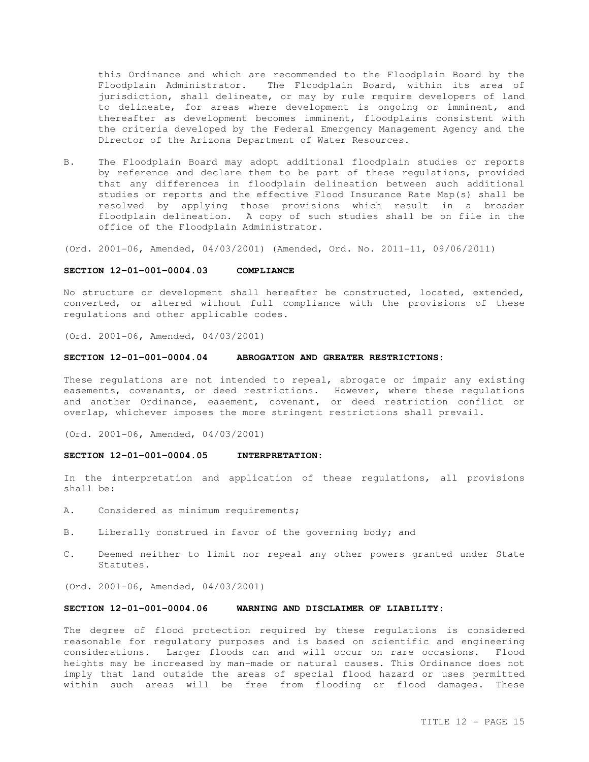this Ordinance and which are recommended to the Floodplain Board by the Floodplain Administrator. The Floodplain Board, within its area of jurisdiction, shall delineate, or may by rule require developers of land to delineate, for areas where development is ongoing or imminent, and thereafter as development becomes imminent, floodplains consistent with the criteria developed by the Federal Emergency Management Agency and the Director of the Arizona Department of Water Resources.

B. The Floodplain Board may adopt additional floodplain studies or reports by reference and declare them to be part of these regulations, provided that any differences in floodplain delineation between such additional studies or reports and the effective Flood Insurance Rate Map(s) shall be resolved by applying those provisions which result in a broader floodplain delineation. A copy of such studies shall be on file in the office of the Floodplain Administrator.

(Ord. 2001-06, Amended, 04/03/2001) (Amended, Ord. No. 2011-11, 09/06/2011)

### **SECTION 12-01-001-0004.03 COMPLIANCE**

No structure or development shall hereafter be constructed, located, extended, converted, or altered without full compliance with the provisions of these regulations and other applicable codes.

(Ord. 2001-06, Amended, 04/03/2001)

### **SECTION 12-01-001-0004.04 ABROGATION AND GREATER RESTRICTIONS:**

These regulations are not intended to repeal, abrogate or impair any existing easements, covenants, or deed restrictions. However, where these regulations and another Ordinance, easement, covenant, or deed restriction conflict or overlap, whichever imposes the more stringent restrictions shall prevail.

(Ord. 2001-06, Amended, 04/03/2001)

#### **SECTION 12-01-001-0004.05 INTERPRETATION:**

In the interpretation and application of these regulations, all provisions shall be:

- A. Considered as minimum requirements;
- B. Liberally construed in favor of the governing body; and
- C. Deemed neither to limit nor repeal any other powers granted under State Statutes.

(Ord. 2001-06, Amended, 04/03/2001)

### **SECTION 12-01-001-0004.06 WARNING AND DISCLAIMER OF LIABILITY:**

The degree of flood protection required by these regulations is considered reasonable for regulatory purposes and is based on scientific and engineering considerations. Larger floods can and will occur on rare occasions. Flood heights may be increased by man-made or natural causes. This Ordinance does not imply that land outside the areas of special flood hazard or uses permitted within such areas will be free from flooding or flood damages. These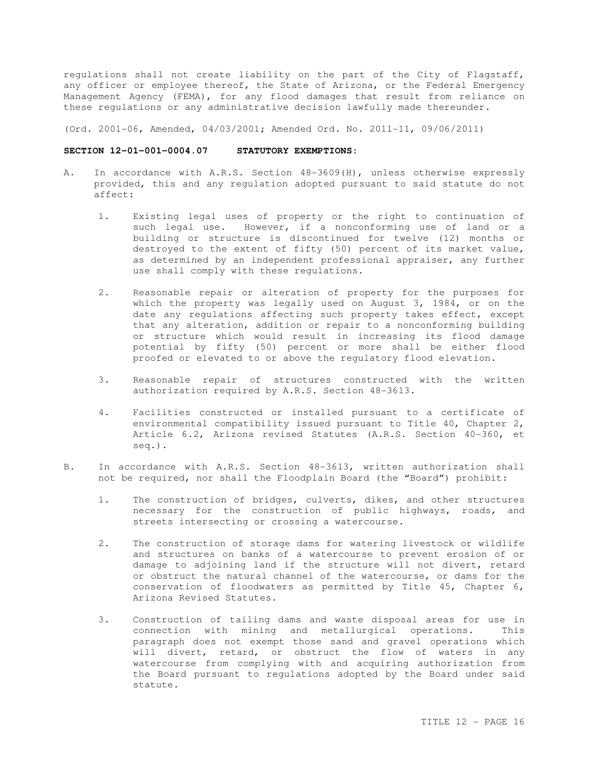regulations shall not create liability on the part of the City of Flagstaff, any officer or employee thereof, the State of Arizona, or the Federal Emergency Management Agency (FEMA), for any flood damages that result from reliance on these regulations or any administrative decision lawfully made thereunder.

(Ord. 2001-06, Amended, 04/03/2001; Amended Ord. No. 2011-11, 09/06/2011)

#### **SECTION 12-01-001-0004.07 STATUTORY EXEMPTIONS:**

- A. In accordance with A.R.S. Section 48-3609(H), unless otherwise expressly provided, this and any regulation adopted pursuant to said statute do not affect:
	- 1. Existing legal uses of property or the right to continuation of such legal use. However, if a nonconforming use of land or a building or structure is discontinued for twelve (12) months or destroyed to the extent of fifty (50) percent of its market value, as determined by an independent professional appraiser, any further use shall comply with these regulations.
	- 2. Reasonable repair or alteration of property for the purposes for which the property was legally used on August 3, 1984, or on the date any regulations affecting such property takes effect, except that any alteration, addition or repair to a nonconforming building or structure which would result in increasing its flood damage potential by fifty (50) percent or more shall be either flood proofed or elevated to or above the regulatory flood elevation.
	- 3. Reasonable repair of structures constructed with the written authorization required by A.R.S. Section 48-3613.
	- 4. Facilities constructed or installed pursuant to a certificate of environmental compatibility issued pursuant to Title 40, Chapter 2, Article 6.2, Arizona revised Statutes (A.R.S. Section 40-360, et seq.).
- B. In accordance with A.R.S. Section 48-3613, written authorization shall not be required, nor shall the Floodplain Board (the "Board") prohibit:
	- 1. The construction of bridges, culverts, dikes, and other structures necessary for the construction of public highways, roads, and streets intersecting or crossing a watercourse.
	- 2. The construction of storage dams for watering livestock or wildlife and structures on banks of a watercourse to prevent erosion of or damage to adjoining land if the structure will not divert, retard or obstruct the natural channel of the watercourse, or dams for the conservation of floodwaters as permitted by Title 45, Chapter 6, Arizona Revised Statutes.
	- 3. Construction of tailing dams and waste disposal areas for use in connection with mining and metallurgical operations. This paragraph does not exempt those sand and gravel operations which will divert, retard, or obstruct the flow of waters in any watercourse from complying with and acquiring authorization from the Board pursuant to regulations adopted by the Board under said statute.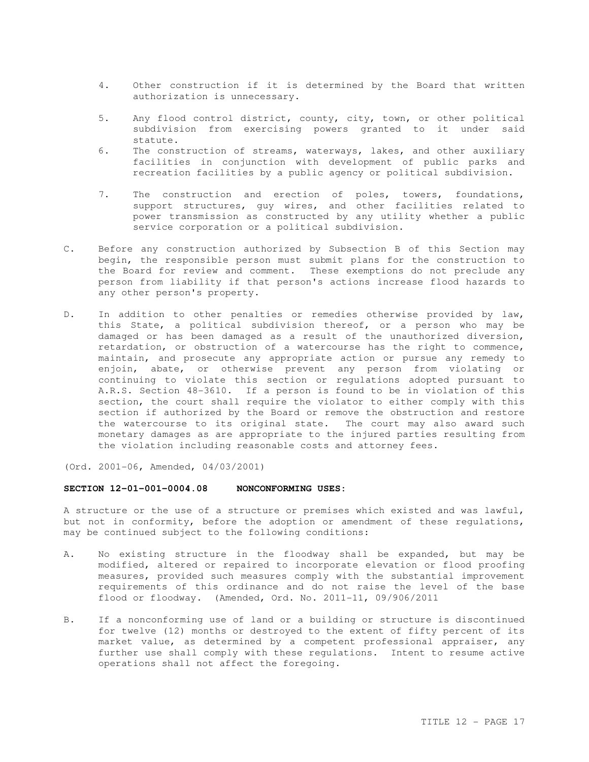- 4. Other construction if it is determined by the Board that written authorization is unnecessary.
- 5. Any flood control district, county, city, town, or other political subdivision from exercising powers granted to it under said statute.
- 6. The construction of streams, waterways, lakes, and other auxiliary facilities in conjunction with development of public parks and recreation facilities by a public agency or political subdivision.
- 7. The construction and erection of poles, towers, foundations, support structures, guy wires, and other facilities related to power transmission as constructed by any utility whether a public service corporation or a political subdivision.
- C. Before any construction authorized by Subsection B of this Section may begin, the responsible person must submit plans for the construction to the Board for review and comment. These exemptions do not preclude any person from liability if that person's actions increase flood hazards to any other person's property.
- D. In addition to other penalties or remedies otherwise provided by law, this State, a political subdivision thereof, or a person who may be damaged or has been damaged as a result of the unauthorized diversion, retardation, or obstruction of a watercourse has the right to commence, maintain, and prosecute any appropriate action or pursue any remedy to enjoin, abate, or otherwise prevent any person from violating or continuing to violate this section or regulations adopted pursuant to A.R.S. Section 48-3610. If a person is found to be in violation of this section, the court shall require the violator to either comply with this section if authorized by the Board or remove the obstruction and restore the watercourse to its original state. The court may also award such monetary damages as are appropriate to the injured parties resulting from the violation including reasonable costs and attorney fees.

(Ord. 2001-06, Amended, 04/03/2001)

#### **SECTION 12-01-001-0004.08 NONCONFORMING USES:**

A structure or the use of a structure or premises which existed and was lawful, but not in conformity, before the adoption or amendment of these regulations, may be continued subject to the following conditions:

- A. No existing structure in the floodway shall be expanded, but may be modified, altered or repaired to incorporate elevation or flood proofing measures, provided such measures comply with the substantial improvement requirements of this ordinance and do not raise the level of the base flood or floodway. (Amended, Ord. No. 2011-11, 09/906/2011
- B. If a nonconforming use of land or a building or structure is discontinued for twelve (12) months or destroyed to the extent of fifty percent of its market value, as determined by a competent professional appraiser, any further use shall comply with these regulations. Intent to resume active operations shall not affect the foregoing.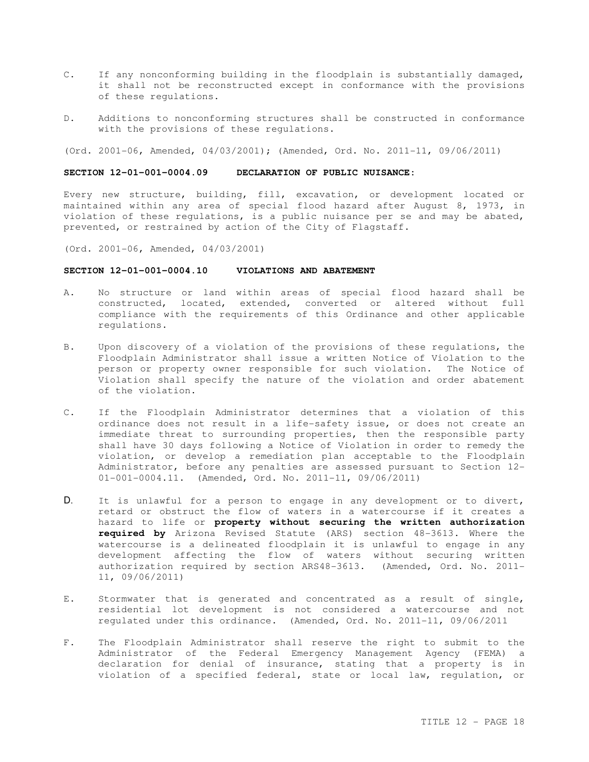- C. If any nonconforming building in the floodplain is substantially damaged, it shall not be reconstructed except in conformance with the provisions of these regulations.
- D. Additions to nonconforming structures shall be constructed in conformance with the provisions of these regulations.

(Ord. 2001-06, Amended, 04/03/2001); (Amended, Ord. No. 2011-11, 09/06/2011)

### **SECTION 12-01-001-0004.09 DECLARATION OF PUBLIC NUISANCE:**

Every new structure, building, fill, excavation, or development located or maintained within any area of special flood hazard after August 8, 1973, in violation of these regulations, is a public nuisance per se and may be abated, prevented, or restrained by action of the City of Flagstaff.

(Ord. 2001-06, Amended, 04/03/2001)

### **SECTION 12-01-001-0004.10 VIOLATIONS AND ABATEMENT**

- A. No structure or land within areas of special flood hazard shall be constructed, located, extended, converted or altered without full compliance with the requirements of this Ordinance and other applicable regulations.
- B. Upon discovery of a violation of the provisions of these regulations, the Floodplain Administrator shall issue a written Notice of Violation to the person or property owner responsible for such violation. The Notice of Violation shall specify the nature of the violation and order abatement of the violation.
- C. If the Floodplain Administrator determines that a violation of this ordinance does not result in a life-safety issue, or does not create an immediate threat to surrounding properties, then the responsible party shall have 30 days following a Notice of Violation in order to remedy the violation, or develop a remediation plan acceptable to the Floodplain Administrator, before any penalties are assessed pursuant to Section 12- 01-001-0004.11. (Amended, Ord. No. 2011-11, 09/06/2011)
- D. It is unlawful for a person to engage in any development or to divert, retard or obstruct the flow of waters in a watercourse if it creates a hazard to life or **property without securing the written authorization required by** Arizona Revised Statute (ARS) section 48-3613. Where the watercourse is a delineated floodplain it is unlawful to engage in any development affecting the flow of waters without securing written authorization required by section ARS48-3613. (Amended, Ord. No. 2011- 11, 09/06/2011)
- E. Stormwater that is generated and concentrated as a result of single, residential lot development is not considered a watercourse and not regulated under this ordinance. (Amended, Ord. No. 2011-11, 09/06/2011
- F. The Floodplain Administrator shall reserve the right to submit to the Administrator of the Federal Emergency Management Agency (FEMA) a declaration for denial of insurance, stating that a property is in violation of a specified federal, state or local law, regulation, or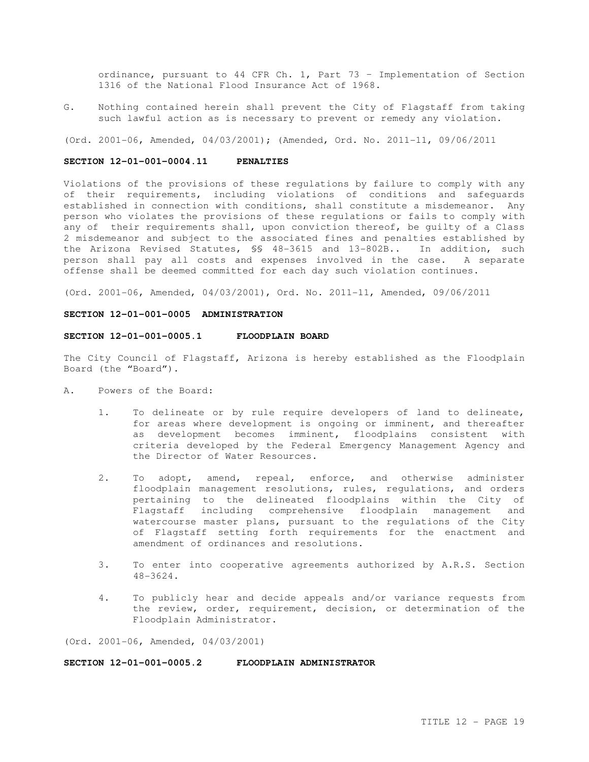ordinance, pursuant to 44 CFR Ch. 1, Part 73 – Implementation of Section 1316 of the National Flood Insurance Act of 1968.

G. Nothing contained herein shall prevent the City of Flagstaff from taking such lawful action as is necessary to prevent or remedy any violation.

(Ord. 2001-06, Amended, 04/03/2001); (Amended, Ord. No. 2011-11, 09/06/2011

### **SECTION 12-01-001-0004.11 PENALTIES**

Violations of the provisions of these regulations by failure to comply with any of their requirements, including violations of conditions and safeguards established in connection with conditions, shall constitute a misdemeanor. Any person who violates the provisions of these regulations or fails to comply with any of their requirements shall, upon conviction thereof, be guilty of a Class 2 misdemeanor and subject to the associated fines and penalties established by the Arizona Revised Statutes, §§ 48-3615 and 13-802B.. In addition, such person shall pay all costs and expenses involved in the case. A separate offense shall be deemed committed for each day such violation continues.

(Ord. 2001-06, Amended, 04/03/2001), Ord. No. 2011-11, Amended, 09/06/2011

### **SECTION 12-01-001-0005 ADMINISTRATION**

### **SECTION 12-01-001-0005.1 FLOODPLAIN BOARD**

The City Council of Flagstaff, Arizona is hereby established as the Floodplain Board (the "Board").

- A. Powers of the Board:
	- 1. To delineate or by rule require developers of land to delineate, for areas where development is ongoing or imminent, and thereafter as development becomes imminent, floodplains consistent with criteria developed by the Federal Emergency Management Agency and the Director of Water Resources.
	- 2. To adopt, amend, repeal, enforce, and otherwise administer floodplain management resolutions, rules, regulations, and orders pertaining to the delineated floodplains within the City of Flagstaff including comprehensive floodplain management and watercourse master plans, pursuant to the regulations of the City of Flagstaff setting forth requirements for the enactment and amendment of ordinances and resolutions.
	- 3. To enter into cooperative agreements authorized by A.R.S. Section 48-3624.
	- 4. To publicly hear and decide appeals and/or variance requests from the review, order, requirement, decision, or determination of the Floodplain Administrator.

(Ord. 2001-06, Amended, 04/03/2001)

**SECTION 12-01-001-0005.2 FLOODPLAIN ADMINISTRATOR**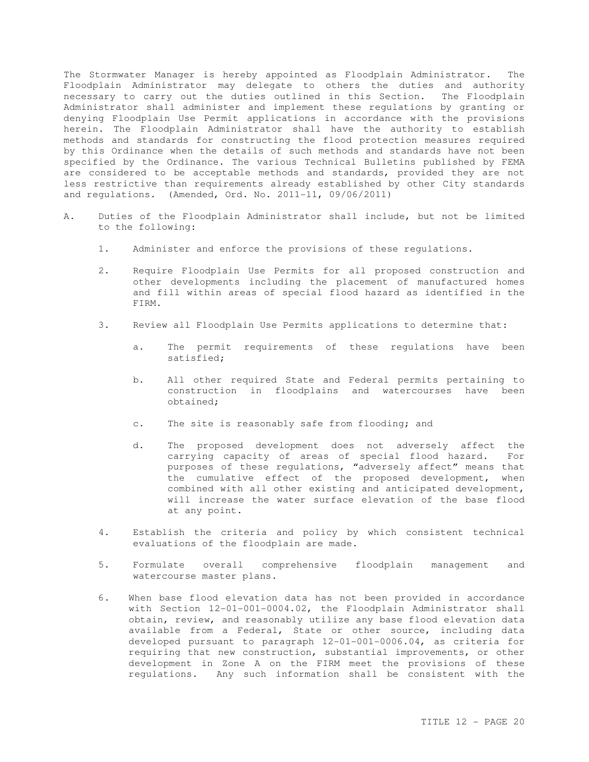The Stormwater Manager is hereby appointed as Floodplain Administrator. The Floodplain Administrator may delegate to others the duties and authority necessary to carry out the duties outlined in this Section. The Floodplain Administrator shall administer and implement these regulations by granting or denying Floodplain Use Permit applications in accordance with the provisions herein. The Floodplain Administrator shall have the authority to establish methods and standards for constructing the flood protection measures required by this Ordinance when the details of such methods and standards have not been specified by the Ordinance. The various Technical Bulletins published by FEMA are considered to be acceptable methods and standards, provided they are not less restrictive than requirements already established by other City standards and regulations. (Amended, Ord. No. 2011-11, 09/06/2011)

- A. Duties of the Floodplain Administrator shall include, but not be limited to the following:
	- 1. Administer and enforce the provisions of these regulations.
	- 2. Require Floodplain Use Permits for all proposed construction and other developments including the placement of manufactured homes and fill within areas of special flood hazard as identified in the FIRM.
	- 3. Review all Floodplain Use Permits applications to determine that:
		- a. The permit requirements of these regulations have been satisfied;
		- b. All other required State and Federal permits pertaining to construction in floodplains and watercourses have been obtained;
		- c. The site is reasonably safe from flooding; and
		- d. The proposed development does not adversely affect the carrying capacity of areas of special flood hazard. For purposes of these regulations, "adversely affect" means that the cumulative effect of the proposed development, when combined with all other existing and anticipated development, will increase the water surface elevation of the base flood at any point.
	- 4. Establish the criteria and policy by which consistent technical evaluations of the floodplain are made.
	- 5. Formulate overall comprehensive floodplain management and watercourse master plans.
	- 6. When base flood elevation data has not been provided in accordance with Section 12-01-001-0004.02, the Floodplain Administrator shall obtain, review, and reasonably utilize any base flood elevation data available from a Federal, State or other source, including data developed pursuant to paragraph 12-01-001-0006.04, as criteria for requiring that new construction, substantial improvements, or other development in Zone A on the FIRM meet the provisions of these regulations. Any such information shall be consistent with the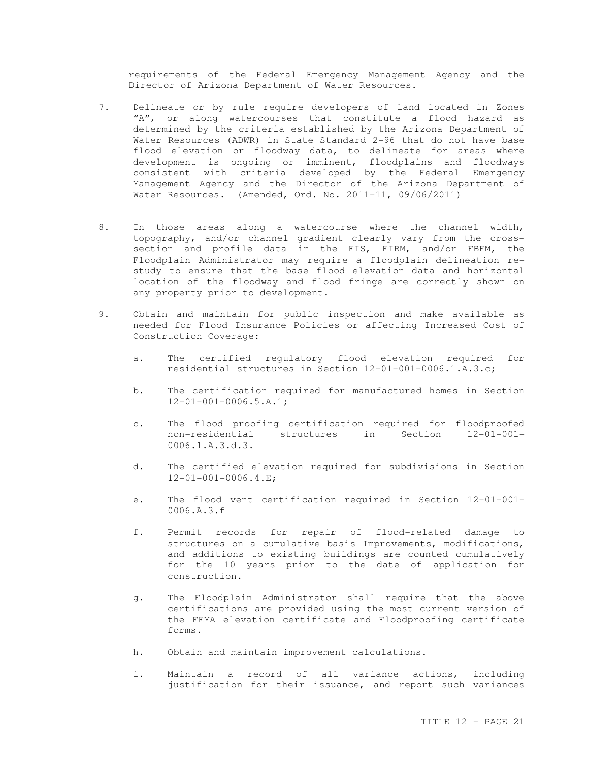requirements of the Federal Emergency Management Agency and the Director of Arizona Department of Water Resources.

- 7. Delineate or by rule require developers of land located in Zones "A", or along watercourses that constitute a flood hazard as determined by the criteria established by the Arizona Department of Water Resources (ADWR) in State Standard 2-96 that do not have base flood elevation or floodway data, to delineate for areas where development is ongoing or imminent, floodplains and floodways consistent with criteria developed by the Federal Emergency Management Agency and the Director of the Arizona Department of Water Resources. (Amended, Ord. No. 2011-11, 09/06/2011)
- 8. In those areas along a watercourse where the channel width, topography, and/or channel gradient clearly vary from the crosssection and profile data in the FIS, FIRM, and/or FBFM, the Floodplain Administrator may require a floodplain delineation restudy to ensure that the base flood elevation data and horizontal location of the floodway and flood fringe are correctly shown on any property prior to development.
- 9. Obtain and maintain for public inspection and make available as needed for Flood Insurance Policies or affecting Increased Cost of Construction Coverage:
	- a. The certified regulatory flood elevation required for residential structures in Section 12-01-001-0006.1.A.3.c;
	- b. The certification required for manufactured homes in Section 12-01-001-0006.5.A.1;
	- c. The flood proofing certification required for floodproofed non-residential structures in Section 12-01-001- 0006.1.A.3.d.3.
	- d. The certified elevation required for subdivisions in Section 12-01-001-0006.4.E;
	- e. The flood vent certification required in Section 12-01-001- 0006.A.3.f
	- f. Permit records for repair of flood-related damage to structures on a cumulative basis Improvements, modifications, and additions to existing buildings are counted cumulatively for the 10 years prior to the date of application for construction.
	- g. The Floodplain Administrator shall require that the above certifications are provided using the most current version of the FEMA elevation certificate and Floodproofing certificate forms.
	- h. Obtain and maintain improvement calculations.
	- i. Maintain a record of all variance actions, including justification for their issuance, and report such variances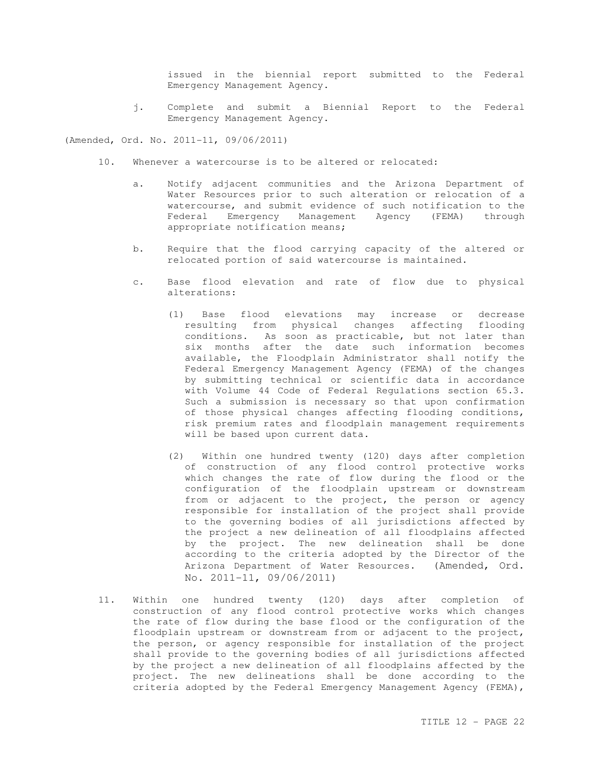issued in the biennial report submitted to the Federal Emergency Management Agency.

j. Complete and submit a Biennial Report to the Federal Emergency Management Agency.

(Amended, Ord. No. 2011-11, 09/06/2011)

- 10. Whenever a watercourse is to be altered or relocated:
	- a. Notify adjacent communities and the Arizona Department of Water Resources prior to such alteration or relocation of a watercourse, and submit evidence of such notification to the Federal Emergency Management Agency (FEMA) through appropriate notification means;
	- b. Require that the flood carrying capacity of the altered or relocated portion of said watercourse is maintained.
	- c. Base flood elevation and rate of flow due to physical alterations:
		- (1) Base flood elevations may increase or decrease resulting from physical changes affecting flooding conditions. As soon as practicable, but not later than six months after the date such information becomes available, the Floodplain Administrator shall notify the Federal Emergency Management Agency (FEMA) of the changes by submitting technical or scientific data in accordance with Volume 44 Code of Federal Regulations section 65.3. Such a submission is necessary so that upon confirmation of those physical changes affecting flooding conditions, risk premium rates and floodplain management requirements will be based upon current data.
		- (2) Within one hundred twenty (120) days after completion of construction of any flood control protective works which changes the rate of flow during the flood or the configuration of the floodplain upstream or downstream from or adjacent to the project, the person or agency responsible for installation of the project shall provide to the governing bodies of all jurisdictions affected by the project a new delineation of all floodplains affected by the project. The new delineation shall be done according to the criteria adopted by the Director of the Arizona Department of Water Resources. (Amended, Ord. No. 2011-11, 09/06/2011)
- 11. Within one hundred twenty (120) days after completion of construction of any flood control protective works which changes the rate of flow during the base flood or the configuration of the floodplain upstream or downstream from or adjacent to the project, the person, or agency responsible for installation of the project shall provide to the governing bodies of all jurisdictions affected by the project a new delineation of all floodplains affected by the project. The new delineations shall be done according to the criteria adopted by the Federal Emergency Management Agency (FEMA),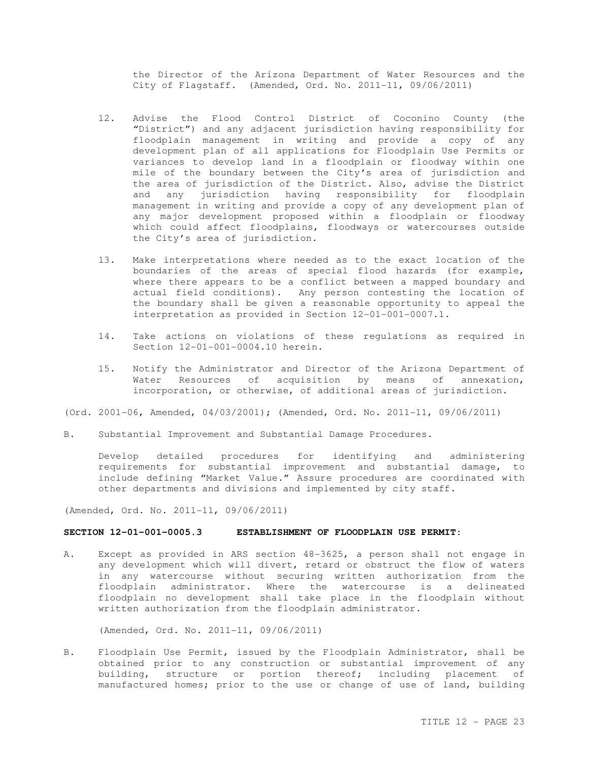the Director of the Arizona Department of Water Resources and the City of Flagstaff. (Amended, Ord. No. 2011-11, 09/06/2011)

- 12. Advise the Flood Control District of Coconino County (the "District") and any adjacent jurisdiction having responsibility for floodplain management in writing and provide a copy of any development plan of all applications for Floodplain Use Permits or variances to develop land in a floodplain or floodway within one mile of the boundary between the City's area of jurisdiction and the area of jurisdiction of the District. Also, advise the District and any jurisdiction having responsibility for floodplain management in writing and provide a copy of any development plan of any major development proposed within a floodplain or floodway which could affect floodplains, floodways or watercourses outside the City's area of jurisdiction.
- 13. Make interpretations where needed as to the exact location of the boundaries of the areas of special flood hazards (for example, where there appears to be a conflict between a mapped boundary and actual field conditions). Any person contesting the location of the boundary shall be given a reasonable opportunity to appeal the interpretation as provided in Section 12-01-001-0007.1.
- 14. Take actions on violations of these regulations as required in Section 12-01-001-0004.10 herein.
- 15. Notify the Administrator and Director of the Arizona Department of Water Resources of acquisition by means of annexation, incorporation, or otherwise, of additional areas of jurisdiction.
- (Ord. 2001-06, Amended, 04/03/2001); (Amended, Ord. No. 2011-11, 09/06/2011)
- B. Substantial Improvement and Substantial Damage Procedures.

Develop detailed procedures for identifying and administering requirements for substantial improvement and substantial damage, to include defining "Market Value." Assure procedures are coordinated with other departments and divisions and implemented by city staff.

(Amended, Ord. No. 2011-11, 09/06/2011)

# **SECTION 12-01-001-0005.3 ESTABLISHMENT OF FLOODPLAIN USE PERMIT:**

A. Except as provided in ARS section 48-3625, a person shall not engage in any development which will divert, retard or obstruct the flow of waters in any watercourse without securing written authorization from the floodplain administrator. Where the watercourse is a delineated floodplain no development shall take place in the floodplain without written authorization from the floodplain administrator.

(Amended, Ord. No. 2011-11, 09/06/2011)

B. Floodplain Use Permit, issued by the Floodplain Administrator, shall be obtained prior to any construction or substantial improvement of any building, structure or portion thereof; including placement of manufactured homes; prior to the use or change of use of land, building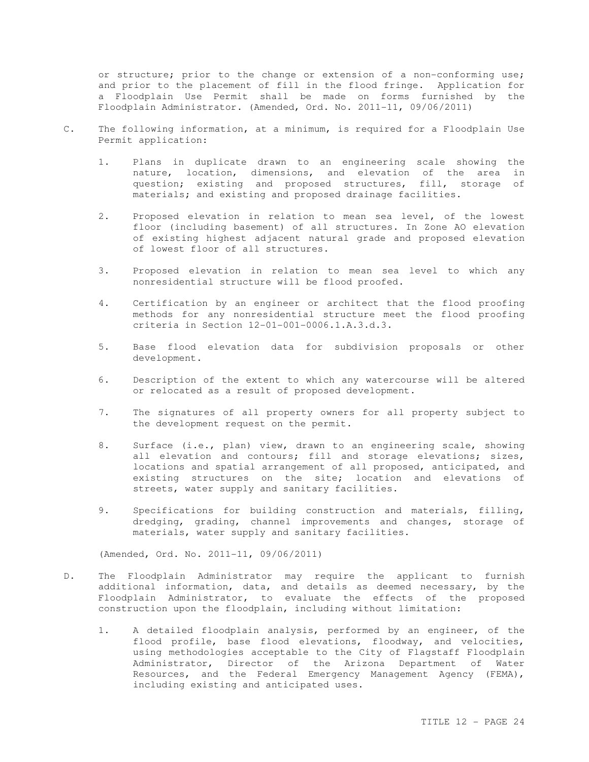or structure; prior to the change or extension of a non-conforming use; and prior to the placement of fill in the flood fringe. Application for a Floodplain Use Permit shall be made on forms furnished by the Floodplain Administrator. (Amended, Ord. No. 2011-11, 09/06/2011)

- C. The following information, at a minimum, is required for a Floodplain Use Permit application:
	- 1. Plans in duplicate drawn to an engineering scale showing the nature, location, dimensions, and elevation of the area in question; existing and proposed structures, fill, storage of materials; and existing and proposed drainage facilities.
	- 2. Proposed elevation in relation to mean sea level, of the lowest floor (including basement) of all structures. In Zone AO elevation of existing highest adjacent natural grade and proposed elevation of lowest floor of all structures.
	- 3. Proposed elevation in relation to mean sea level to which any nonresidential structure will be flood proofed.
	- 4. Certification by an engineer or architect that the flood proofing methods for any nonresidential structure meet the flood proofing criteria in Section 12-01-001-0006.1.A.3.d.3.
	- 5. Base flood elevation data for subdivision proposals or other development.
	- 6. Description of the extent to which any watercourse will be altered or relocated as a result of proposed development.
	- 7. The signatures of all property owners for all property subject to the development request on the permit.
	- 8. Surface (i.e., plan) view, drawn to an engineering scale, showing all elevation and contours; fill and storage elevations; sizes, locations and spatial arrangement of all proposed, anticipated, and existing structures on the site; location and elevations of streets, water supply and sanitary facilities.
	- 9. Specifications for building construction and materials, filling, dredging, grading, channel improvements and changes, storage of materials, water supply and sanitary facilities.

(Amended, Ord. No. 2011-11, 09/06/2011)

- D. The Floodplain Administrator may require the applicant to furnish additional information, data, and details as deemed necessary, by the Floodplain Administrator, to evaluate the effects of the proposed construction upon the floodplain, including without limitation:
	- 1. A detailed floodplain analysis, performed by an engineer, of the flood profile, base flood elevations, floodway, and velocities, using methodologies acceptable to the City of Flagstaff Floodplain Administrator, Director of the Arizona Department of Water Resources, and the Federal Emergency Management Agency (FEMA), including existing and anticipated uses.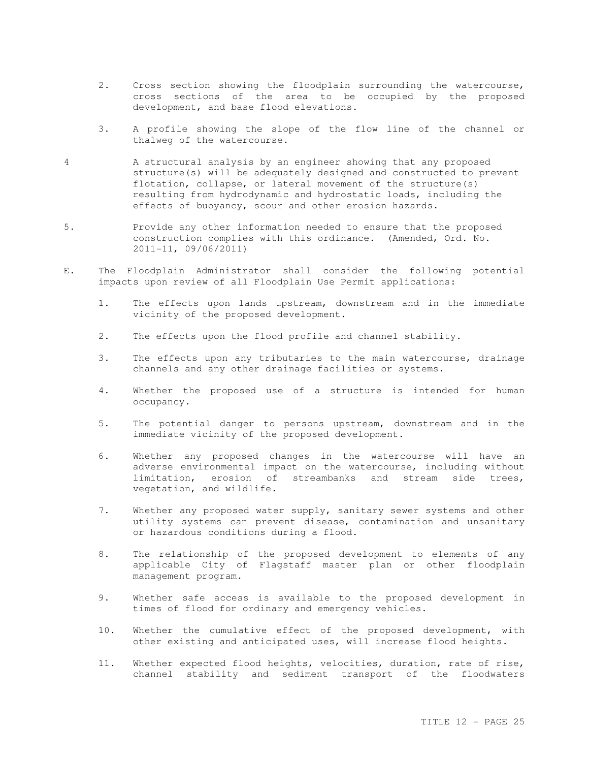- 2. Cross section showing the floodplain surrounding the watercourse, cross sections of the area to be occupied by the proposed development, and base flood elevations.
- 3. A profile showing the slope of the flow line of the channel or thalweg of the watercourse.
- 4 A structural analysis by an engineer showing that any proposed structure(s) will be adequately designed and constructed to prevent flotation, collapse, or lateral movement of the structure(s) resulting from hydrodynamic and hydrostatic loads, including the effects of buoyancy, scour and other erosion hazards.
- 5. Provide any other information needed to ensure that the proposed construction complies with this ordinance. (Amended, Ord. No. 2011-11, 09/06/2011)
- E. The Floodplain Administrator shall consider the following potential impacts upon review of all Floodplain Use Permit applications:
	- 1. The effects upon lands upstream, downstream and in the immediate vicinity of the proposed development.
	- 2. The effects upon the flood profile and channel stability.
	- 3. The effects upon any tributaries to the main watercourse, drainage channels and any other drainage facilities or systems.
	- 4. Whether the proposed use of a structure is intended for human occupancy.
	- 5. The potential danger to persons upstream, downstream and in the immediate vicinity of the proposed development.
	- 6. Whether any proposed changes in the watercourse will have an adverse environmental impact on the watercourse, including without limitation, erosion of streambanks and stream side trees, vegetation, and wildlife.
	- 7. Whether any proposed water supply, sanitary sewer systems and other utility systems can prevent disease, contamination and unsanitary or hazardous conditions during a flood.
	- 8. The relationship of the proposed development to elements of any applicable City of Flagstaff master plan or other floodplain management program.
	- 9. Whether safe access is available to the proposed development in times of flood for ordinary and emergency vehicles.
	- 10. Whether the cumulative effect of the proposed development, with other existing and anticipated uses, will increase flood heights.
	- 11. Whether expected flood heights, velocities, duration, rate of rise, channel stability and sediment transport of the floodwaters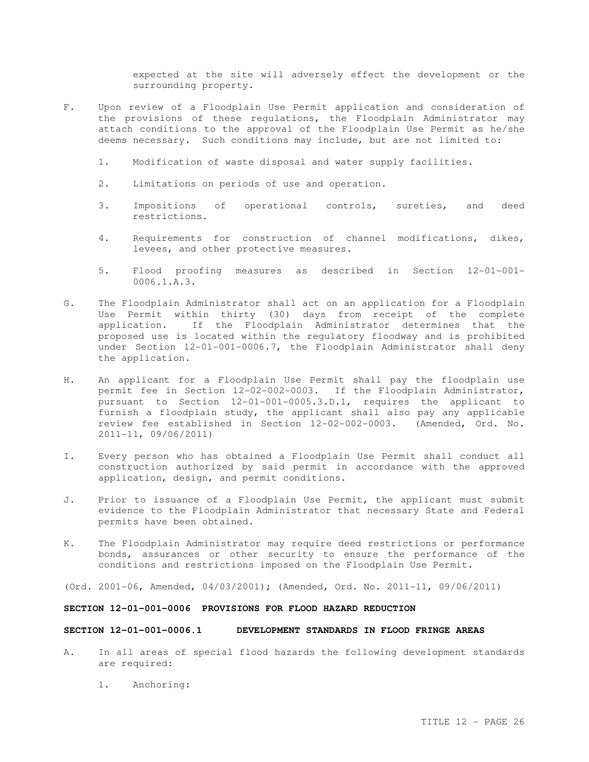expected at the site will adversely effect the development or the surrounding property.

- F. Upon review of a Floodplain Use Permit application and consideration of the provisions of these regulations, the Floodplain Administrator may attach conditions to the approval of the Floodplain Use Permit as he/she deems necessary. Such conditions may include, but are not limited to:
	- 1. Modification of waste disposal and water supply facilities.
	- 2. Limitations on periods of use and operation.
	- 3. Impositions of operational controls, sureties, and deed restrictions.
	- 4. Requirements for construction of channel modifications, dikes, levees, and other protective measures.
	- 5. Flood proofing measures as described in Section 12-01-001- 0006.1.A.3.
- G. The Floodplain Administrator shall act on an application for a Floodplain Use Permit within thirty (30) days from receipt of the complete application. If the Floodplain Administrator determines that the proposed use is located within the regulatory floodway and is prohibited under Section 12-01-001-0006.7, the Floodplain Administrator shall deny the application.
- H. An applicant for a Floodplain Use Permit shall pay the floodplain use permit fee in Section 12-02-002-0003. If the Floodplain Administrator, pursuant to Section 12-01-001-0005.3.D.1, requires the applicant to furnish a floodplain study, the applicant shall also pay any applicable review fee established in Section 12-02-002-0003. (Amended, Ord. No. 2011-11, 09/06/2011)
- I. Every person who has obtained a Floodplain Use Permit shall conduct all construction authorized by said permit in accordance with the approved application, design, and permit conditions.
- J. Prior to issuance of a Floodplain Use Permit, the applicant must submit evidence to the Floodplain Administrator that necessary State and Federal permits have been obtained.
- K. The Floodplain Administrator may require deed restrictions or performance bonds, assurances or other security to ensure the performance of the conditions and restrictions imposed on the Floodplain Use Permit.

(Ord. 2001-06, Amended, 04/03/2001); (Amended, Ord. No. 2011-11, 09/06/2011)

# **SECTION 12-01-001-0006 PROVISIONS FOR FLOOD HAZARD REDUCTION**

# **SECTION 12-01-001-0006.1 DEVELOPMENT STANDARDS IN FLOOD FRINGE AREAS**

- A. In all areas of special flood hazards the following development standards are required:
	- 1. Anchoring: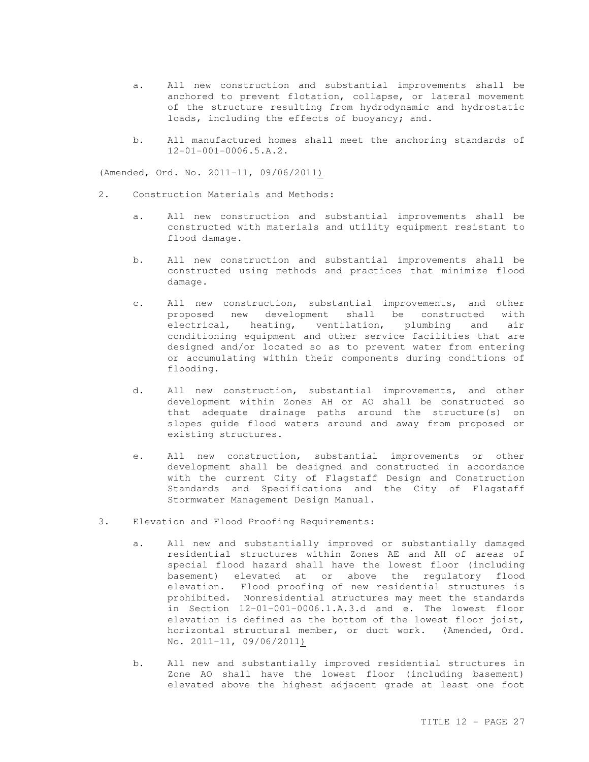- a. All new construction and substantial improvements shall be anchored to prevent flotation, collapse, or lateral movement of the structure resulting from hydrodynamic and hydrostatic loads, including the effects of buoyancy; and.
- b. All manufactured homes shall meet the anchoring standards of 12-01-001-0006.5.A.2.

(Amended, Ord. No. 2011-11, 09/06/2011)

- 2. Construction Materials and Methods:
	- a. All new construction and substantial improvements shall be constructed with materials and utility equipment resistant to flood damage.
	- b. All new construction and substantial improvements shall be constructed using methods and practices that minimize flood damage.
	- c. All new construction, substantial improvements, and other proposed new development shall be constructed with electrical, heating, ventilation, plumbing and air conditioning equipment and other service facilities that are designed and/or located so as to prevent water from entering or accumulating within their components during conditions of flooding.
	- d. All new construction, substantial improvements, and other development within Zones AH or AO shall be constructed so that adequate drainage paths around the structure(s) on slopes guide flood waters around and away from proposed or existing structures.
	- e. All new construction, substantial improvements or other development shall be designed and constructed in accordance with the current City of Flagstaff Design and Construction Standards and Specifications and the City of Flagstaff Stormwater Management Design Manual.
- 3. Elevation and Flood Proofing Requirements:
	- a. All new and substantially improved or substantially damaged residential structures within Zones AE and AH of areas of special flood hazard shall have the lowest floor (including basement) elevated at or above the regulatory flood elevation. Flood proofing of new residential structures is prohibited. Nonresidential structures may meet the standards in Section 12-01-001-0006.1.A.3.d and e. The lowest floor elevation is defined as the bottom of the lowest floor joist, horizontal structural member, or duct work. (Amended, Ord. No. 2011-11, 09/06/2011)
	- b. All new and substantially improved residential structures in Zone AO shall have the lowest floor (including basement) elevated above the highest adjacent grade at least one foot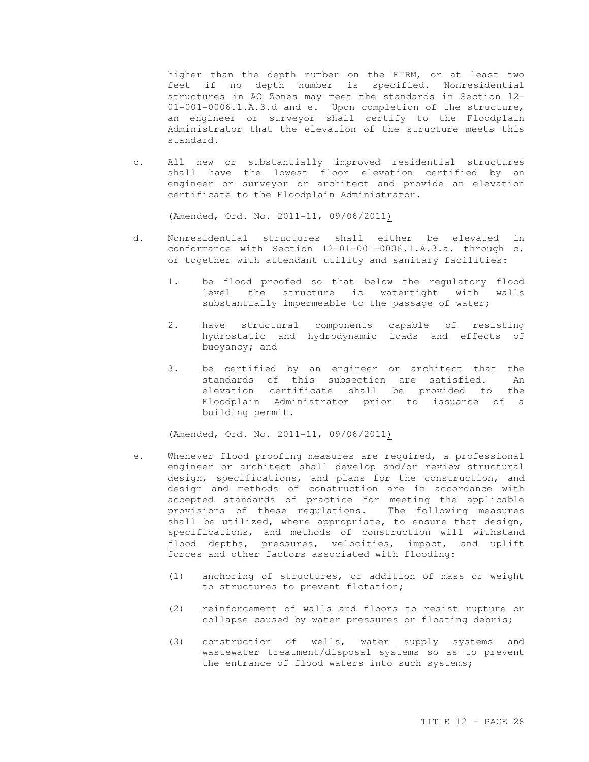higher than the depth number on the FIRM, or at least two feet if no depth number is specified. Nonresidential structures in AO Zones may meet the standards in Section 12- 01-001-0006.1.A.3.d and e. Upon completion of the structure, an engineer or surveyor shall certify to the Floodplain Administrator that the elevation of the structure meets this standard.

c. All new or substantially improved residential structures shall have the lowest floor elevation certified by an engineer or surveyor or architect and provide an elevation certificate to the Floodplain Administrator.

(Amended, Ord. No. 2011-11, 09/06/2011)

- d. Nonresidential structures shall either be elevated in conformance with Section 12-01-001-0006.1.A.3.a. through c. or together with attendant utility and sanitary facilities:
	- 1. be flood proofed so that below the regulatory flood level the structure is watertight with walls substantially impermeable to the passage of water;
	- 2. have structural components capable of resisting hydrostatic and hydrodynamic loads and effects of buoyancy; and
	- 3. be certified by an engineer or architect that the standards of this subsection are satisfied. An elevation certificate shall be provided to the Floodplain Administrator prior to issuance of a building permit.

(Amended, Ord. No. 2011-11, 09/06/2011)

- e. Whenever flood proofing measures are required, a professional engineer or architect shall develop and/or review structural design, specifications, and plans for the construction, and design and methods of construction are in accordance with accepted standards of practice for meeting the applicable provisions of these regulations. The following measures shall be utilized, where appropriate, to ensure that design, specifications, and methods of construction will withstand flood depths, pressures, velocities, impact, and uplift forces and other factors associated with flooding:
	- (1) anchoring of structures, or addition of mass or weight to structures to prevent flotation;
	- (2) reinforcement of walls and floors to resist rupture or collapse caused by water pressures or floating debris;
	- (3) construction of wells, water supply systems and wastewater treatment/disposal systems so as to prevent the entrance of flood waters into such systems;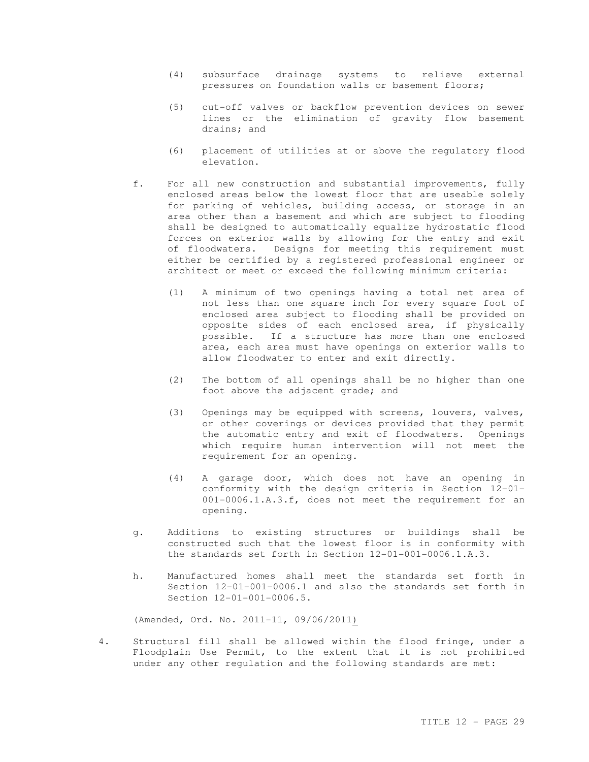- (4) subsurface drainage systems to relieve external pressures on foundation walls or basement floors;
- (5) cut-off valves or backflow prevention devices on sewer lines or the elimination of gravity flow basement drains; and
- (6) placement of utilities at or above the regulatory flood elevation.
- f. For all new construction and substantial improvements, fully enclosed areas below the lowest floor that are useable solely for parking of vehicles, building access, or storage in an area other than a basement and which are subject to flooding shall be designed to automatically equalize hydrostatic flood forces on exterior walls by allowing for the entry and exit of floodwaters. Designs for meeting this requirement must either be certified by a registered professional engineer or architect or meet or exceed the following minimum criteria:
	- (1) A minimum of two openings having a total net area of not less than one square inch for every square foot of enclosed area subject to flooding shall be provided on opposite sides of each enclosed area, if physically possible. If a structure has more than one enclosed area, each area must have openings on exterior walls to allow floodwater to enter and exit directly.
	- (2) The bottom of all openings shall be no higher than one foot above the adjacent grade; and
	- (3) Openings may be equipped with screens, louvers, valves, or other coverings or devices provided that they permit the automatic entry and exit of floodwaters. Openings which require human intervention will not meet the requirement for an opening.
	- (4) A garage door, which does not have an opening in conformity with the design criteria in Section 12-01- 001-0006.1.A.3.f, does not meet the requirement for an opening.
- g. Additions to existing structures or buildings shall be constructed such that the lowest floor is in conformity with the standards set forth in Section 12-01-001-0006.1.A.3.
- h. Manufactured homes shall meet the standards set forth in Section 12-01-001-0006.1 and also the standards set forth in Section 12-01-001-0006.5.

(Amended, Ord. No. 2011-11, 09/06/2011)

4. Structural fill shall be allowed within the flood fringe, under a Floodplain Use Permit, to the extent that it is not prohibited under any other regulation and the following standards are met: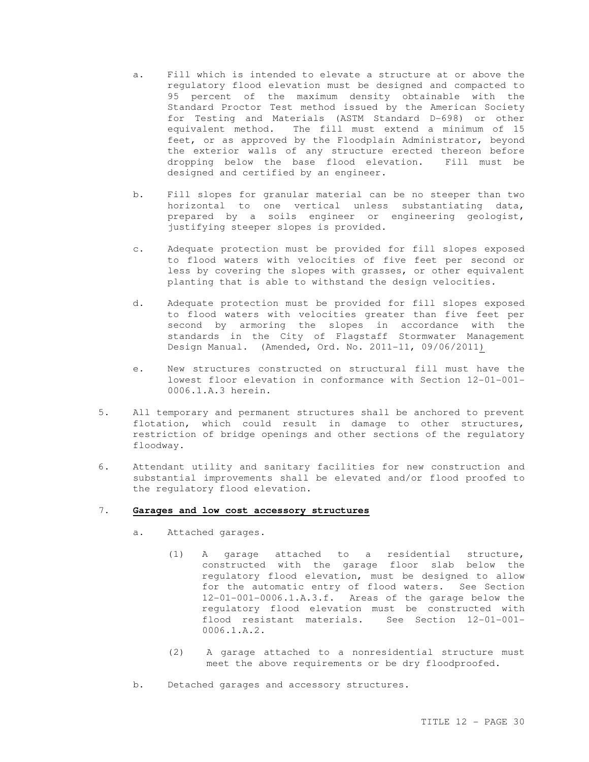- a. Fill which is intended to elevate a structure at or above the regulatory flood elevation must be designed and compacted to 95 percent of the maximum density obtainable with the Standard Proctor Test method issued by the American Society for Testing and Materials (ASTM Standard D-698) or other equivalent method. The fill must extend a minimum of 15 feet, or as approved by the Floodplain Administrator, beyond the exterior walls of any structure erected thereon before dropping below the base flood elevation. Fill must be designed and certified by an engineer.
- b. Fill slopes for granular material can be no steeper than two horizontal to one vertical unless substantiating data, prepared by a soils engineer or engineering geologist, justifying steeper slopes is provided.
- c. Adequate protection must be provided for fill slopes exposed to flood waters with velocities of five feet per second or less by covering the slopes with grasses, or other equivalent planting that is able to withstand the design velocities.
- d. Adequate protection must be provided for fill slopes exposed to flood waters with velocities greater than five feet per second by armoring the slopes in accordance with the standards in the City of Flagstaff Stormwater Management Design Manual. (Amended, Ord. No. 2011-11, 09/06/2011)
- e. New structures constructed on structural fill must have the lowest floor elevation in conformance with Section 12-01-001- 0006.1.A.3 herein.
- 5. All temporary and permanent structures shall be anchored to prevent flotation, which could result in damage to other structures, restriction of bridge openings and other sections of the regulatory floodway.
- 6. Attendant utility and sanitary facilities for new construction and substantial improvements shall be elevated and/or flood proofed to the regulatory flood elevation.

#### 7. **Garages and low cost accessory structures**

- a. Attached garages.
	- (1) A garage attached to a residential structure, constructed with the garage floor slab below the regulatory flood elevation, must be designed to allow for the automatic entry of flood waters. See Section 12-01-001-0006.1.A.3.f. Areas of the garage below the regulatory flood elevation must be constructed with flood resistant materials. See Section 12-01-001- 0006.1.A.2.
	- (2) A garage attached to a nonresidential structure must meet the above requirements or be dry floodproofed.
- b. Detached garages and accessory structures.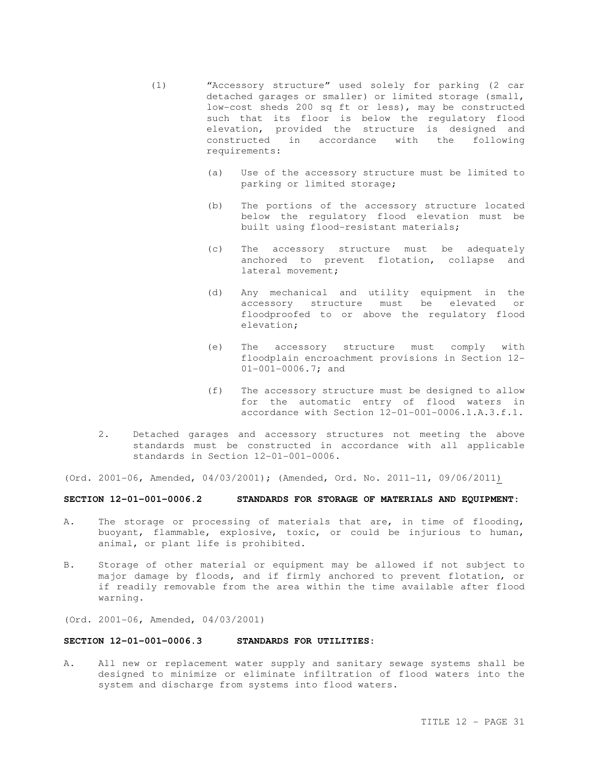- (1) "Accessory structure" used solely for parking (2 car detached garages or smaller) or limited storage (small, low-cost sheds 200 sq ft or less), may be constructed such that its floor is below the regulatory flood elevation, provided the structure is designed and constructed in accordance with the following requirements:
	- (a) Use of the accessory structure must be limited to parking or limited storage;
	- (b) The portions of the accessory structure located below the regulatory flood elevation must be built using flood-resistant materials;
	- (c) The accessory structure must be adequately anchored to prevent flotation, collapse and lateral movement;
	- (d) Any mechanical and utility equipment in the accessory structure must be elevated or floodproofed to or above the regulatory flood elevation;
	- (e) The accessory structure must comply with floodplain encroachment provisions in Section 12- 01-001-0006.7; and
	- (f) The accessory structure must be designed to allow for the automatic entry of flood waters in accordance with Section 12-01-001-0006.1.A.3.f.1.
- 2. Detached garages and accessory structures not meeting the above standards must be constructed in accordance with all applicable standards in Section 12-01-001-0006.

(Ord. 2001-06, Amended, 04/03/2001); (Amended, Ord. No. 2011-11, 09/06/2011)

# **SECTION 12-01-001-0006.2 STANDARDS FOR STORAGE OF MATERIALS AND EQUIPMENT:**

- A. The storage or processing of materials that are, in time of flooding, buoyant, flammable, explosive, toxic, or could be injurious to human, animal, or plant life is prohibited.
- B. Storage of other material or equipment may be allowed if not subject to major damage by floods, and if firmly anchored to prevent flotation, or if readily removable from the area within the time available after flood warning.
- (Ord. 2001-06, Amended, 04/03/2001)

# **SECTION 12-01-001-0006.3 STANDARDS FOR UTILITIES:**

A. All new or replacement water supply and sanitary sewage systems shall be designed to minimize or eliminate infiltration of flood waters into the system and discharge from systems into flood waters.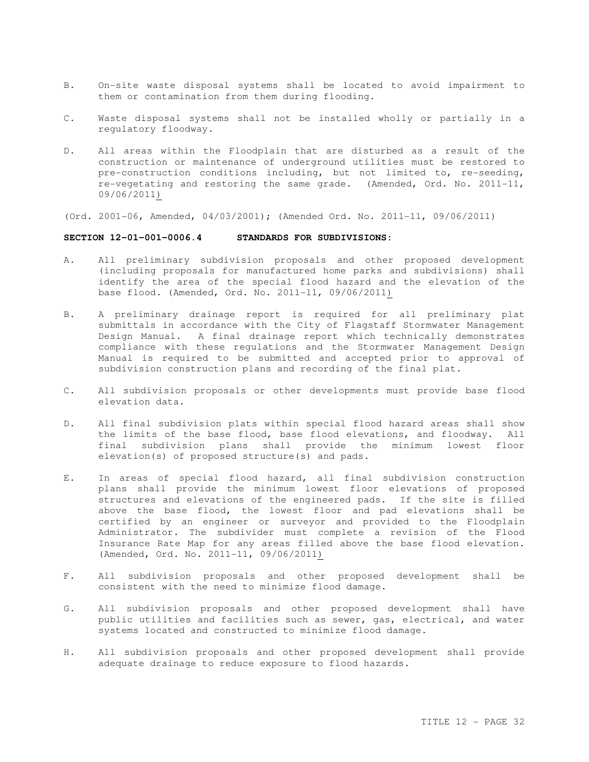- B. On-site waste disposal systems shall be located to avoid impairment to them or contamination from them during flooding.
- C. Waste disposal systems shall not be installed wholly or partially in a regulatory floodway.
- D. All areas within the Floodplain that are disturbed as a result of the construction or maintenance of underground utilities must be restored to pre-construction conditions including, but not limited to, re-seeding, re-vegetating and restoring the same grade. (Amended, Ord. No. 2011-11, 09/06/2011)
- (Ord. 2001-06, Amended, 04/03/2001); (Amended Ord. No. 2011-11, 09/06/2011)

### **SECTION 12-01-001-0006.4 STANDARDS FOR SUBDIVISIONS:**

- A. All preliminary subdivision proposals and other proposed development (including proposals for manufactured home parks and subdivisions) shall identify the area of the special flood hazard and the elevation of the base flood. (Amended, Ord. No. 2011-11, 09/06/2011)
- B. A preliminary drainage report is required for all preliminary plat submittals in accordance with the City of Flagstaff Stormwater Management Design Manual. A final drainage report which technically demonstrates compliance with these regulations and the Stormwater Management Design Manual is required to be submitted and accepted prior to approval of subdivision construction plans and recording of the final plat.
- C. All subdivision proposals or other developments must provide base flood elevation data.
- D. All final subdivision plats within special flood hazard areas shall show the limits of the base flood, base flood elevations, and floodway. All final subdivision plans shall provide the minimum lowest floor elevation(s) of proposed structure(s) and pads.
- E. In areas of special flood hazard, all final subdivision construction plans shall provide the minimum lowest floor elevations of proposed structures and elevations of the engineered pads. If the site is filled above the base flood, the lowest floor and pad elevations shall be certified by an engineer or surveyor and provided to the Floodplain Administrator. The subdivider must complete a revision of the Flood Insurance Rate Map for any areas filled above the base flood elevation. (Amended, Ord. No. 2011-11, 09/06/2011)
- F. All subdivision proposals and other proposed development shall be consistent with the need to minimize flood damage.
- G. All subdivision proposals and other proposed development shall have public utilities and facilities such as sewer, gas, electrical, and water systems located and constructed to minimize flood damage.
- H. All subdivision proposals and other proposed development shall provide adequate drainage to reduce exposure to flood hazards.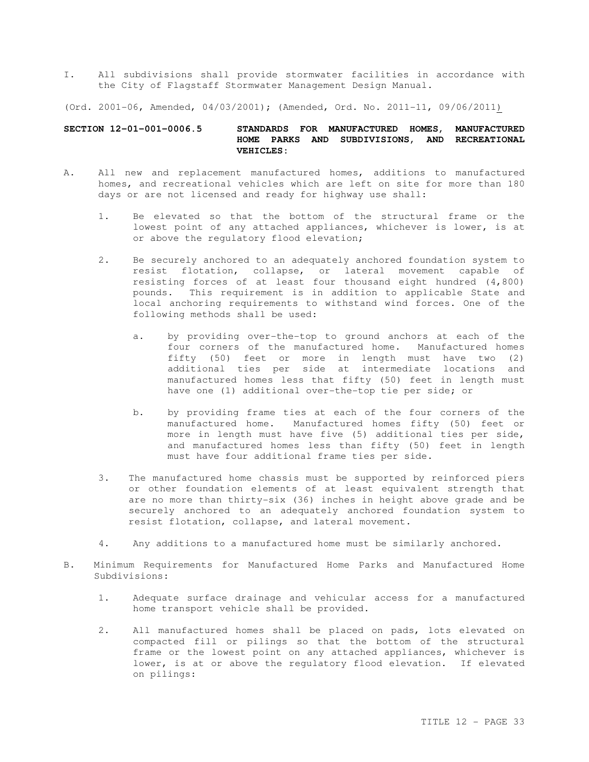I. All subdivisions shall provide stormwater facilities in accordance with the City of Flagstaff Stormwater Management Design Manual.

(Ord. 2001-06, Amended, 04/03/2001); (Amended, Ord. No. 2011-11, 09/06/2011)

#### **SECTION 12-01-001-0006.5 STANDARDS FOR MANUFACTURED HOMES, MANUFACTURED HOME PARKS AND SUBDIVISIONS, AND RECREATIONAL VEHICLES:**

- A. All new and replacement manufactured homes, additions to manufactured homes, and recreational vehicles which are left on site for more than 180 days or are not licensed and ready for highway use shall:
	- 1. Be elevated so that the bottom of the structural frame or the lowest point of any attached appliances, whichever is lower, is at or above the regulatory flood elevation;
	- 2. Be securely anchored to an adequately anchored foundation system to resist flotation, collapse, or lateral movement capable of resisting forces of at least four thousand eight hundred (4,800) pounds. This requirement is in addition to applicable State and local anchoring requirements to withstand wind forces. One of the following methods shall be used:
		- a. by providing over-the-top to ground anchors at each of the four corners of the manufactured home. Manufactured homes fifty (50) feet or more in length must have two (2) additional ties per side at intermediate locations and manufactured homes less that fifty (50) feet in length must have one (1) additional over-the-top tie per side; or
		- b. by providing frame ties at each of the four corners of the manufactured home. Manufactured homes fifty (50) feet or more in length must have five (5) additional ties per side, and manufactured homes less than fifty (50) feet in length must have four additional frame ties per side.
	- 3. The manufactured home chassis must be supported by reinforced piers or other foundation elements of at least equivalent strength that are no more than thirty-six (36) inches in height above grade and be securely anchored to an adequately anchored foundation system to resist flotation, collapse, and lateral movement.
	- 4. Any additions to a manufactured home must be similarly anchored.
- B. Minimum Requirements for Manufactured Home Parks and Manufactured Home Subdivisions:
	- 1. Adequate surface drainage and vehicular access for a manufactured home transport vehicle shall be provided.
	- 2. All manufactured homes shall be placed on pads, lots elevated on compacted fill or pilings so that the bottom of the structural frame or the lowest point on any attached appliances, whichever is lower, is at or above the regulatory flood elevation. If elevated on pilings: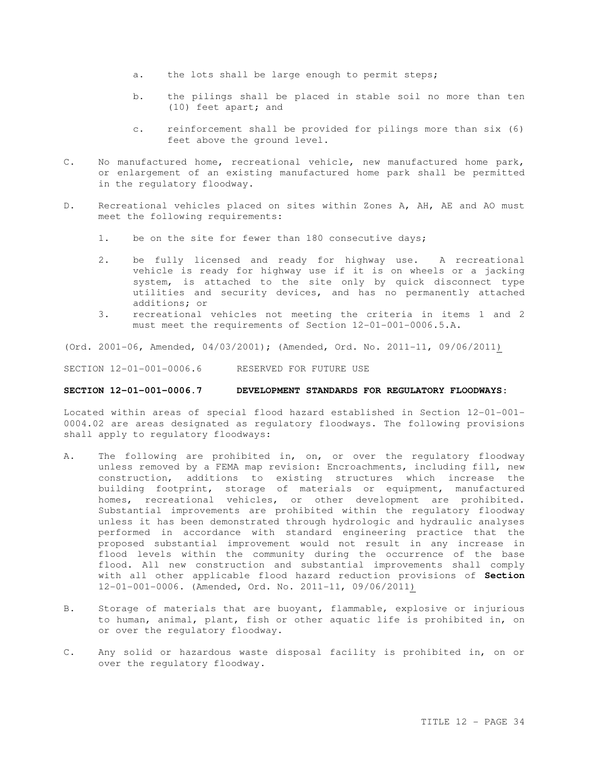- a. the lots shall be large enough to permit steps;
- b. the pilings shall be placed in stable soil no more than ten (10) feet apart; and
- c. reinforcement shall be provided for pilings more than six (6) feet above the ground level.
- C. No manufactured home, recreational vehicle, new manufactured home park, or enlargement of an existing manufactured home park shall be permitted in the regulatory floodway.
- D. Recreational vehicles placed on sites within Zones A, AH, AE and AO must meet the following requirements:
	- 1. be on the site for fewer than 180 consecutive days;
	- 2. be fully licensed and ready for highway use. A recreational vehicle is ready for highway use if it is on wheels or a jacking system, is attached to the site only by quick disconnect type utilities and security devices, and has no permanently attached additions; or
	- 3. recreational vehicles not meeting the criteria in items 1 and 2 must meet the requirements of Section 12-01-001-0006.5.A.

(Ord. 2001-06, Amended, 04/03/2001); (Amended, Ord. No. 2011-11, 09/06/2011)

SECTION 12-01-001-0006.6 RESERVED FOR FUTURE USE

#### **SECTION 12-01-001-0006.7 DEVELOPMENT STANDARDS FOR REGULATORY FLOODWAYS:**

Located within areas of special flood hazard established in Section 12-01-001- 0004.02 are areas designated as regulatory floodways. The following provisions shall apply to regulatory floodways:

- A. The following are prohibited in, on, or over the regulatory floodway unless removed by a FEMA map revision: Encroachments, including fill, new construction, additions to existing structures which increase the building footprint, storage of materials or equipment, manufactured homes, recreational vehicles, or other development are prohibited. Substantial improvements are prohibited within the regulatory floodway unless it has been demonstrated through hydrologic and hydraulic analyses performed in accordance with standard engineering practice that the proposed substantial improvement would not result in any increase in flood levels within the community during the occurrence of the base flood. All new construction and substantial improvements shall comply with all other applicable flood hazard reduction provisions of **Section**  12-01-001-0006. (Amended, Ord. No. 2011-11, 09/06/2011)
- B. Storage of materials that are buoyant, flammable, explosive or injurious to human, animal, plant, fish or other aquatic life is prohibited in, on or over the regulatory floodway.
- C. Any solid or hazardous waste disposal facility is prohibited in, on or over the regulatory floodway.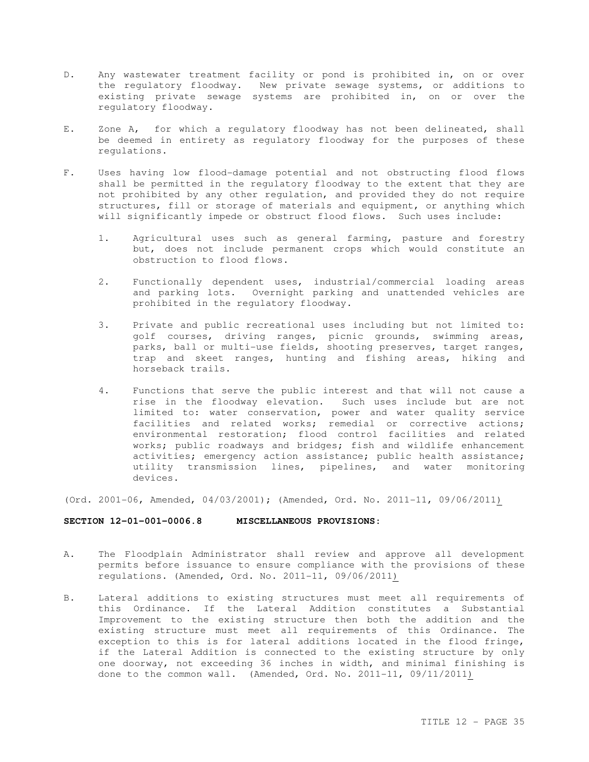- D. Any wastewater treatment facility or pond is prohibited in, on or over the regulatory floodway. New private sewage systems, or additions to existing private sewage systems are prohibited in, on or over the regulatory floodway.
- E. Zone A, for which a regulatory floodway has not been delineated, shall be deemed in entirety as regulatory floodway for the purposes of these regulations.
- F. Uses having low flood-damage potential and not obstructing flood flows shall be permitted in the regulatory floodway to the extent that they are not prohibited by any other regulation, and provided they do not require structures, fill or storage of materials and equipment, or anything which will significantly impede or obstruct flood flows. Such uses include:
	- 1. Agricultural uses such as general farming, pasture and forestry but, does not include permanent crops which would constitute an obstruction to flood flows.
	- 2. Functionally dependent uses, industrial/commercial loading areas and parking lots. Overnight parking and unattended vehicles are prohibited in the regulatory floodway.
	- 3. Private and public recreational uses including but not limited to: golf courses, driving ranges, picnic grounds, swimming areas, parks, ball or multi-use fields, shooting preserves, target ranges, trap and skeet ranges, hunting and fishing areas, hiking and horseback trails.
	- 4. Functions that serve the public interest and that will not cause a rise in the floodway elevation. Such uses include but are not limited to: water conservation, power and water quality service facilities and related works; remedial or corrective actions; environmental restoration; flood control facilities and related works; public roadways and bridges; fish and wildlife enhancement activities; emergency action assistance; public health assistance; utility transmission lines, pipelines, and water monitoring devices.

(Ord. 2001-06, Amended, 04/03/2001); (Amended, Ord. No. 2011-11, 09/06/2011)

#### **SECTION 12-01-001-0006.8 MISCELLANEOUS PROVISIONS:**

- A. The Floodplain Administrator shall review and approve all development permits before issuance to ensure compliance with the provisions of these regulations. (Amended, Ord. No. 2011-11, 09/06/2011)
- B. Lateral additions to existing structures must meet all requirements of this Ordinance. If the Lateral Addition constitutes a Substantial Improvement to the existing structure then both the addition and the existing structure must meet all requirements of this Ordinance. The exception to this is for lateral additions located in the flood fringe, if the Lateral Addition is connected to the existing structure by only one doorway, not exceeding 36 inches in width, and minimal finishing is done to the common wall. (Amended, Ord. No. 2011-11, 09/11/2011)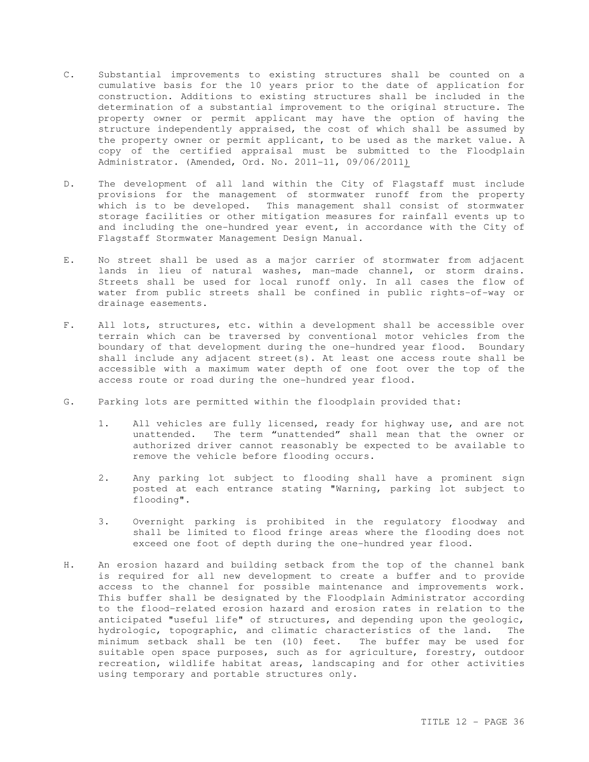- C. Substantial improvements to existing structures shall be counted on a cumulative basis for the 10 years prior to the date of application for construction. Additions to existing structures shall be included in the determination of a substantial improvement to the original structure. The property owner or permit applicant may have the option of having the structure independently appraised, the cost of which shall be assumed by the property owner or permit applicant, to be used as the market value. A copy of the certified appraisal must be submitted to the Floodplain Administrator. (Amended, Ord. No. 2011-11, 09/06/2011)
- D. The development of all land within the City of Flagstaff must include provisions for the management of stormwater runoff from the property which is to be developed. This management shall consist of stormwater storage facilities or other mitigation measures for rainfall events up to and including the one-hundred year event, in accordance with the City of Flagstaff Stormwater Management Design Manual.
- E. No street shall be used as a major carrier of stormwater from adjacent lands in lieu of natural washes, man-made channel, or storm drains. Streets shall be used for local runoff only. In all cases the flow of water from public streets shall be confined in public rights-of-way or drainage easements.
- F. All lots, structures, etc. within a development shall be accessible over terrain which can be traversed by conventional motor vehicles from the boundary of that development during the one-hundred year flood. Boundary shall include any adjacent street(s). At least one access route shall be accessible with a maximum water depth of one foot over the top of the access route or road during the one-hundred year flood.
- G. Parking lots are permitted within the floodplain provided that:
	- 1. All vehicles are fully licensed, ready for highway use, and are not unattended. The term "unattended" shall mean that the owner or authorized driver cannot reasonably be expected to be available to remove the vehicle before flooding occurs.
	- 2. Any parking lot subject to flooding shall have a prominent sign posted at each entrance stating "Warning, parking lot subject to flooding".
	- 3. Overnight parking is prohibited in the regulatory floodway and shall be limited to flood fringe areas where the flooding does not exceed one foot of depth during the one-hundred year flood.
- H. An erosion hazard and building setback from the top of the channel bank is required for all new development to create a buffer and to provide access to the channel for possible maintenance and improvements work. This buffer shall be designated by the Floodplain Administrator according to the flood-related erosion hazard and erosion rates in relation to the anticipated "useful life" of structures, and depending upon the geologic, hydrologic, topographic, and climatic characteristics of the land. The minimum setback shall be ten (10) feet. The buffer may be used for suitable open space purposes, such as for agriculture, forestry, outdoor recreation, wildlife habitat areas, landscaping and for other activities using temporary and portable structures only.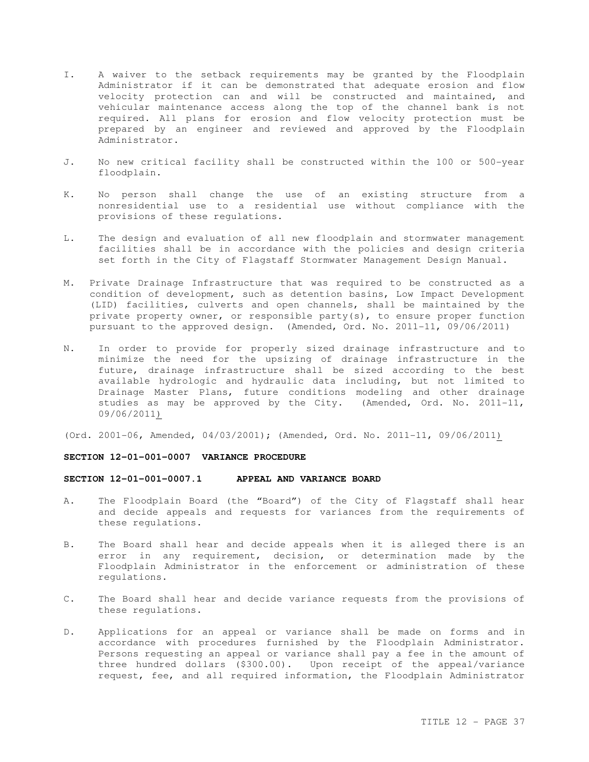- I. A waiver to the setback requirements may be granted by the Floodplain Administrator if it can be demonstrated that adequate erosion and flow velocity protection can and will be constructed and maintained, and vehicular maintenance access along the top of the channel bank is not required. All plans for erosion and flow velocity protection must be prepared by an engineer and reviewed and approved by the Floodplain Administrator.
- J. No new critical facility shall be constructed within the 100 or 500-year floodplain.
- K. No person shall change the use of an existing structure from a nonresidential use to a residential use without compliance with the provisions of these regulations.
- L. The design and evaluation of all new floodplain and stormwater management facilities shall be in accordance with the policies and design criteria set forth in the City of Flagstaff Stormwater Management Design Manual.
- M. Private Drainage Infrastructure that was required to be constructed as a condition of development, such as detention basins, Low Impact Development (LID) facilities, culverts and open channels, shall be maintained by the private property owner, or responsible party(s), to ensure proper function pursuant to the approved design. (Amended, Ord. No. 2011-11, 09/06/2011)
- N. In order to provide for properly sized drainage infrastructure and to minimize the need for the upsizing of drainage infrastructure in the future, drainage infrastructure shall be sized according to the best available hydrologic and hydraulic data including, but not limited to Drainage Master Plans, future conditions modeling and other drainage studies as may be approved by the City. (Amended, Ord. No. 2011-11, 09/06/2011)
- (Ord. 2001-06, Amended, 04/03/2001); (Amended, Ord. No. 2011-11, 09/06/2011)

## **SECTION 12-01-001-0007 VARIANCE PROCEDURE**

## **SECTION 12-01-001-0007.1 APPEAL AND VARIANCE BOARD**

- A. The Floodplain Board (the "Board") of the City of Flagstaff shall hear and decide appeals and requests for variances from the requirements of these regulations.
- B. The Board shall hear and decide appeals when it is alleged there is an error in any requirement, decision, or determination made by the Floodplain Administrator in the enforcement or administration of these regulations.
- C. The Board shall hear and decide variance requests from the provisions of these regulations.
- D. Applications for an appeal or variance shall be made on forms and in accordance with procedures furnished by the Floodplain Administrator. Persons requesting an appeal or variance shall pay a fee in the amount of three hundred dollars (\$300.00). Upon receipt of the appeal/variance request, fee, and all required information, the Floodplain Administrator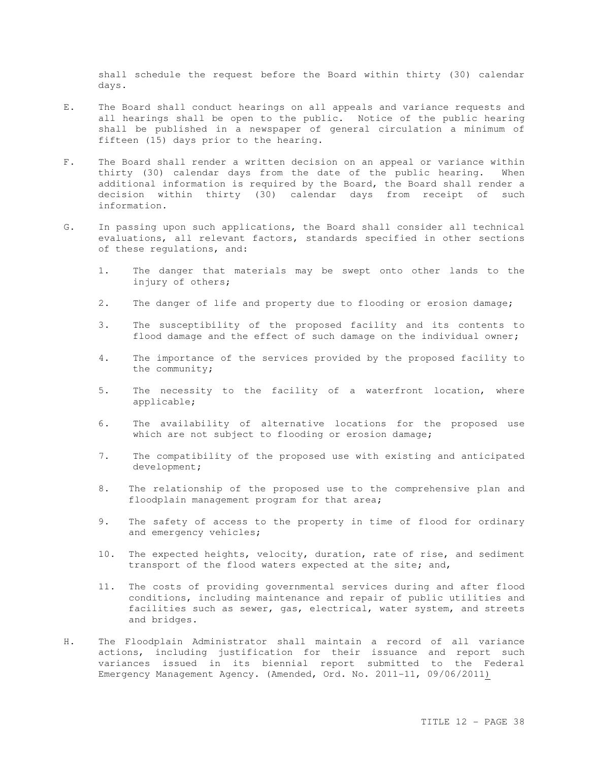shall schedule the request before the Board within thirty (30) calendar days.

- E. The Board shall conduct hearings on all appeals and variance requests and all hearings shall be open to the public. Notice of the public hearing shall be published in a newspaper of general circulation a minimum of fifteen (15) days prior to the hearing.
- F. The Board shall render a written decision on an appeal or variance within thirty (30) calendar days from the date of the public hearing. When additional information is required by the Board, the Board shall render a decision within thirty (30) calendar days from receipt of such information.
- G. In passing upon such applications, the Board shall consider all technical evaluations, all relevant factors, standards specified in other sections of these regulations, and:
	- 1. The danger that materials may be swept onto other lands to the injury of others;
	- 2. The danger of life and property due to flooding or erosion damage;
	- 3. The susceptibility of the proposed facility and its contents to flood damage and the effect of such damage on the individual owner;
	- 4. The importance of the services provided by the proposed facility to the community;
	- 5. The necessity to the facility of a waterfront location, where applicable;
	- 6. The availability of alternative locations for the proposed use which are not subject to flooding or erosion damage;
	- 7. The compatibility of the proposed use with existing and anticipated development;
	- 8. The relationship of the proposed use to the comprehensive plan and floodplain management program for that area;
	- 9. The safety of access to the property in time of flood for ordinary and emergency vehicles;
	- 10. The expected heights, velocity, duration, rate of rise, and sediment transport of the flood waters expected at the site; and,
	- 11. The costs of providing governmental services during and after flood conditions, including maintenance and repair of public utilities and facilities such as sewer, gas, electrical, water system, and streets and bridges.
- H. The Floodplain Administrator shall maintain a record of all variance actions, including justification for their issuance and report such variances issued in its biennial report submitted to the Federal Emergency Management Agency. (Amended, Ord. No. 2011-11, 09/06/2011)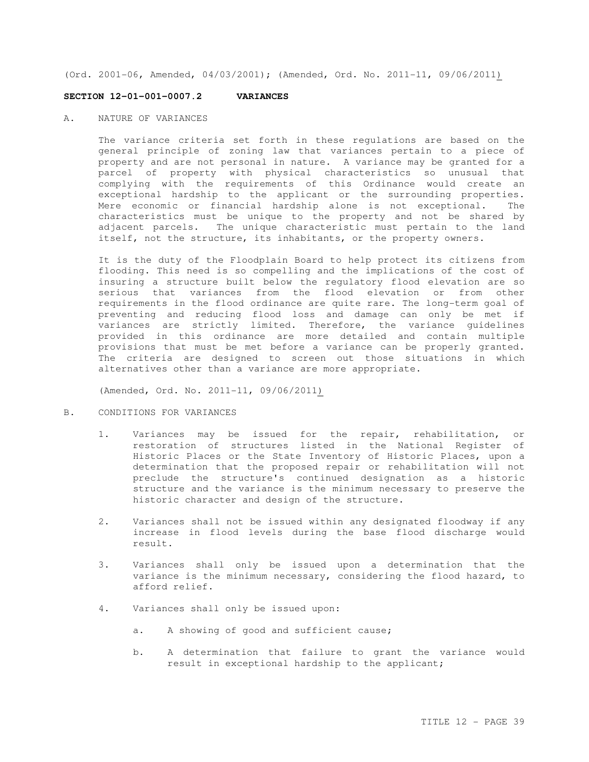(Ord. 2001-06, Amended, 04/03/2001); (Amended, Ord. No. 2011-11, 09/06/2011)

#### **SECTION 12-01-001-0007.2 VARIANCES**

A. NATURE OF VARIANCES

The variance criteria set forth in these regulations are based on the general principle of zoning law that variances pertain to a piece of property and are not personal in nature. A variance may be granted for a parcel of property with physical characteristics so unusual that complying with the requirements of this Ordinance would create an exceptional hardship to the applicant or the surrounding properties. Mere economic or financial hardship alone is not exceptional. The characteristics must be unique to the property and not be shared by adjacent parcels. The unique characteristic must pertain to the land itself, not the structure, its inhabitants, or the property owners.

It is the duty of the Floodplain Board to help protect its citizens from flooding. This need is so compelling and the implications of the cost of insuring a structure built below the regulatory flood elevation are so serious that variances from the flood elevation or from other requirements in the flood ordinance are quite rare. The long-term goal of preventing and reducing flood loss and damage can only be met if variances are strictly limited. Therefore, the variance guidelines provided in this ordinance are more detailed and contain multiple provisions that must be met before a variance can be properly granted. The criteria are designed to screen out those situations in which alternatives other than a variance are more appropriate.

(Amended, Ord. No. 2011-11, 09/06/2011)

## B. CONDITIONS FOR VARIANCES

- 1. Variances may be issued for the repair, rehabilitation, or restoration of structures listed in the National Register of Historic Places or the State Inventory of Historic Places, upon a determination that the proposed repair or rehabilitation will not preclude the structure's continued designation as a historic structure and the variance is the minimum necessary to preserve the historic character and design of the structure.
- 2. Variances shall not be issued within any designated floodway if any increase in flood levels during the base flood discharge would result.
- 3. Variances shall only be issued upon a determination that the variance is the minimum necessary, considering the flood hazard, to afford relief.
- 4. Variances shall only be issued upon:
	- a. A showing of good and sufficient cause;
	- b. A determination that failure to grant the variance would result in exceptional hardship to the applicant;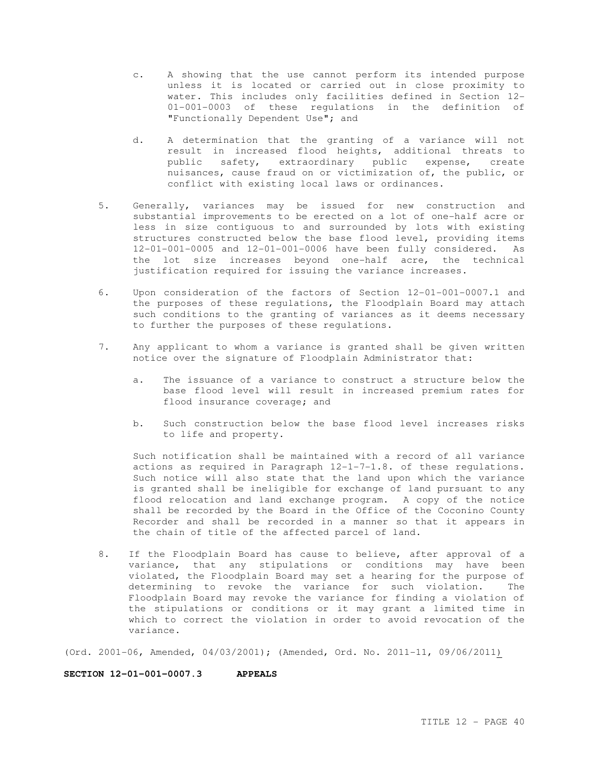- c. A showing that the use cannot perform its intended purpose unless it is located or carried out in close proximity to water. This includes only facilities defined in Section 12- 01-001-0003 of these regulations in the definition of "Functionally Dependent Use"; and
- d. A determination that the granting of a variance will not result in increased flood heights, additional threats to public safety, extraordinary public expense, create nuisances, cause fraud on or victimization of, the public, or conflict with existing local laws or ordinances.
- 5. Generally, variances may be issued for new construction and substantial improvements to be erected on a lot of one-half acre or less in size contiguous to and surrounded by lots with existing structures constructed below the base flood level, providing items 12-01-001-0005 and 12-01-001-0006 have been fully considered. As the lot size increases beyond one-half acre, the technical justification required for issuing the variance increases.
- 6. Upon consideration of the factors of Section 12-01-001-0007.1 and the purposes of these regulations, the Floodplain Board may attach such conditions to the granting of variances as it deems necessary to further the purposes of these regulations.
- 7. Any applicant to whom a variance is granted shall be given written notice over the signature of Floodplain Administrator that:
	- a. The issuance of a variance to construct a structure below the base flood level will result in increased premium rates for flood insurance coverage; and
	- b. Such construction below the base flood level increases risks to life and property.

Such notification shall be maintained with a record of all variance actions as required in Paragraph 12-1-7-1.8. of these regulations. Such notice will also state that the land upon which the variance is granted shall be ineligible for exchange of land pursuant to any flood relocation and land exchange program. A copy of the notice shall be recorded by the Board in the Office of the Coconino County Recorder and shall be recorded in a manner so that it appears in the chain of title of the affected parcel of land.

8. If the Floodplain Board has cause to believe, after approval of a variance, that any stipulations or conditions may have been violated, the Floodplain Board may set a hearing for the purpose of determining to revoke the variance for such violation. The Floodplain Board may revoke the variance for finding a violation of the stipulations or conditions or it may grant a limited time in which to correct the violation in order to avoid revocation of the variance.

(Ord. 2001-06, Amended, 04/03/2001); (Amended, Ord. No. 2011-11, 09/06/2011)

#### **SECTION 12-01-001-0007.3 APPEALS**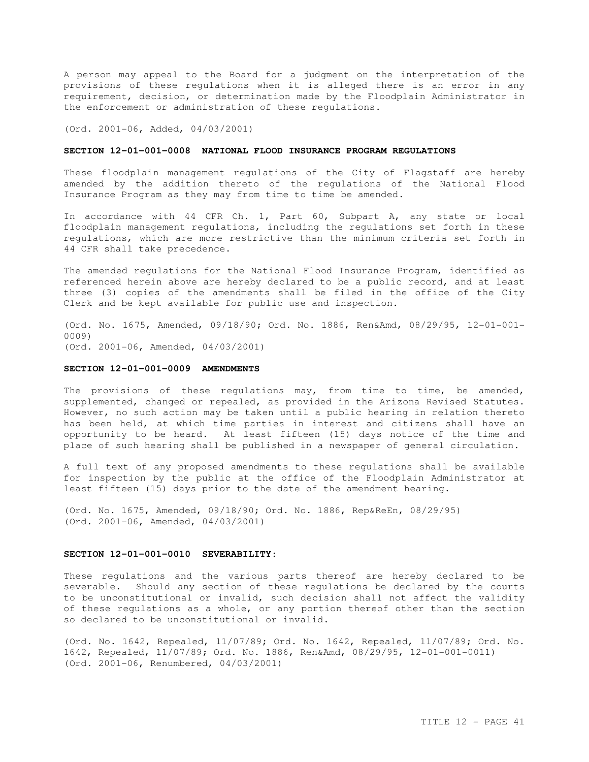A person may appeal to the Board for a judgment on the interpretation of the provisions of these regulations when it is alleged there is an error in any requirement, decision, or determination made by the Floodplain Administrator in the enforcement or administration of these regulations.

(Ord. 2001-06, Added, 04/03/2001)

# **SECTION 12-01-001-0008 NATIONAL FLOOD INSURANCE PROGRAM REGULATIONS**

These floodplain management regulations of the City of Flagstaff are hereby amended by the addition thereto of the regulations of the National Flood Insurance Program as they may from time to time be amended.

In accordance with 44 CFR Ch. 1, Part 60, Subpart A, any state or local floodplain management regulations, including the regulations set forth in these regulations, which are more restrictive than the minimum criteria set forth in 44 CFR shall take precedence.

The amended regulations for the National Flood Insurance Program, identified as referenced herein above are hereby declared to be a public record, and at least three (3) copies of the amendments shall be filed in the office of the City Clerk and be kept available for public use and inspection.

(Ord. No. 1675, Amended, 09/18/90; Ord. No. 1886, Ren&Amd, 08/29/95, 12-01-001- 0009) (Ord. 2001-06, Amended, 04/03/2001)

#### **SECTION 12-01-001-0009 AMENDMENTS**

The provisions of these regulations may, from time to time, be amended, supplemented, changed or repealed, as provided in the Arizona Revised Statutes. However, no such action may be taken until a public hearing in relation thereto has been held, at which time parties in interest and citizens shall have an opportunity to be heard. At least fifteen (15) days notice of the time and place of such hearing shall be published in a newspaper of general circulation.

A full text of any proposed amendments to these regulations shall be available for inspection by the public at the office of the Floodplain Administrator at least fifteen (15) days prior to the date of the amendment hearing.

(Ord. No. 1675, Amended, 09/18/90; Ord. No. 1886, Rep&ReEn, 08/29/95) (Ord. 2001-06, Amended, 04/03/2001)

#### **SECTION 12-01-001-0010 SEVERABILITY:**

These regulations and the various parts thereof are hereby declared to be severable. Should any section of these regulations be declared by the courts to be unconstitutional or invalid, such decision shall not affect the validity of these regulations as a whole, or any portion thereof other than the section so declared to be unconstitutional or invalid.

(Ord. No. 1642, Repealed, 11/07/89; Ord. No. 1642, Repealed, 11/07/89; Ord. No. 1642, Repealed, 11/07/89; Ord. No. 1886, Ren&Amd, 08/29/95, 12-01-001-0011) (Ord. 2001-06, Renumbered, 04/03/2001)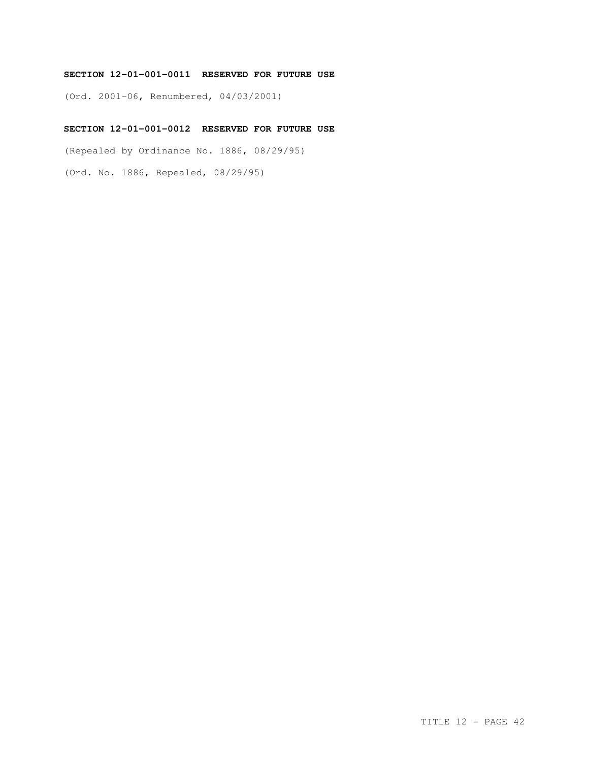# **SECTION 12-01-001-0011 RESERVED FOR FUTURE USE**

(Ord. 2001-06, Renumbered, 04/03/2001)

# **SECTION 12-01-001-0012 RESERVED FOR FUTURE USE**

(Repealed by Ordinance No. 1886, 08/29/95)

(Ord. No. 1886, Repealed, 08/29/95)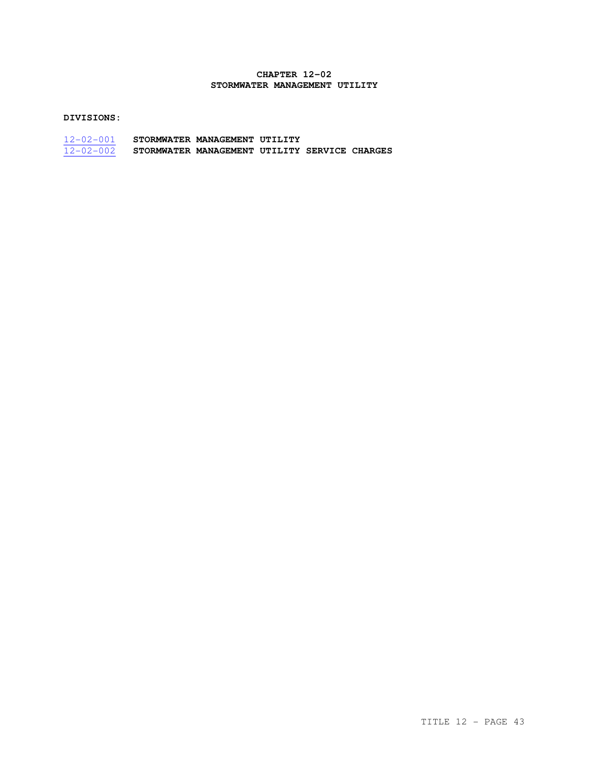# **CHAPTER 12-02 STORMWATER MANAGEMENT UTILITY**

# **DIVISIONS:**

| $12 - 02 - 001$ | STORMWATER MANAGEMENT UTILITY                 |  |  |
|-----------------|-----------------------------------------------|--|--|
| $12 - 02 - 002$ | STORMWATER MANAGEMENT UTILITY SERVICE CHARGES |  |  |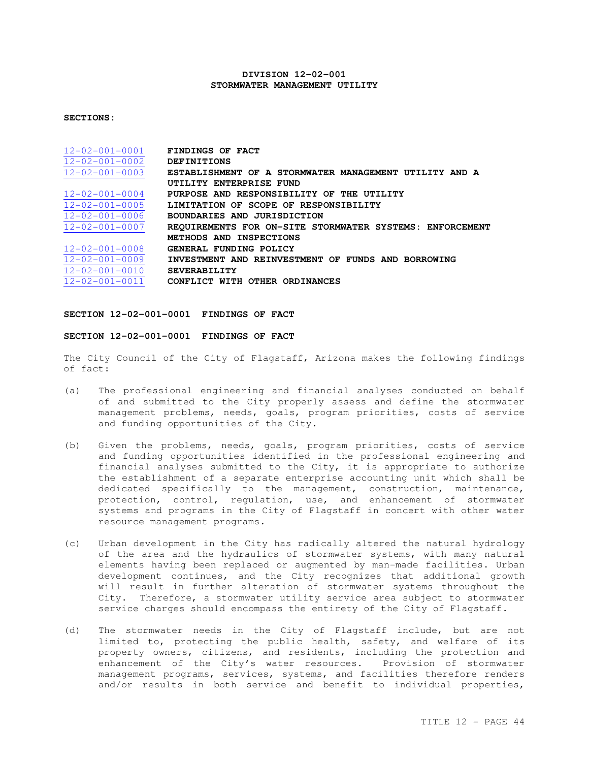## **DIVISION 12-02-001 STORMWATER MANAGEMENT UTILITY**

## **SECTIONS:**

| $12 - 02 - 001 - 0001$ | FINDINGS OF FACT                                         |
|------------------------|----------------------------------------------------------|
| $12 - 02 - 001 - 0002$ | <b>DEFINITIONS</b>                                       |
| $12 - 02 - 001 - 0003$ | ESTABLISHMENT OF A STORMWATER MANAGEMENT UTILITY AND A   |
|                        | UTILITY ENTERPRISE FUND                                  |
| $12 - 02 - 001 - 0004$ | PURPOSE AND RESPONSIBILITY OF THE UTILITY                |
| $12 - 02 - 001 - 0005$ | LIMITATION OF SCOPE OF RESPONSIBILITY                    |
| $12 - 02 - 001 - 0006$ | BOUNDARIES AND JURISDICTION                              |
| $12 - 02 - 001 - 0007$ | REQUIREMENTS FOR ON-SITE STORMWATER SYSTEMS: ENFORCEMENT |
|                        | METHODS AND INSPECTIONS                                  |
| $12 - 02 - 001 - 0008$ | GENERAL FUNDING POLICY                                   |
| $12 - 02 - 001 - 0009$ | INVESTMENT AND REINVESTMENT OF FUNDS AND BORROWING       |
| $12 - 02 - 001 - 0010$ | <b>SEVERABILITY</b>                                      |
| $12 - 02 - 001 - 0011$ | CONFLICT WITH OTHER ORDINANCES                           |

## **SECTION 12-02-001-0001 FINDINGS OF FACT**

## **SECTION 12-02-001-0001 FINDINGS OF FACT**

The City Council of the City of Flagstaff, Arizona makes the following findings of fact:

- (a) The professional engineering and financial analyses conducted on behalf of and submitted to the City properly assess and define the stormwater management problems, needs, goals, program priorities, costs of service and funding opportunities of the City.
- (b) Given the problems, needs, goals, program priorities, costs of service and funding opportunities identified in the professional engineering and financial analyses submitted to the City, it is appropriate to authorize the establishment of a separate enterprise accounting unit which shall be dedicated specifically to the management, construction, maintenance, protection, control, regulation, use, and enhancement of stormwater systems and programs in the City of Flagstaff in concert with other water resource management programs.
- (c) Urban development in the City has radically altered the natural hydrology of the area and the hydraulics of stormwater systems, with many natural elements having been replaced or augmented by man-made facilities. Urban development continues, and the City recognizes that additional growth will result in further alteration of stormwater systems throughout the City. Therefore, a stormwater utility service area subject to stormwater service charges should encompass the entirety of the City of Flagstaff.
- (d) The stormwater needs in the City of Flagstaff include, but are not limited to, protecting the public health, safety, and welfare of its property owners, citizens, and residents, including the protection and enhancement of the City's water resources. Provision of stormwater management programs, services, systems, and facilities therefore renders and/or results in both service and benefit to individual properties,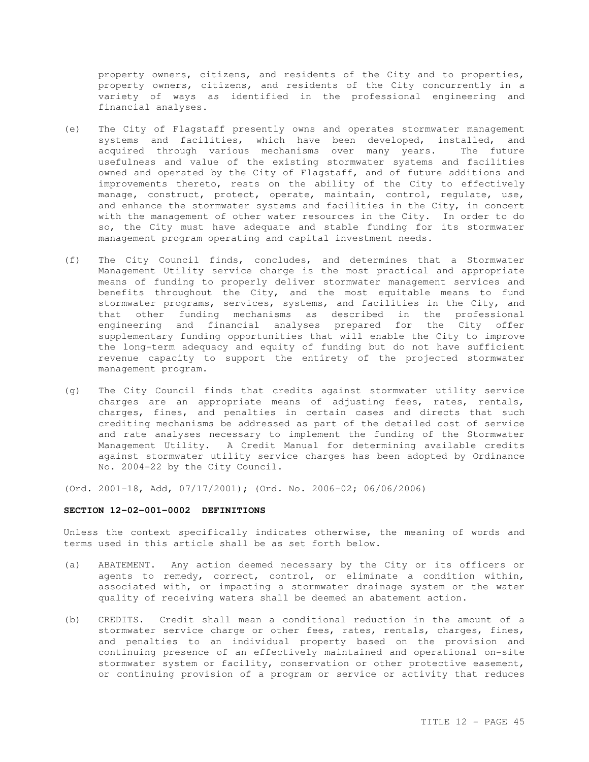property owners, citizens, and residents of the City and to properties, property owners, citizens, and residents of the City concurrently in a variety of ways as identified in the professional engineering and financial analyses.

- (e) The City of Flagstaff presently owns and operates stormwater management systems and facilities, which have been developed, installed, and acquired through various mechanisms over many years. The future usefulness and value of the existing stormwater systems and facilities owned and operated by the City of Flagstaff, and of future additions and improvements thereto, rests on the ability of the City to effectively manage, construct, protect, operate, maintain, control, regulate, use, and enhance the stormwater systems and facilities in the City, in concert with the management of other water resources in the City. In order to do so, the City must have adequate and stable funding for its stormwater management program operating and capital investment needs.
- (f) The City Council finds, concludes, and determines that a Stormwater Management Utility service charge is the most practical and appropriate means of funding to properly deliver stormwater management services and benefits throughout the City, and the most equitable means to fund stormwater programs, services, systems, and facilities in the City, and that other funding mechanisms as described in the professional engineering and financial analyses prepared for the City offer supplementary funding opportunities that will enable the City to improve the long-term adequacy and equity of funding but do not have sufficient revenue capacity to support the entirety of the projected stormwater management program.
- (g) The City Council finds that credits against stormwater utility service charges are an appropriate means of adjusting fees, rates, rentals, charges, fines, and penalties in certain cases and directs that such crediting mechanisms be addressed as part of the detailed cost of service and rate analyses necessary to implement the funding of the Stormwater Management Utility. A Credit Manual for determining available credits against stormwater utility service charges has been adopted by Ordinance No. 2004-22 by the City Council.

(Ord. 2001-18, Add, 07/17/2001); (Ord. No. 2006-02; 06/06/2006)

#### **SECTION 12-02-001-0002 DEFINITIONS**

Unless the context specifically indicates otherwise, the meaning of words and terms used in this article shall be as set forth below.

- (a) ABATEMENT. Any action deemed necessary by the City or its officers or agents to remedy, correct, control, or eliminate a condition within, associated with, or impacting a stormwater drainage system or the water quality of receiving waters shall be deemed an abatement action.
- (b) CREDITS. Credit shall mean a conditional reduction in the amount of a stormwater service charge or other fees, rates, rentals, charges, fines, and penalties to an individual property based on the provision and continuing presence of an effectively maintained and operational on-site stormwater system or facility, conservation or other protective easement, or continuing provision of a program or service or activity that reduces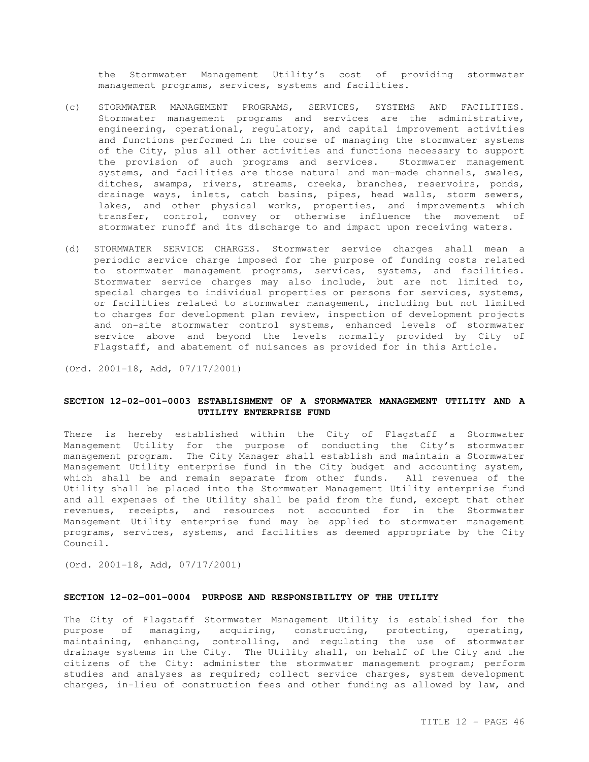the Stormwater Management Utility's cost of providing stormwater management programs, services, systems and facilities.

- (c) STORMWATER MANAGEMENT PROGRAMS, SERVICES, SYSTEMS AND FACILITIES. Stormwater management programs and services are the administrative, engineering, operational, regulatory, and capital improvement activities and functions performed in the course of managing the stormwater systems of the City, plus all other activities and functions necessary to support the provision of such programs and services. Stormwater management systems, and facilities are those natural and man-made channels, swales, ditches, swamps, rivers, streams, creeks, branches, reservoirs, ponds, drainage ways, inlets, catch basins, pipes, head walls, storm sewers, lakes, and other physical works, properties, and improvements which transfer, control, convey or otherwise influence the movement of stormwater runoff and its discharge to and impact upon receiving waters.
- (d) STORMWATER SERVICE CHARGES. Stormwater service charges shall mean a periodic service charge imposed for the purpose of funding costs related to stormwater management programs, services, systems, and facilities. Stormwater service charges may also include, but are not limited to, special charges to individual properties or persons for services, systems, or facilities related to stormwater management, including but not limited to charges for development plan review, inspection of development projects and on-site stormwater control systems, enhanced levels of stormwater service above and beyond the levels normally provided by City of Flagstaff, and abatement of nuisances as provided for in this Article.

(Ord. 2001-18, Add, 07/17/2001)

### **SECTION 12-02-001-0003 ESTABLISHMENT OF A STORMWATER MANAGEMENT UTILITY AND A UTILITY ENTERPRISE FUND**

There is hereby established within the City of Flagstaff a Stormwater Management Utility for the purpose of conducting the City's stormwater management program. The City Manager shall establish and maintain a Stormwater Management Utility enterprise fund in the City budget and accounting system, which shall be and remain separate from other funds. All revenues of the Utility shall be placed into the Stormwater Management Utility enterprise fund and all expenses of the Utility shall be paid from the fund, except that other revenues, receipts, and resources not accounted for in the Stormwater Management Utility enterprise fund may be applied to stormwater management programs, services, systems, and facilities as deemed appropriate by the City Council.

(Ord. 2001-18, Add, 07/17/2001)

### **SECTION 12-02-001-0004 PURPOSE AND RESPONSIBILITY OF THE UTILITY**

The City of Flagstaff Stormwater Management Utility is established for the purpose of managing, acquiring, constructing, protecting, operating, maintaining, enhancing, controlling, and regulating the use of stormwater drainage systems in the City. The Utility shall, on behalf of the City and the citizens of the City: administer the stormwater management program; perform studies and analyses as required; collect service charges, system development charges, in-lieu of construction fees and other funding as allowed by law, and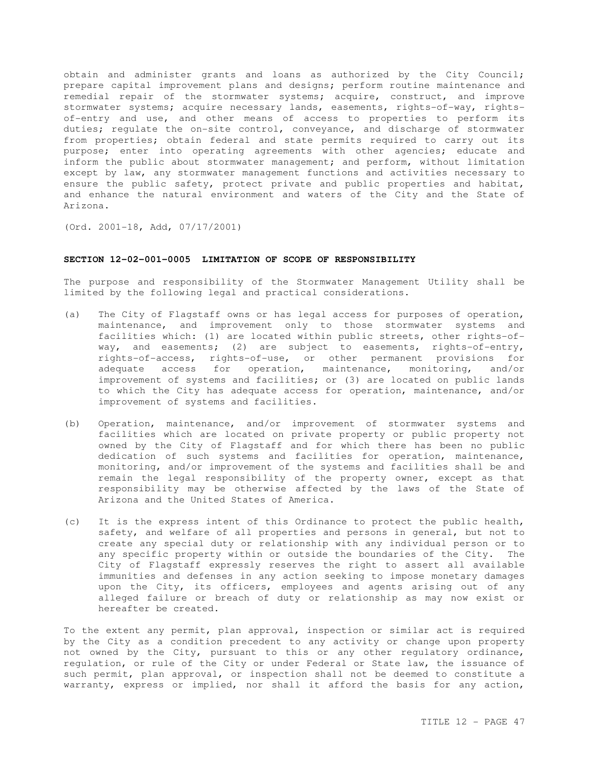obtain and administer grants and loans as authorized by the City Council; prepare capital improvement plans and designs; perform routine maintenance and remedial repair of the stormwater systems; acquire, construct, and improve stormwater systems; acquire necessary lands, easements, rights-of-way, rightsof-entry and use, and other means of access to properties to perform its duties; regulate the on-site control, conveyance, and discharge of stormwater from properties; obtain federal and state permits required to carry out its purpose; enter into operating agreements with other agencies; educate and inform the public about stormwater management; and perform, without limitation except by law, any stormwater management functions and activities necessary to ensure the public safety, protect private and public properties and habitat, and enhance the natural environment and waters of the City and the State of Arizona.

(Ord. 2001-18, Add, 07/17/2001)

## **SECTION 12-02-001-0005 LIMITATION OF SCOPE OF RESPONSIBILITY**

The purpose and responsibility of the Stormwater Management Utility shall be limited by the following legal and practical considerations.

- (a) The City of Flagstaff owns or has legal access for purposes of operation, maintenance, and improvement only to those stormwater systems and facilities which: (1) are located within public streets, other rights-ofway, and easements; (2) are subject to easements, rights-of-entry, rights-of-access, rights-of-use, or other permanent provisions for adequate access for operation, maintenance, monitoring, and/or improvement of systems and facilities; or (3) are located on public lands to which the City has adequate access for operation, maintenance, and/or improvement of systems and facilities.
- (b) Operation, maintenance, and/or improvement of stormwater systems and facilities which are located on private property or public property not owned by the City of Flagstaff and for which there has been no public dedication of such systems and facilities for operation, maintenance, monitoring, and/or improvement of the systems and facilities shall be and remain the legal responsibility of the property owner, except as that responsibility may be otherwise affected by the laws of the State of Arizona and the United States of America.
- (c) It is the express intent of this Ordinance to protect the public health, safety, and welfare of all properties and persons in general, but not to create any special duty or relationship with any individual person or to any specific property within or outside the boundaries of the City. The City of Flagstaff expressly reserves the right to assert all available immunities and defenses in any action seeking to impose monetary damages upon the City, its officers, employees and agents arising out of any alleged failure or breach of duty or relationship as may now exist or hereafter be created.

To the extent any permit, plan approval, inspection or similar act is required by the City as a condition precedent to any activity or change upon property not owned by the City, pursuant to this or any other regulatory ordinance, regulation, or rule of the City or under Federal or State law, the issuance of such permit, plan approval, or inspection shall not be deemed to constitute a warranty, express or implied, nor shall it afford the basis for any action,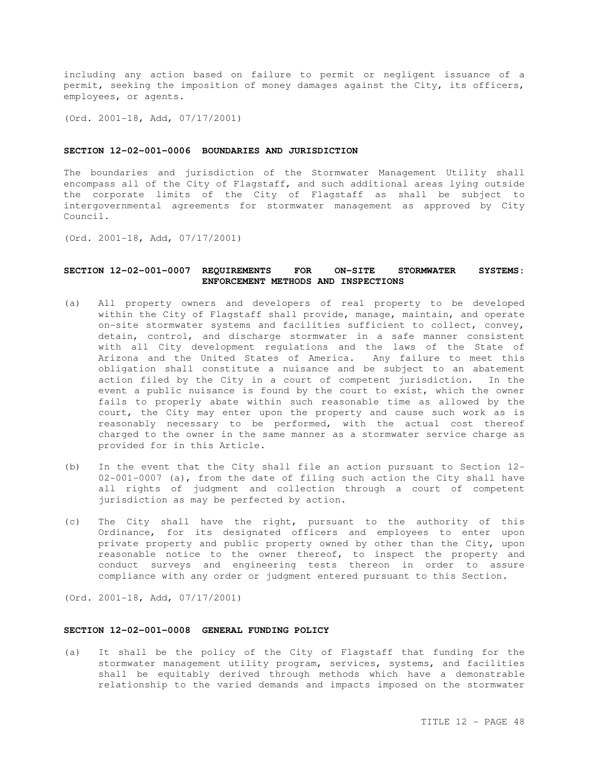including any action based on failure to permit or negligent issuance of a permit, seeking the imposition of money damages against the City, its officers, employees, or agents.

(Ord. 2001-18, Add, 07/17/2001)

### **SECTION 12-02-001-0006 BOUNDARIES AND JURISDICTION**

The boundaries and jurisdiction of the Stormwater Management Utility shall encompass all of the City of Flagstaff, and such additional areas lying outside the corporate limits of the City of Flagstaff as shall be subject to intergovernmental agreements for stormwater management as approved by City Council.

(Ord. 2001-18, Add, 07/17/2001)

## **SECTION 12-02-001-0007 REQUIREMENTS FOR ON-SITE STORMWATER SYSTEMS: ENFORCEMENT METHODS AND INSPECTIONS**

- (a) All property owners and developers of real property to be developed within the City of Flagstaff shall provide, manage, maintain, and operate on-site stormwater systems and facilities sufficient to collect, convey, detain, control, and discharge stormwater in a safe manner consistent with all City development regulations and the laws of the State of Arizona and the United States of America. Any failure to meet this obligation shall constitute a nuisance and be subject to an abatement action filed by the City in a court of competent jurisdiction. In the event a public nuisance is found by the court to exist, which the owner fails to properly abate within such reasonable time as allowed by the court, the City may enter upon the property and cause such work as is reasonably necessary to be performed, with the actual cost thereof charged to the owner in the same manner as a stormwater service charge as provided for in this Article.
- (b) In the event that the City shall file an action pursuant to Section 12- 02-001-0007 (a), from the date of filing such action the City shall have all rights of judgment and collection through a court of competent jurisdiction as may be perfected by action.
- (c) The City shall have the right, pursuant to the authority of this Ordinance, for its designated officers and employees to enter upon private property and public property owned by other than the City, upon reasonable notice to the owner thereof, to inspect the property and conduct surveys and engineering tests thereon in order to assure compliance with any order or judgment entered pursuant to this Section.

(Ord. 2001-18, Add, 07/17/2001)

### **SECTION 12-02-001-0008 GENERAL FUNDING POLICY**

(a) It shall be the policy of the City of Flagstaff that funding for the stormwater management utility program, services, systems, and facilities shall be equitably derived through methods which have a demonstrable relationship to the varied demands and impacts imposed on the stormwater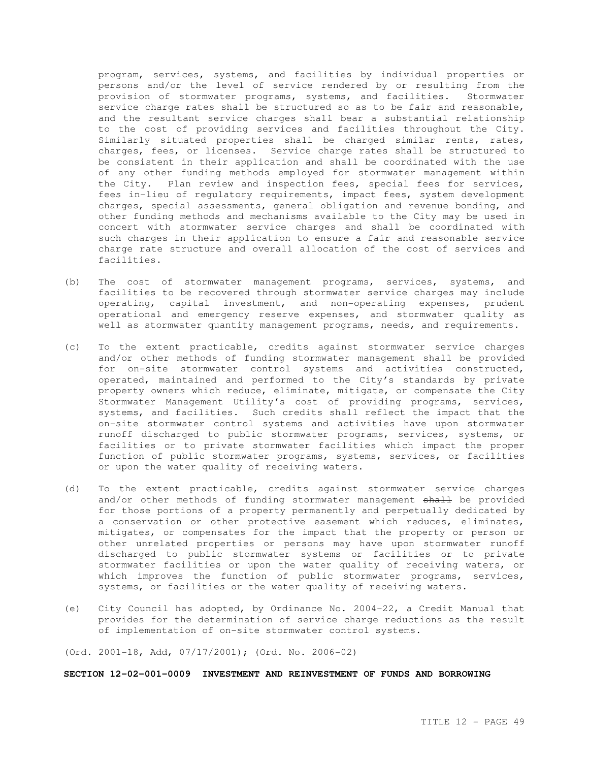program, services, systems, and facilities by individual properties or persons and/or the level of service rendered by or resulting from the provision of stormwater programs, systems, and facilities. Stormwater service charge rates shall be structured so as to be fair and reasonable, and the resultant service charges shall bear a substantial relationship to the cost of providing services and facilities throughout the City. Similarly situated properties shall be charged similar rents, rates, charges, fees, or licenses. Service charge rates shall be structured to be consistent in their application and shall be coordinated with the use of any other funding methods employed for stormwater management within the City. Plan review and inspection fees, special fees for services, fees in-lieu of regulatory requirements, impact fees, system development charges, special assessments, general obligation and revenue bonding, and other funding methods and mechanisms available to the City may be used in concert with stormwater service charges and shall be coordinated with such charges in their application to ensure a fair and reasonable service charge rate structure and overall allocation of the cost of services and facilities.

- (b) The cost of stormwater management programs, services, systems, and facilities to be recovered through stormwater service charges may include operating, capital investment, and non-operating expenses, prudent operational and emergency reserve expenses, and stormwater quality as well as stormwater quantity management programs, needs, and requirements.
- (c) To the extent practicable, credits against stormwater service charges and/or other methods of funding stormwater management shall be provided for on-site stormwater control systems and activities constructed, operated, maintained and performed to the City's standards by private property owners which reduce, eliminate, mitigate, or compensate the City Stormwater Management Utility's cost of providing programs, services, systems, and facilities. Such credits shall reflect the impact that the on-site stormwater control systems and activities have upon stormwater runoff discharged to public stormwater programs, services, systems, or facilities or to private stormwater facilities which impact the proper function of public stormwater programs, systems, services, or facilities or upon the water quality of receiving waters.
- (d) To the extent practicable, credits against stormwater service charges and/or other methods of funding stormwater management shall be provided for those portions of a property permanently and perpetually dedicated by a conservation or other protective easement which reduces, eliminates, mitigates, or compensates for the impact that the property or person or other unrelated properties or persons may have upon stormwater runoff discharged to public stormwater systems or facilities or to private stormwater facilities or upon the water quality of receiving waters, or which improves the function of public stormwater programs, services, systems, or facilities or the water quality of receiving waters.
- (e) City Council has adopted, by Ordinance No. 2004-22, a Credit Manual that provides for the determination of service charge reductions as the result of implementation of on-site stormwater control systems.

(Ord. 2001-18, Add, 07/17/2001); (Ord. No. 2006-02)

#### **SECTION 12-02-001-0009 INVESTMENT AND REINVESTMENT OF FUNDS AND BORROWING**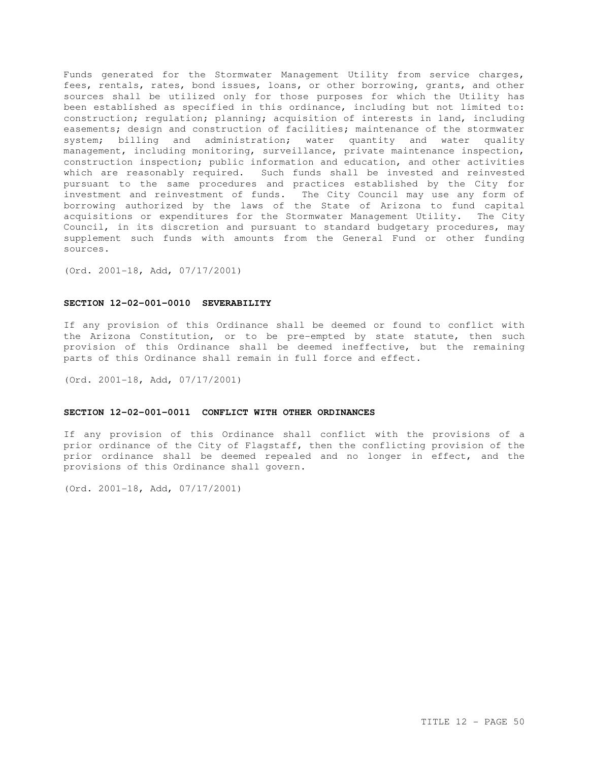Funds generated for the Stormwater Management Utility from service charges, fees, rentals, rates, bond issues, loans, or other borrowing, grants, and other sources shall be utilized only for those purposes for which the Utility has been established as specified in this ordinance, including but not limited to: construction; regulation; planning; acquisition of interests in land, including easements; design and construction of facilities; maintenance of the stormwater system; billing and administration; water quantity and water quality management, including monitoring, surveillance, private maintenance inspection, construction inspection; public information and education, and other activities which are reasonably required. Such funds shall be invested and reinvested pursuant to the same procedures and practices established by the City for investment and reinvestment of funds. The City Council may use any form of borrowing authorized by the laws of the State of Arizona to fund capital acquisitions or expenditures for the Stormwater Management Utility. The City Council, in its discretion and pursuant to standard budgetary procedures, may supplement such funds with amounts from the General Fund or other funding sources.

(Ord. 2001-18, Add, 07/17/2001)

### **SECTION 12-02-001-0010 SEVERABILITY**

If any provision of this Ordinance shall be deemed or found to conflict with the Arizona Constitution, or to be pre-empted by state statute, then such provision of this Ordinance shall be deemed ineffective, but the remaining parts of this Ordinance shall remain in full force and effect.

(Ord. 2001-18, Add, 07/17/2001)

### **SECTION 12-02-001-0011 CONFLICT WITH OTHER ORDINANCES**

If any provision of this Ordinance shall conflict with the provisions of a prior ordinance of the City of Flagstaff, then the conflicting provision of the prior ordinance shall be deemed repealed and no longer in effect, and the provisions of this Ordinance shall govern.

(Ord. 2001-18, Add, 07/17/2001)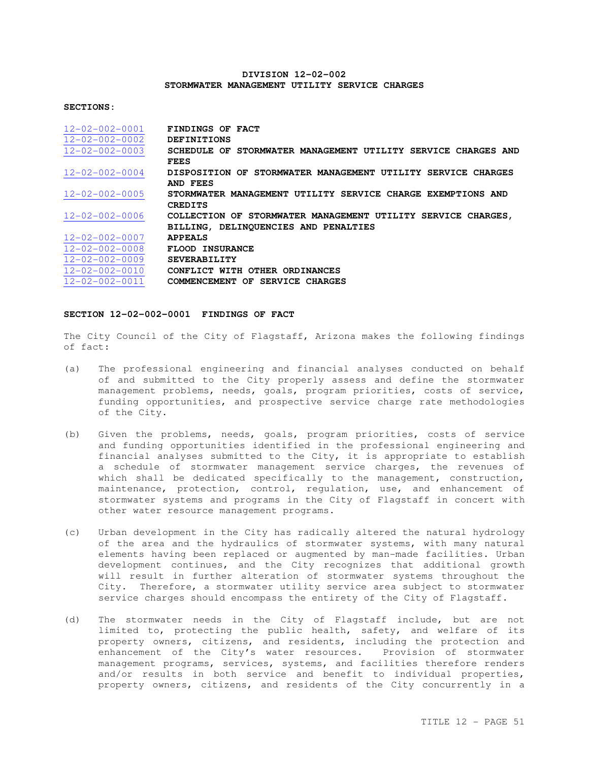## **DIVISION 12-02-002 STORMWATER MANAGEMENT UTILITY SERVICE CHARGES**

#### **SECTIONS:**

| $12 - 02 - 002 - 0001$ | FINDINGS OF FACT                                              |
|------------------------|---------------------------------------------------------------|
| $12 - 02 - 002 - 0002$ | DEFINITIONS                                                   |
| $12 - 02 - 002 - 0003$ | SCHEDULE OF STORMWATER MANAGEMENT UTILITY SERVICE CHARGES AND |
|                        | <b>FEES</b>                                                   |
| $12 - 02 - 002 - 0004$ | DISPOSITION OF STORMWATER MANAGEMENT UTILITY SERVICE CHARGES  |
|                        | AND FEES                                                      |
| $12 - 02 - 002 - 0005$ | STORMWATER MANAGEMENT UTILITY SERVICE CHARGE EXEMPTIONS AND   |
|                        | <b>CREDITS</b>                                                |
| $12 - 02 - 002 - 0006$ | COLLECTION OF STORMWATER MANAGEMENT UTILITY SERVICE CHARGES,  |
|                        | BILLING, DELINQUENCIES AND PENALTIES                          |
| $12 - 02 - 002 - 0007$ | <b>APPEALS</b>                                                |
| $12 - 02 - 002 - 0008$ | FLOOD INSURANCE                                               |
| $12 - 02 - 002 - 0009$ | <b>SEVERABILITY</b>                                           |
| $12 - 02 - 002 - 0010$ | CONFLICT WITH OTHER ORDINANCES                                |
| $12 - 02 - 002 - 0011$ | COMMENCEMENT OF SERVICE CHARGES                               |

### **SECTION 12-02-002-0001 FINDINGS OF FACT**

The City Council of the City of Flagstaff, Arizona makes the following findings of fact:

- (a) The professional engineering and financial analyses conducted on behalf of and submitted to the City properly assess and define the stormwater management problems, needs, goals, program priorities, costs of service, funding opportunities, and prospective service charge rate methodologies of the City.
- (b) Given the problems, needs, goals, program priorities, costs of service and funding opportunities identified in the professional engineering and financial analyses submitted to the City, it is appropriate to establish a schedule of stormwater management service charges, the revenues of which shall be dedicated specifically to the management, construction, maintenance, protection, control, regulation, use, and enhancement of stormwater systems and programs in the City of Flagstaff in concert with other water resource management programs.
- (c) Urban development in the City has radically altered the natural hydrology of the area and the hydraulics of stormwater systems, with many natural elements having been replaced or augmented by man-made facilities. Urban development continues, and the City recognizes that additional growth will result in further alteration of stormwater systems throughout the City. Therefore, a stormwater utility service area subject to stormwater service charges should encompass the entirety of the City of Flagstaff.
- (d) The stormwater needs in the City of Flagstaff include, but are not limited to, protecting the public health, safety, and welfare of its property owners, citizens, and residents, including the protection and enhancement of the City's water resources. Provision of stormwater management programs, services, systems, and facilities therefore renders and/or results in both service and benefit to individual properties, property owners, citizens, and residents of the City concurrently in a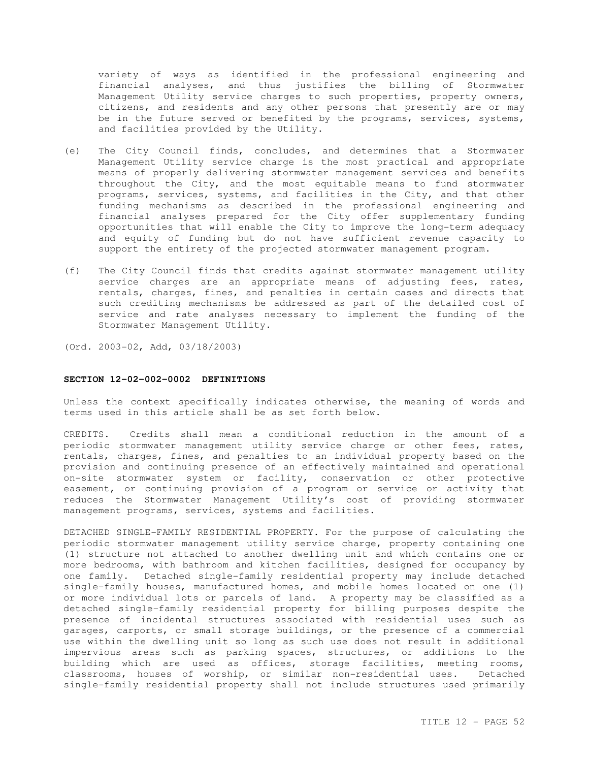variety of ways as identified in the professional engineering and financial analyses, and thus justifies the billing of Stormwater Management Utility service charges to such properties, property owners, citizens, and residents and any other persons that presently are or may be in the future served or benefited by the programs, services, systems, and facilities provided by the Utility.

- (e) The City Council finds, concludes, and determines that a Stormwater Management Utility service charge is the most practical and appropriate means of properly delivering stormwater management services and benefits throughout the City, and the most equitable means to fund stormwater programs, services, systems, and facilities in the City, and that other funding mechanisms as described in the professional engineering and financial analyses prepared for the City offer supplementary funding opportunities that will enable the City to improve the long-term adequacy and equity of funding but do not have sufficient revenue capacity to support the entirety of the projected stormwater management program.
- (f) The City Council finds that credits against stormwater management utility service charges are an appropriate means of adjusting fees, rates, rentals, charges, fines, and penalties in certain cases and directs that such crediting mechanisms be addressed as part of the detailed cost of service and rate analyses necessary to implement the funding of the Stormwater Management Utility.

(Ord. 2003-02, Add, 03/18/2003)

#### **SECTION 12-02-002-0002 DEFINITIONS**

Unless the context specifically indicates otherwise, the meaning of words and terms used in this article shall be as set forth below.

CREDITS. Credits shall mean a conditional reduction in the amount of a periodic stormwater management utility service charge or other fees, rates, rentals, charges, fines, and penalties to an individual property based on the provision and continuing presence of an effectively maintained and operational on-site stormwater system or facility, conservation or other protective easement, or continuing provision of a program or service or activity that reduces the Stormwater Management Utility's cost of providing stormwater management programs, services, systems and facilities.

DETACHED SINGLE-FAMILY RESIDENTIAL PROPERTY. For the purpose of calculating the periodic stormwater management utility service charge, property containing one (1) structure not attached to another dwelling unit and which contains one or more bedrooms, with bathroom and kitchen facilities, designed for occupancy by one family. Detached single-family residential property may include detached single-family houses, manufactured homes, and mobile homes located on one (1) or more individual lots or parcels of land. A property may be classified as a detached single-family residential property for billing purposes despite the presence of incidental structures associated with residential uses such as garages, carports, or small storage buildings, or the presence of a commercial use within the dwelling unit so long as such use does not result in additional impervious areas such as parking spaces, structures, or additions to the building which are used as offices, storage facilities, meeting rooms, classrooms, houses of worship, or similar non-residential uses. Detached single-family residential property shall not include structures used primarily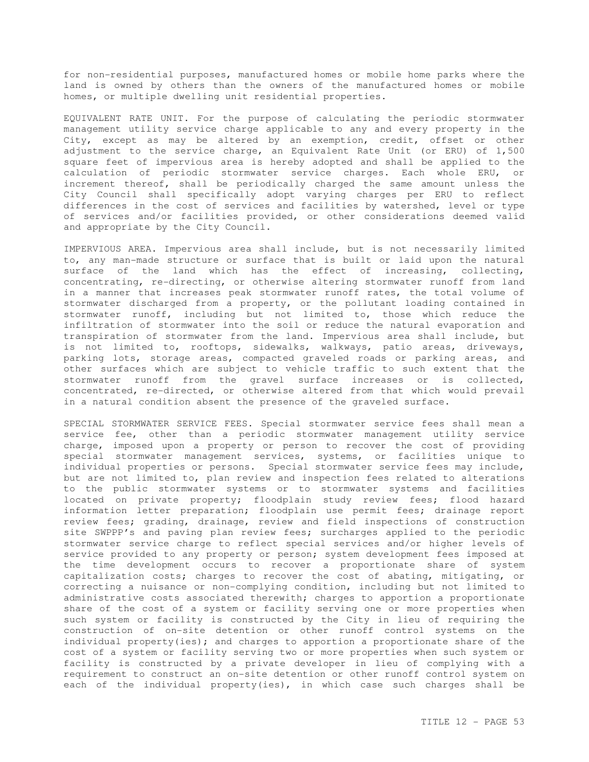for non-residential purposes, manufactured homes or mobile home parks where the land is owned by others than the owners of the manufactured homes or mobile homes, or multiple dwelling unit residential properties.

EQUIVALENT RATE UNIT. For the purpose of calculating the periodic stormwater management utility service charge applicable to any and every property in the City, except as may be altered by an exemption, credit, offset or other adjustment to the service charge, an Equivalent Rate Unit (or ERU) of 1,500 square feet of impervious area is hereby adopted and shall be applied to the calculation of periodic stormwater service charges. Each whole ERU, or increment thereof, shall be periodically charged the same amount unless the City Council shall specifically adopt varying charges per ERU to reflect differences in the cost of services and facilities by watershed, level or type of services and/or facilities provided, or other considerations deemed valid and appropriate by the City Council.

IMPERVIOUS AREA. Impervious area shall include, but is not necessarily limited to, any man-made structure or surface that is built or laid upon the natural surface of the land which has the effect of increasing, collecting, concentrating, re-directing, or otherwise altering stormwater runoff from land in a manner that increases peak stormwater runoff rates, the total volume of stormwater discharged from a property, or the pollutant loading contained in stormwater runoff, including but not limited to, those which reduce the infiltration of stormwater into the soil or reduce the natural evaporation and transpiration of stormwater from the land. Impervious area shall include, but is not limited to, rooftops, sidewalks, walkways, patio areas, driveways, parking lots, storage areas, compacted graveled roads or parking areas, and other surfaces which are subject to vehicle traffic to such extent that the stormwater runoff from the gravel surface increases or is collected, concentrated, re-directed, or otherwise altered from that which would prevail in a natural condition absent the presence of the graveled surface.

SPECIAL STORMWATER SERVICE FEES. Special stormwater service fees shall mean a service fee, other than a periodic stormwater management utility service charge, imposed upon a property or person to recover the cost of providing special stormwater management services, systems, or facilities unique to individual properties or persons. Special stormwater service fees may include, but are not limited to, plan review and inspection fees related to alterations to the public stormwater systems or to stormwater systems and facilities located on private property; floodplain study review fees; flood hazard information letter preparation; floodplain use permit fees; drainage report review fees; grading, drainage, review and field inspections of construction site SWPPP's and paving plan review fees; surcharges applied to the periodic stormwater service charge to reflect special services and/or higher levels of service provided to any property or person; system development fees imposed at the time development occurs to recover a proportionate share of system capitalization costs; charges to recover the cost of abating, mitigating, or correcting a nuisance or non-complying condition, including but not limited to administrative costs associated therewith; charges to apportion a proportionate share of the cost of a system or facility serving one or more properties when such system or facility is constructed by the City in lieu of requiring the construction of on-site detention or other runoff control systems on the individual property(ies); and charges to apportion a proportionate share of the cost of a system or facility serving two or more properties when such system or facility is constructed by a private developer in lieu of complying with a requirement to construct an on-site detention or other runoff control system on each of the individual property(ies), in which case such charges shall be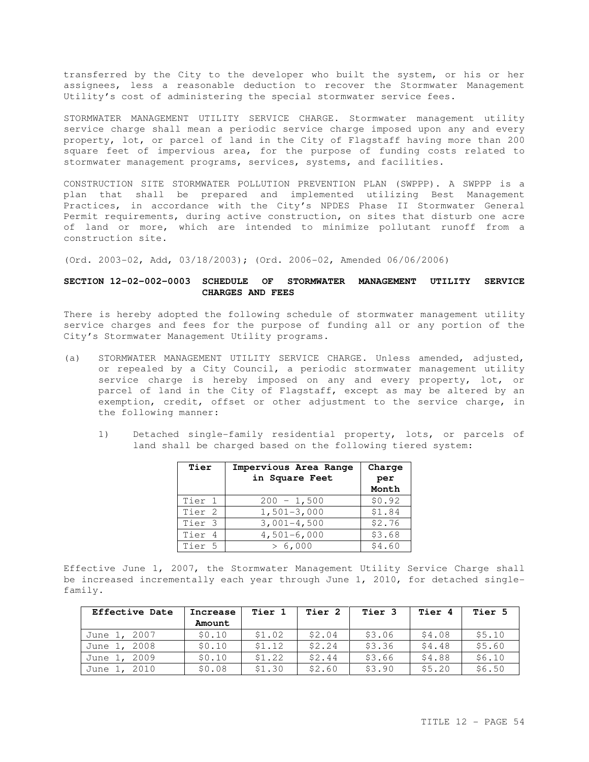transferred by the City to the developer who built the system, or his or her assignees, less a reasonable deduction to recover the Stormwater Management Utility's cost of administering the special stormwater service fees.

STORMWATER MANAGEMENT UTILITY SERVICE CHARGE. Stormwater management utility service charge shall mean a periodic service charge imposed upon any and every property, lot, or parcel of land in the City of Flagstaff having more than 200 square feet of impervious area, for the purpose of funding costs related to stormwater management programs, services, systems, and facilities.

CONSTRUCTION SITE STORMWATER POLLUTION PREVENTION PLAN (SWPPP). A SWPPP is a plan that shall be prepared and implemented utilizing Best Management Practices, in accordance with the City's NPDES Phase II Stormwater General Permit requirements, during active construction, on sites that disturb one acre of land or more, which are intended to minimize pollutant runoff from a construction site.

(Ord. 2003-02, Add, 03/18/2003); (Ord. 2006-02, Amended 06/06/2006)

## **SECTION 12-02-002-0003 SCHEDULE OF STORMWATER MANAGEMENT UTILITY SERVICE CHARGES AND FEES**

There is hereby adopted the following schedule of stormwater management utility service charges and fees for the purpose of funding all or any portion of the City's Stormwater Management Utility programs.

- (a) STORMWATER MANAGEMENT UTILITY SERVICE CHARGE. Unless amended, adjusted, or repealed by a City Council, a periodic stormwater management utility service charge is hereby imposed on any and every property, lot, or parcel of land in the City of Flagstaff, except as may be altered by an exemption, credit, offset or other adjustment to the service charge, in the following manner:
	- 1) Detached single-family residential property, lots, or parcels of land shall be charged based on the following tiered system:

| Tier              | Impervious Area Range<br>in Square Feet | Charge<br>per<br>Month |
|-------------------|-----------------------------------------|------------------------|
| Tier 1            | $200 - 1,500$                           | \$0.92                 |
| Tier <sub>2</sub> | $1,501-3,000$                           | \$1.84                 |
| Tier 3            | $3,001-4,500$                           | \$2.76                 |
| Tier 4            | $4,501-6,000$                           | \$3.68                 |
| Tier 5            | > 6.000                                 | \$4.60                 |

Effective June 1, 2007, the Stormwater Management Utility Service Charge shall be increased incrementally each year through June 1, 2010, for detached singlefamily.

| Effective Date | Increase | Tier 1 | Tier 2 | Tier 3 | Tier 4 | Tier 5 |
|----------------|----------|--------|--------|--------|--------|--------|
|                | Amount   |        |        |        |        |        |
| June 1, 2007   | \$0.10   | \$1.02 | \$2.04 | \$3.06 | \$4.08 | \$5.10 |
| June 1, 2008   | \$0.10   | \$1.12 | \$2.24 | \$3.36 | \$4.48 | \$5.60 |
| June 1, 2009   | \$0.10   | \$1.22 | \$2.44 | \$3.66 | \$4.88 | \$6.10 |
| June 1, 2010   | \$0.08   | \$1.30 | \$2.60 | \$3.90 | \$5.20 | \$6.50 |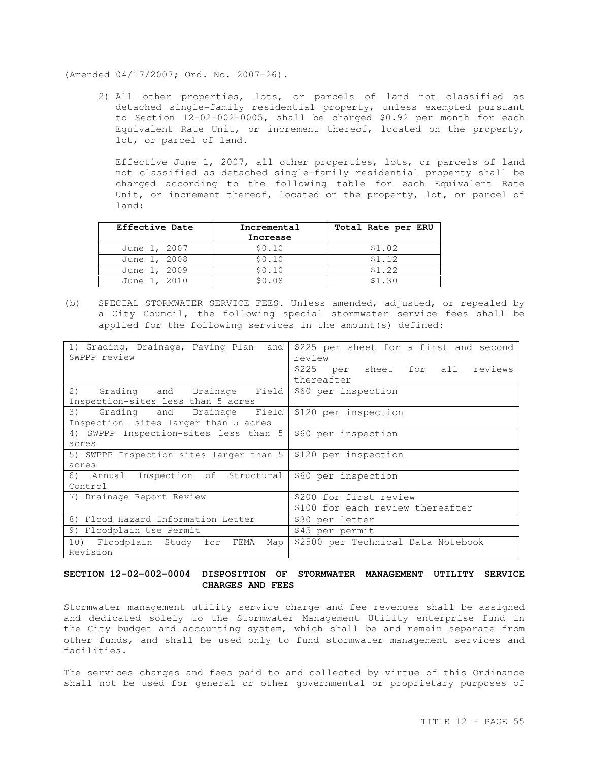(Amended 04/17/2007; Ord. No. 2007-26).

2) All other properties, lots, or parcels of land not classified as detached single-family residential property, unless exempted pursuant to Section 12-02-002-0005**,** shall be charged \$0.92 per month for each Equivalent Rate Unit, or increment thereof, located on the property, lot, or parcel of land.

Effective June 1, 2007, all other properties, lots, or parcels of land not classified as detached single-family residential property shall be charged according to the following table for each Equivalent Rate Unit, or increment thereof, located on the property, lot, or parcel of land:

| Effective Date | Incremental | Total Rate per ERU |  |
|----------------|-------------|--------------------|--|
|                | Increase    |                    |  |
| June 1, 2007   | \$0.10      | \$1.02             |  |
| June 1, 2008   | \$0.10      | \$1.12             |  |
| June 1, 2009   | \$0.10      | \$1.22             |  |
| June 1, 2010   | \$0.08      | \$1.30             |  |

(b) SPECIAL STORMWATER SERVICE FEES. Unless amended, adjusted, or repealed by a City Council, the following special stormwater service fees shall be applied for the following services in the amount(s) defined:

| 1) Grading, Drainage, Paving Plan and<br>SWPPP review          | \$225 per sheet for a first and second<br>review<br>\$225 per sheet for all reviews<br>thereafter |  |
|----------------------------------------------------------------|---------------------------------------------------------------------------------------------------|--|
| Grading and Drainage Field<br>2)                               | \$60 per inspection                                                                               |  |
| Inspection-sites less than 5 acres                             |                                                                                                   |  |
| Grading and Drainage Field<br>3)                               | \$120 per inspection                                                                              |  |
| Inspection- sites larger than 5 acres                          |                                                                                                   |  |
| 4) SWPPP Inspection-sites less than 5                          | \$60 per inspection                                                                               |  |
| acres                                                          |                                                                                                   |  |
| 5) SWPPP Inspection-sites larger than 5   \$120 per inspection |                                                                                                   |  |
| acres                                                          |                                                                                                   |  |
| 6) Annual Inspection of Structural                             | \$60 per inspection                                                                               |  |
| Control                                                        |                                                                                                   |  |
| 7) Drainage Report Review                                      | \$200 for first review                                                                            |  |
|                                                                | \$100 for each review thereafter                                                                  |  |
| 8) Flood Hazard Information Letter                             | \$30 per letter                                                                                   |  |
| 9) Floodplain Use Permit                                       | \$45 per permit                                                                                   |  |
| 10) Floodplain Study for FEMA<br>Map                           | \$2500 per Technical Data Notebook                                                                |  |
| Revision                                                       |                                                                                                   |  |

## **SECTION 12-02-002-0004 DISPOSITION OF STORMWATER MANAGEMENT UTILITY SERVICE CHARGES AND FEES**

Stormwater management utility service charge and fee revenues shall be assigned and dedicated solely to the Stormwater Management Utility enterprise fund in the City budget and accounting system, which shall be and remain separate from other funds, and shall be used only to fund stormwater management services and facilities.

The services charges and fees paid to and collected by virtue of this Ordinance shall not be used for general or other governmental or proprietary purposes of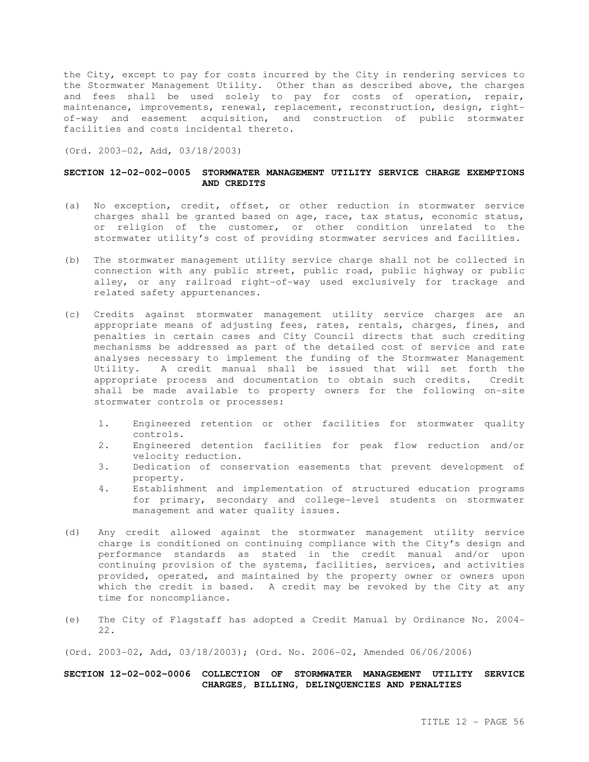the City, except to pay for costs incurred by the City in rendering services to the Stormwater Management Utility. Other than as described above, the charges and fees shall be used solely to pay for costs of operation, repair, maintenance, improvements, renewal, replacement, reconstruction, design, rightof-way and easement acquisition, and construction of public stormwater facilities and costs incidental thereto.

(Ord. 2003-02, Add, 03/18/2003)

### **SECTION 12-02-002-0005 STORMWATER MANAGEMENT UTILITY SERVICE CHARGE EXEMPTIONS AND CREDITS**

- (a) No exception, credit, offset, or other reduction in stormwater service charges shall be granted based on age, race, tax status, economic status, or religion of the customer, or other condition unrelated to the stormwater utility's cost of providing stormwater services and facilities.
- (b) The stormwater management utility service charge shall not be collected in connection with any public street, public road, public highway or public alley, or any railroad right-of-way used exclusively for trackage and related safety appurtenances.
- (c) Credits against stormwater management utility service charges are an appropriate means of adjusting fees, rates, rentals, charges, fines, and penalties in certain cases and City Council directs that such crediting mechanisms be addressed as part of the detailed cost of service and rate analyses necessary to implement the funding of the Stormwater Management Utility. A credit manual shall be issued that will set forth the appropriate process and documentation to obtain such credits. Credit shall be made available to property owners for the following on-site stormwater controls or processes:
	- 1. Engineered retention or other facilities for stormwater quality controls.
	- 2. Engineered detention facilities for peak flow reduction and/or velocity reduction.
	- 3. Dedication of conservation easements that prevent development of property.
	- 4. Establishment and implementation of structured education programs for primary, secondary and college-level students on stormwater management and water quality issues.
- (d) Any credit allowed against the stormwater management utility service charge is conditioned on continuing compliance with the City's design and performance standards as stated in the credit manual and/or upon continuing provision of the systems, facilities, services, and activities provided, operated, and maintained by the property owner or owners upon which the credit is based. A credit may be revoked by the City at any time for noncompliance.
- (e) The City of Flagstaff has adopted a Credit Manual by Ordinance No. 2004- 22.

(Ord. 2003-02, Add, 03/18/2003); (Ord. No. 2006-02, Amended 06/06/2006)

## **SECTION 12-02-002-0006 COLLECTION OF STORMWATER MANAGEMENT UTILITY SERVICE CHARGES, BILLING, DELINQUENCIES AND PENALTIES**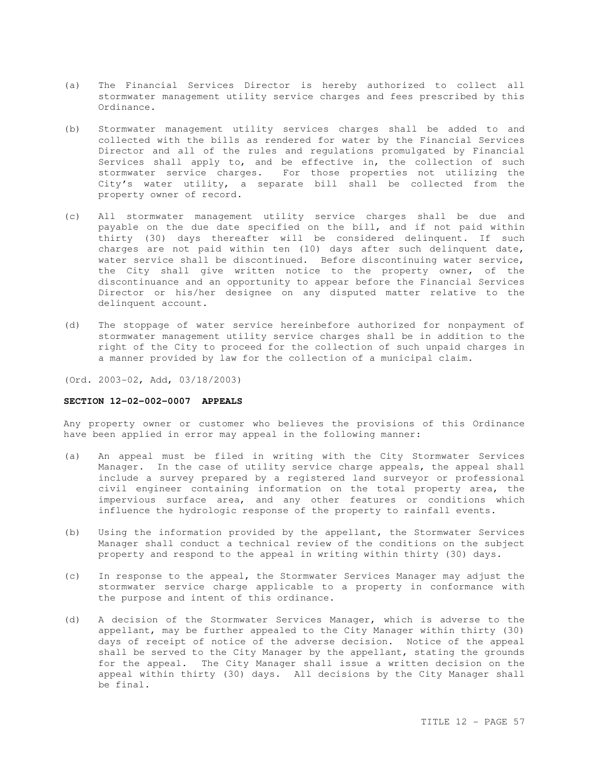- (a) The Financial Services Director is hereby authorized to collect all stormwater management utility service charges and fees prescribed by this Ordinance.
- (b) Stormwater management utility services charges shall be added to and collected with the bills as rendered for water by the Financial Services Director and all of the rules and regulations promulgated by Financial Services shall apply to, and be effective in, the collection of such stormwater service charges. For those properties not utilizing the City's water utility, a separate bill shall be collected from the property owner of record.
- (c) All stormwater management utility service charges shall be due and payable on the due date specified on the bill, and if not paid within thirty (30) days thereafter will be considered delinquent. If such charges are not paid within ten (10) days after such delinquent date, water service shall be discontinued. Before discontinuing water service, the City shall give written notice to the property owner, of the discontinuance and an opportunity to appear before the Financial Services Director or his/her designee on any disputed matter relative to the delinquent account.
- (d) The stoppage of water service hereinbefore authorized for nonpayment of stormwater management utility service charges shall be in addition to the right of the City to proceed for the collection of such unpaid charges in a manner provided by law for the collection of a municipal claim.

(Ord. 2003-02, Add, 03/18/2003)

#### **SECTION 12-02-002-0007 APPEALS**

Any property owner or customer who believes the provisions of this Ordinance have been applied in error may appeal in the following manner:

- (a) An appeal must be filed in writing with the City Stormwater Services Manager. In the case of utility service charge appeals, the appeal shall include a survey prepared by a registered land surveyor or professional civil engineer containing information on the total property area, the impervious surface area, and any other features or conditions which influence the hydrologic response of the property to rainfall events.
- (b) Using the information provided by the appellant, the Stormwater Services Manager shall conduct a technical review of the conditions on the subject property and respond to the appeal in writing within thirty (30) days.
- (c) In response to the appeal, the Stormwater Services Manager may adjust the stormwater service charge applicable to a property in conformance with the purpose and intent of this ordinance.
- (d) A decision of the Stormwater Services Manager, which is adverse to the appellant, may be further appealed to the City Manager within thirty (30) days of receipt of notice of the adverse decision. Notice of the appeal shall be served to the City Manager by the appellant, stating the grounds for the appeal. The City Manager shall issue a written decision on the appeal within thirty (30) days. All decisions by the City Manager shall be final.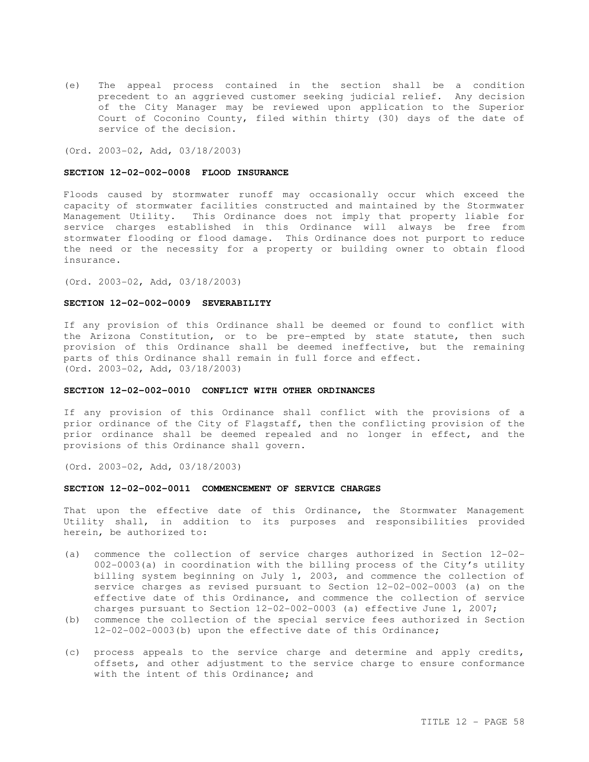(e) The appeal process contained in the section shall be a condition precedent to an aggrieved customer seeking judicial relief. Any decision of the City Manager may be reviewed upon application to the Superior Court of Coconino County, filed within thirty (30) days of the date of service of the decision.

(Ord. 2003-02, Add, 03/18/2003)

#### **SECTION 12-02-002-0008 FLOOD INSURANCE**

Floods caused by stormwater runoff may occasionally occur which exceed the capacity of stormwater facilities constructed and maintained by the Stormwater Management Utility. This Ordinance does not imply that property liable for service charges established in this Ordinance will always be free from stormwater flooding or flood damage. This Ordinance does not purport to reduce the need or the necessity for a property or building owner to obtain flood insurance.

(Ord. 2003-02, Add, 03/18/2003)

#### **SECTION 12-02-002-0009 SEVERABILITY**

If any provision of this Ordinance shall be deemed or found to conflict with the Arizona Constitution, or to be pre-empted by state statute, then such provision of this Ordinance shall be deemed ineffective, but the remaining parts of this Ordinance shall remain in full force and effect. (Ord. 2003-02, Add, 03/18/2003)

#### **SECTION 12-02-002-0010 CONFLICT WITH OTHER ORDINANCES**

If any provision of this Ordinance shall conflict with the provisions of a prior ordinance of the City of Flagstaff, then the conflicting provision of the prior ordinance shall be deemed repealed and no longer in effect, and the provisions of this Ordinance shall govern.

(Ord. 2003-02, Add, 03/18/2003)

#### **SECTION 12-02-002-0011 COMMENCEMENT OF SERVICE CHARGES**

That upon the effective date of this Ordinance, the Stormwater Management Utility shall, in addition to its purposes and responsibilities provided herein, be authorized to:

- (a) commence the collection of service charges authorized in Section 12-02- 002-0003(a) in coordination with the billing process of the City's utility billing system beginning on July 1, 2003, and commence the collection of service charges as revised pursuant to Section 12-02-002-0003 (a) on the effective date of this Ordinance, and commence the collection of service charges pursuant to Section 12-02-002-0003 (a) effective June 1, 2007;
- (b) commence the collection of the special service fees authorized in Section 12-02-002-0003(b) upon the effective date of this Ordinance;
- (c) process appeals to the service charge and determine and apply credits, offsets, and other adjustment to the service charge to ensure conformance with the intent of this Ordinance; and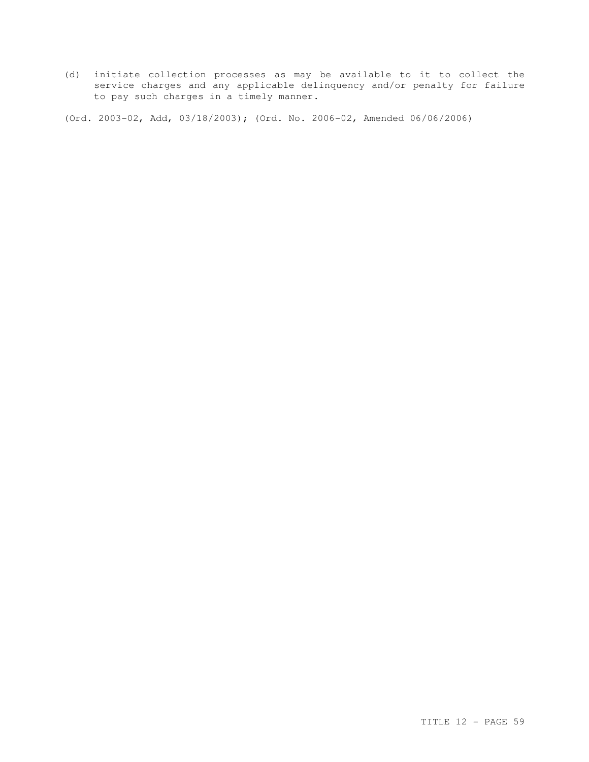(d) initiate collection processes as may be available to it to collect the service charges and any applicable delinquency and/or penalty for failure to pay such charges in a timely manner.

(Ord. 2003-02, Add, 03/18/2003); (Ord. No. 2006-02, Amended 06/06/2006)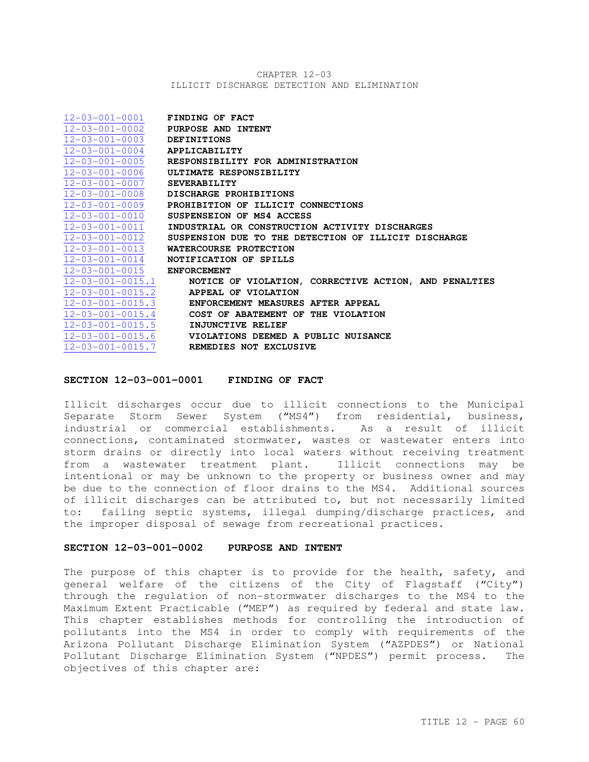## CHAPTER 12-03 ILLICIT DISCHARGE DETECTION AND ELIMINATION

| $12 - 03 - 001 - 0001$ FINDING OF FACT |                                                                          |
|----------------------------------------|--------------------------------------------------------------------------|
|                                        | $12-03-001-0002$ PURPOSE AND INTENT                                      |
| 12-03-001-0003 DEFINITIONS             |                                                                          |
| $12-03-001-0004$ APPLICABILITY         |                                                                          |
|                                        | 12-03-001-0005 RESPONSIBILITY FOR ADMINISTRATION                         |
|                                        | $12-03-001-0006$ ULTIMATE RESPONSIBILITY                                 |
| $12-03-001-0007$ SEVERABILITY          |                                                                          |
|                                        | 12-03-001-0008 DISCHARGE PROHIBITIONS                                    |
|                                        | $12-03-001-0009$ PROHIBITION OF ILLICIT CONNECTIONS                      |
|                                        | $12-03-001-0010$ SUSPENSEION OF MS4 ACCESS                               |
| $12 - 03 - 001 - 0011$                 | INDUSTRIAL OR CONSTRUCTION ACTIVITY DISCHARGES                           |
|                                        | $12-03-001-0012$ SUSPENSION DUE TO THE DETECTION OF ILLICIT DISCHARGE    |
|                                        | 12-03-001-0013 WATERCOURSE PROTECTION                                    |
|                                        | $12-03-001-0014$ NOTIFICATION OF SPILLS                                  |
| $12 - 03 - 001 - 0015$ ENFORCEMENT     |                                                                          |
|                                        | $12-03-001-0015.1$ NOTICE OF VIOLATION, CORRECTIVE ACTION, AND PENALTIES |
|                                        | $12-03-001-0015.2$ APPEAL OF VIOLATION                                   |
|                                        | $12-03-001-0015.3$ ENFORCEMENT MEASURES AFTER APPEAL                     |
|                                        | $12-03-001-0015.4$ COST OF ABATEMENT OF THE VIOLATION                    |
|                                        | 12-03-001-0015.5 <b>INJUNCTIVE RELIEF</b>                                |
|                                        | $12-03-001-0015.6$ VIOLATIONS DEEMED A PUBLIC NUISANCE                   |
|                                        | 12-03-001-0015.7 REMEDIES NOT EXCLUSIVE                                  |

### **SECTION 12-03-001-0001 FINDING OF FACT**

Illicit discharges occur due to illicit connections to the Municipal Separate Storm Sewer System ("MS4") from residential, business, industrial or commercial establishments. As a result of illicit connections, contaminated stormwater, wastes or wastewater enters into storm drains or directly into local waters without receiving treatment from a wastewater treatment plant. Illicit connections may be intentional or may be unknown to the property or business owner and may be due to the connection of floor drains to the MS4. Additional sources of illicit discharges can be attributed to, but not necessarily limited to: failing septic systems, illegal dumping/discharge practices, and the improper disposal of sewage from recreational practices.

## **SECTION 12-03-001-0002 PURPOSE AND INTENT**

The purpose of this chapter is to provide for the health, safety, and general welfare of the citizens of the City of Flagstaff ("City") through the regulation of non-stormwater discharges to the MS4 to the Maximum Extent Practicable ("MEP") as required by federal and state law. This chapter establishes methods for controlling the introduction of pollutants into the MS4 in order to comply with requirements of the Arizona Pollutant Discharge Elimination System ("AZPDES") or National Pollutant Discharge Elimination System ("NPDES") permit process. The objectives of this chapter are: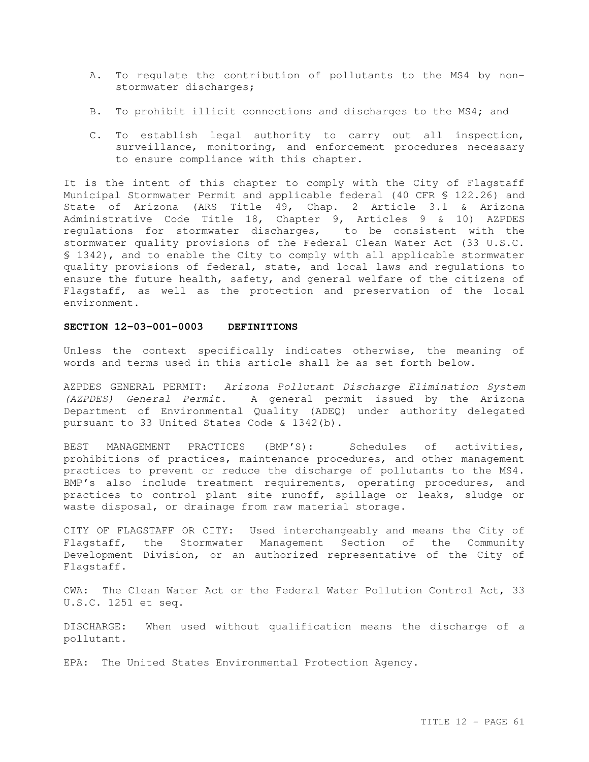- A. To regulate the contribution of pollutants to the MS4 by nonstormwater discharges;
- B. To prohibit illicit connections and discharges to the MS4; and
- C. To establish legal authority to carry out all inspection, surveillance, monitoring, and enforcement procedures necessary to ensure compliance with this chapter.

It is the intent of this chapter to comply with the City of Flagstaff Municipal Stormwater Permit and applicable federal (40 CFR § 122.26) and State of Arizona (ARS Title 49, Chap. 2 Article 3.1 & Arizona Administrative Code Title 18, Chapter 9, Articles 9 & 10) AZPDES regulations for stormwater discharges, to be consistent with the stormwater quality provisions of the Federal Clean Water Act (33 U.S.C. § 1342), and to enable the City to comply with all applicable stormwater quality provisions of federal, state, and local laws and regulations to ensure the future health, safety, and general welfare of the citizens of Flagstaff, as well as the protection and preservation of the local environment.

## **SECTION 12-03-001-0003 DEFINITIONS**

Unless the context specifically indicates otherwise, the meaning of words and terms used in this article shall be as set forth below.

AZPDES GENERAL PERMIT: Arizona Pollutant Discharge Elimination System (AZPDES) General Permit. A general permit issued by the Arizona Department of Environmental Quality (ADEQ) under authority delegated pursuant to 33 United States Code & 1342(b).

BEST MANAGEMENT PRACTICES (BMP'S): Schedules of activities, prohibitions of practices, maintenance procedures, and other management practices to prevent or reduce the discharge of pollutants to the MS4. BMP's also include treatment requirements, operating procedures, and practices to control plant site runoff, spillage or leaks, sludge or waste disposal, or drainage from raw material storage.

CITY OF FLAGSTAFF OR CITY: Used interchangeably and means the City of Flagstaff, the Stormwater Management Section of the Community Development Division, or an authorized representative of the City of Flagstaff.

CWA: The Clean Water Act or the Federal Water Pollution Control Act, 33 U.S.C. 1251 et seq.

DISCHARGE: When used without qualification means the discharge of a pollutant.

EPA: The United States Environmental Protection Agency.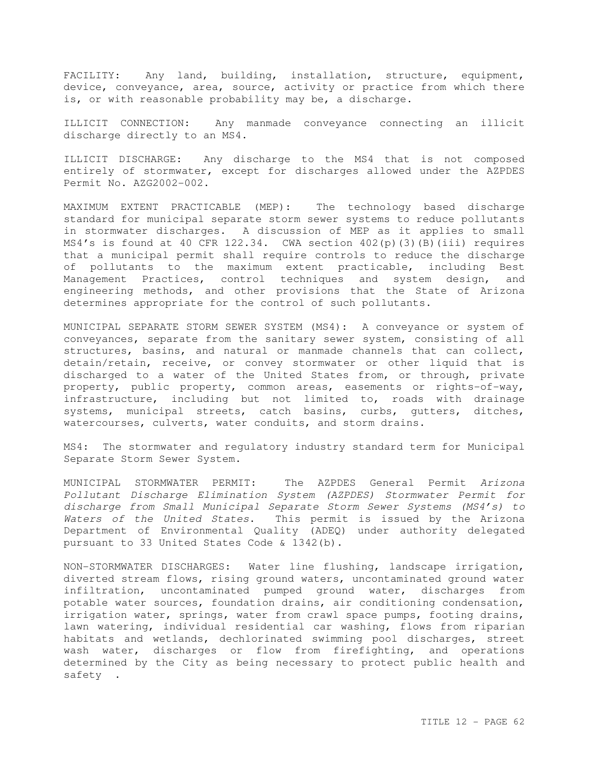FACILITY: Any land, building, installation, structure, equipment, device, conveyance, area, source, activity or practice from which there is, or with reasonable probability may be, a discharge.

ILLICIT CONNECTION: Any manmade conveyance connecting an illicit discharge directly to an MS4.

ILLICIT DISCHARGE: Any discharge to the MS4 that is not composed entirely of stormwater, except for discharges allowed under the AZPDES Permit No. AZG2002-002.

MAXIMUM EXTENT PRACTICABLE (MEP): The technology based discharge standard for municipal separate storm sewer systems to reduce pollutants in stormwater discharges. A discussion of MEP as it applies to small MS4's is found at 40 CFR 122.34. CWA section  $402(p)(3)(B)(iii)$  requires that a municipal permit shall require controls to reduce the discharge of pollutants to the maximum extent practicable, including Best Management Practices, control techniques and system design, and engineering methods, and other provisions that the State of Arizona determines appropriate for the control of such pollutants.

MUNICIPAL SEPARATE STORM SEWER SYSTEM (MS4): A conveyance or system of conveyances, separate from the sanitary sewer system, consisting of all structures, basins, and natural or manmade channels that can collect, detain/retain, receive, or convey stormwater or other liquid that is discharged to a water of the United States from, or through, private property, public property, common areas, easements or rights-of-way, infrastructure, including but not limited to, roads with drainage systems, municipal streets, catch basins, curbs, gutters, ditches, watercourses, culverts, water conduits, and storm drains.

MS4: The stormwater and regulatory industry standard term for Municipal Separate Storm Sewer System.

MUNICIPAL STORMWATER PERMIT: The AZPDES General Permit Arizona Pollutant Discharge Elimination System (AZPDES) Stormwater Permit for discharge from Small Municipal Separate Storm Sewer Systems (MS4's) to Waters of the United States. This permit is issued by the Arizona Department of Environmental Quality (ADEQ) under authority delegated pursuant to 33 United States Code & 1342(b).

NON-STORMWATER DISCHARGES: Water line flushing, landscape irrigation, diverted stream flows, rising ground waters, uncontaminated ground water infiltration, uncontaminated pumped ground water, discharges from potable water sources, foundation drains, air conditioning condensation, irrigation water, springs, water from crawl space pumps, footing drains, lawn watering, individual residential car washing, flows from riparian habitats and wetlands, dechlorinated swimming pool discharges, street wash water, discharges or flow from firefighting, and operations determined by the City as being necessary to protect public health and safety .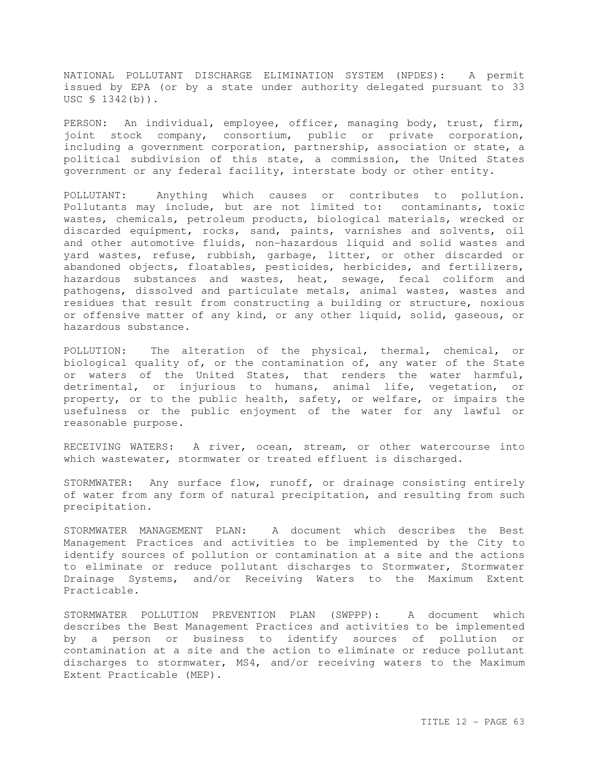NATIONAL POLLUTANT DISCHARGE ELIMINATION SYSTEM (NPDES): A permit issued by EPA (or by a state under authority delegated pursuant to 33 USC § 1342(b)).

PERSON: An individual, employee, officer, managing body, trust, firm, joint stock company, consortium, public or private corporation, including a government corporation, partnership, association or state, a political subdivision of this state, a commission, the United States government or any federal facility, interstate body or other entity.

POLLUTANT: Anything which causes or contributes to pollution. Pollutants may include, but are not limited to: contaminants, toxic wastes, chemicals, petroleum products, biological materials, wrecked or discarded equipment, rocks, sand, paints, varnishes and solvents, oil and other automotive fluids, non-hazardous liquid and solid wastes and yard wastes, refuse, rubbish, garbage, litter, or other discarded or abandoned objects, floatables, pesticides, herbicides, and fertilizers, hazardous substances and wastes, heat, sewage, fecal coliform and pathogens, dissolved and particulate metals, animal wastes, wastes and residues that result from constructing a building or structure, noxious or offensive matter of any kind, or any other liquid, solid, gaseous, or hazardous substance.

POLLUTION: The alteration of the physical, thermal, chemical, or biological quality of, or the contamination of, any water of the State or waters of the United States, that renders the water harmful, detrimental, or injurious to humans, animal life, vegetation, or property, or to the public health, safety, or welfare, or impairs the usefulness or the public enjoyment of the water for any lawful or reasonable purpose.

RECEIVING WATERS: A river, ocean, stream, or other watercourse into which wastewater, stormwater or treated effluent is discharged.

STORMWATER: Any surface flow, runoff, or drainage consisting entirely of water from any form of natural precipitation, and resulting from such precipitation.

STORMWATER MANAGEMENT PLAN: A document which describes the Best Management Practices and activities to be implemented by the City to identify sources of pollution or contamination at a site and the actions to eliminate or reduce pollutant discharges to Stormwater, Stormwater Drainage Systems, and/or Receiving Waters to the Maximum Extent Practicable.

STORMWATER POLLUTION PREVENTION PLAN (SWPPP): A document which describes the Best Management Practices and activities to be implemented by a person or business to identify sources of pollution or contamination at a site and the action to eliminate or reduce pollutant discharges to stormwater, MS4, and/or receiving waters to the Maximum Extent Practicable (MEP).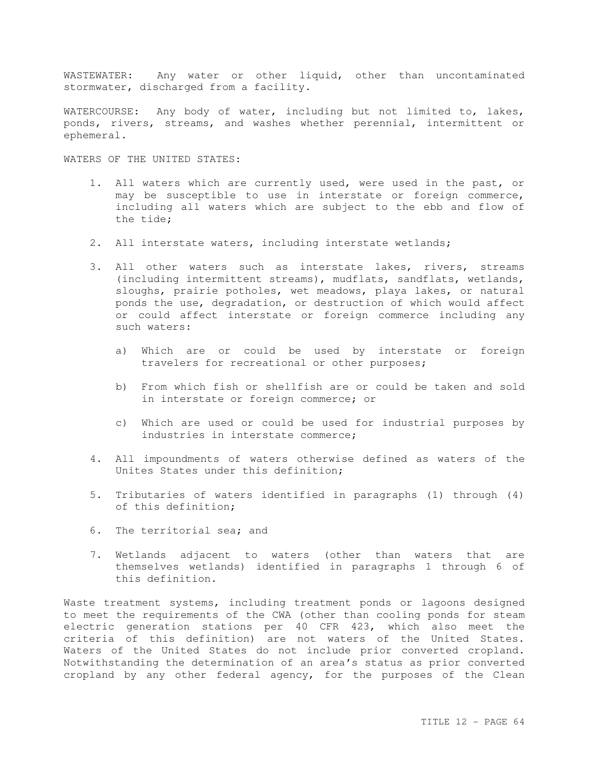WASTEWATER: Any water or other liquid, other than uncontaminated stormwater, discharged from a facility.

WATERCOURSE: Any body of water, including but not limited to, lakes, ponds, rivers, streams, and washes whether perennial, intermittent or ephemeral.

WATERS OF THE UNITED STATES:

- 1. All waters which are currently used, were used in the past, or may be susceptible to use in interstate or foreign commerce, including all waters which are subject to the ebb and flow of the tide;
- 2. All interstate waters, including interstate wetlands;
- 3. All other waters such as interstate lakes, rivers, streams (including intermittent streams), mudflats, sandflats, wetlands, sloughs, prairie potholes, wet meadows, playa lakes, or natural ponds the use, degradation, or destruction of which would affect or could affect interstate or foreign commerce including any such waters:
	- a) Which are or could be used by interstate or foreign travelers for recreational or other purposes;
	- b) From which fish or shellfish are or could be taken and sold in interstate or foreign commerce; or
	- c) Which are used or could be used for industrial purposes by industries in interstate commerce;
- 4. All impoundments of waters otherwise defined as waters of the Unites States under this definition;
- 5. Tributaries of waters identified in paragraphs (1) through (4) of this definition;
- 6. The territorial sea; and
- 7. Wetlands adjacent to waters (other than waters that are themselves wetlands) identified in paragraphs 1 through 6 of this definition.

Waste treatment systems, including treatment ponds or lagoons designed to meet the requirements of the CWA (other than cooling ponds for steam electric generation stations per 40 CFR 423, which also meet the criteria of this definition) are not waters of the United States. Waters of the United States do not include prior converted cropland. Notwithstanding the determination of an area's status as prior converted cropland by any other federal agency, for the purposes of the Clean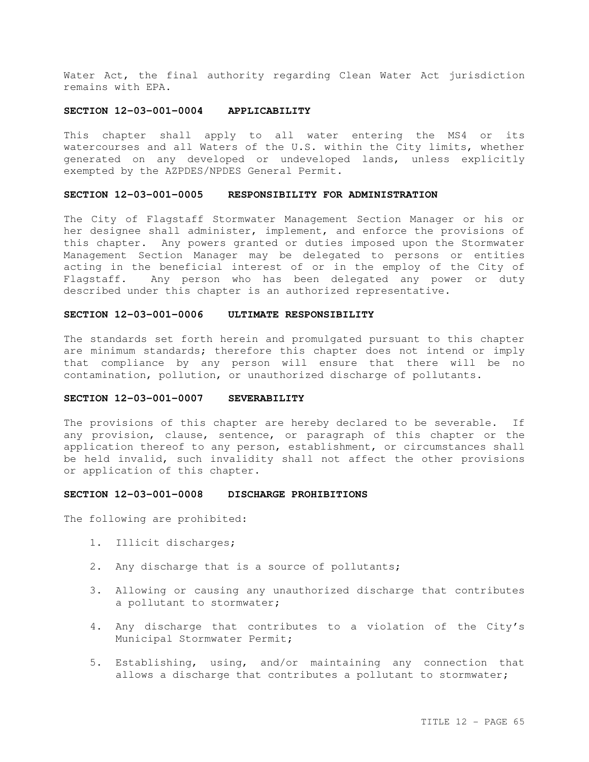Water Act, the final authority regarding Clean Water Act jurisdiction remains with EPA.

## **SECTION 12-03-001-0004 APPLICABILITY**

This chapter shall apply to all water entering the MS4 or its watercourses and all Waters of the U.S. within the City limits, whether generated on any developed or undeveloped lands, unless explicitly exempted by the AZPDES/NPDES General Permit.

## **SECTION 12-03-001-0005 RESPONSIBILITY FOR ADMINISTRATION**

The City of Flagstaff Stormwater Management Section Manager or his or her designee shall administer, implement, and enforce the provisions of this chapter. Any powers granted or duties imposed upon the Stormwater Management Section Manager may be delegated to persons or entities acting in the beneficial interest of or in the employ of the City of Flagstaff. Any person who has been delegated any power or duty described under this chapter is an authorized representative.

## **SECTION 12-03-001-0006 ULTIMATE RESPONSIBILITY**

The standards set forth herein and promulgated pursuant to this chapter are minimum standards; therefore this chapter does not intend or imply that compliance by any person will ensure that there will be no contamination, pollution, or unauthorized discharge of pollutants.

### **SECTION 12-03-001-0007 SEVERABILITY**

The provisions of this chapter are hereby declared to be severable. If any provision, clause, sentence, or paragraph of this chapter or the application thereof to any person, establishment, or circumstances shall be held invalid, such invalidity shall not affect the other provisions or application of this chapter.

### **SECTION 12-03-001-0008 DISCHARGE PROHIBITIONS**

The following are prohibited:

- 1. Illicit discharges;
- 2. Any discharge that is a source of pollutants;
- 3. Allowing or causing any unauthorized discharge that contributes a pollutant to stormwater;
- 4. Any discharge that contributes to a violation of the City's Municipal Stormwater Permit;
- 5. Establishing, using, and/or maintaining any connection that allows a discharge that contributes a pollutant to stormwater;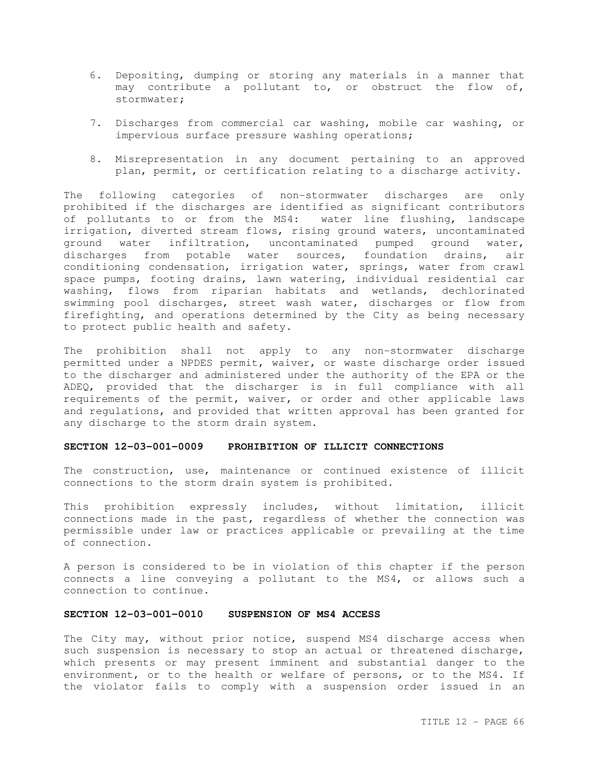- 6. Depositing, dumping or storing any materials in a manner that may contribute a pollutant to, or obstruct the flow of, stormwater;
- 7. Discharges from commercial car washing, mobile car washing, or impervious surface pressure washing operations;
- 8. Misrepresentation in any document pertaining to an approved plan, permit, or certification relating to a discharge activity.

The following categories of non-stormwater discharges are only prohibited if the discharges are identified as significant contributors of pollutants to or from the MS4: water line flushing, landscape irrigation, diverted stream flows, rising ground waters, uncontaminated ground water infiltration, uncontaminated pumped ground water, discharges from potable water sources, foundation drains, air conditioning condensation, irrigation water, springs, water from crawl space pumps, footing drains, lawn watering, individual residential car washing, flows from riparian habitats and wetlands, dechlorinated swimming pool discharges, street wash water, discharges or flow from firefighting, and operations determined by the City as being necessary to protect public health and safety.

The prohibition shall not apply to any non-stormwater discharge permitted under a NPDES permit, waiver, or waste discharge order issued to the discharger and administered under the authority of the EPA or the ADEQ, provided that the discharger is in full compliance with all requirements of the permit, waiver, or order and other applicable laws and regulations, and provided that written approval has been granted for any discharge to the storm drain system.

## **SECTION 12-03-001-0009 PROHIBITION OF ILLICIT CONNECTIONS**

The construction, use, maintenance or continued existence of illicit connections to the storm drain system is prohibited.

This prohibition expressly includes, without limitation, illicit connections made in the past, regardless of whether the connection was permissible under law or practices applicable or prevailing at the time of connection.

A person is considered to be in violation of this chapter if the person connects a line conveying a pollutant to the MS4, or allows such a connection to continue.

## **SECTION 12-03-001-0010 SUSPENSION OF MS4 ACCESS**

The City may, without prior notice, suspend MS4 discharge access when such suspension is necessary to stop an actual or threatened discharge, which presents or may present imminent and substantial danger to the environment, or to the health or welfare of persons, or to the MS4. If the violator fails to comply with a suspension order issued in an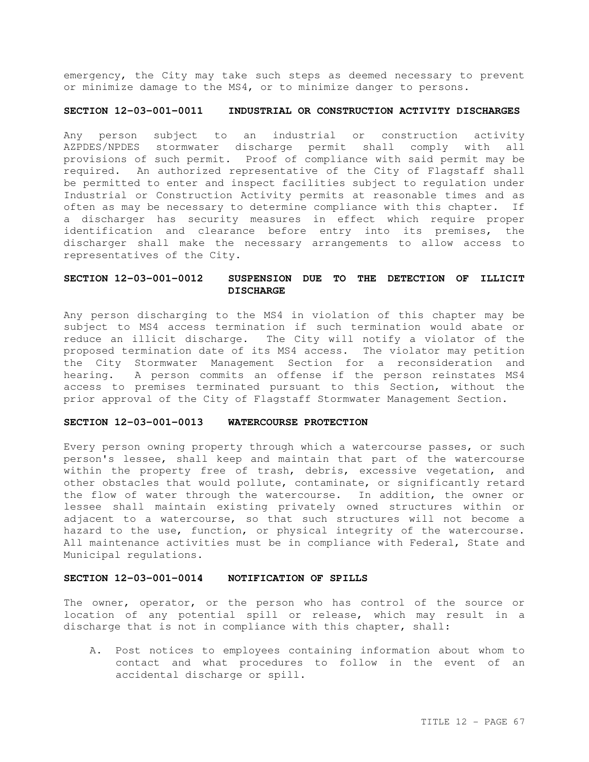emergency, the City may take such steps as deemed necessary to prevent or minimize damage to the MS4, or to minimize danger to persons.

# **SECTION 12-03-001-0011 INDUSTRIAL OR CONSTRUCTION ACTIVITY DISCHARGES**

Any person subject to an industrial or construction activity AZPDES/NPDES stormwater discharge permit shall comply with all provisions of such permit. Proof of compliance with said permit may be required. An authorized representative of the City of Flagstaff shall be permitted to enter and inspect facilities subject to regulation under Industrial or Construction Activity permits at reasonable times and as often as may be necessary to determine compliance with this chapter. If a discharger has security measures in effect which require proper identification and clearance before entry into its premises, the discharger shall make the necessary arrangements to allow access to representatives of the City.

# **SECTION 12-03-001-0012 SUSPENSION DUE TO THE DETECTION OF ILLICIT DISCHARGE**

Any person discharging to the MS4 in violation of this chapter may be subject to MS4 access termination if such termination would abate or reduce an illicit discharge. The City will notify a violator of the proposed termination date of its MS4 access. The violator may petition the City Stormwater Management Section for a reconsideration and hearing. A person commits an offense if the person reinstates MS4 access to premises terminated pursuant to this Section, without the prior approval of the City of Flagstaff Stormwater Management Section.

## **SECTION 12-03-001-0013 WATERCOURSE PROTECTION**

Every person owning property through which a watercourse passes, or such person's lessee, shall keep and maintain that part of the watercourse within the property free of trash, debris, excessive vegetation, and other obstacles that would pollute, contaminate, or significantly retard the flow of water through the watercourse. In addition, the owner or lessee shall maintain existing privately owned structures within or adjacent to a watercourse, so that such structures will not become a hazard to the use, function, or physical integrity of the watercourse. All maintenance activities must be in compliance with Federal, State and Municipal regulations.

### **SECTION 12-03-001-0014 NOTIFICATION OF SPILLS**

The owner, operator, or the person who has control of the source or location of any potential spill or release, which may result in a discharge that is not in compliance with this chapter, shall:

A. Post notices to employees containing information about whom to contact and what procedures to follow in the event of an accidental discharge or spill.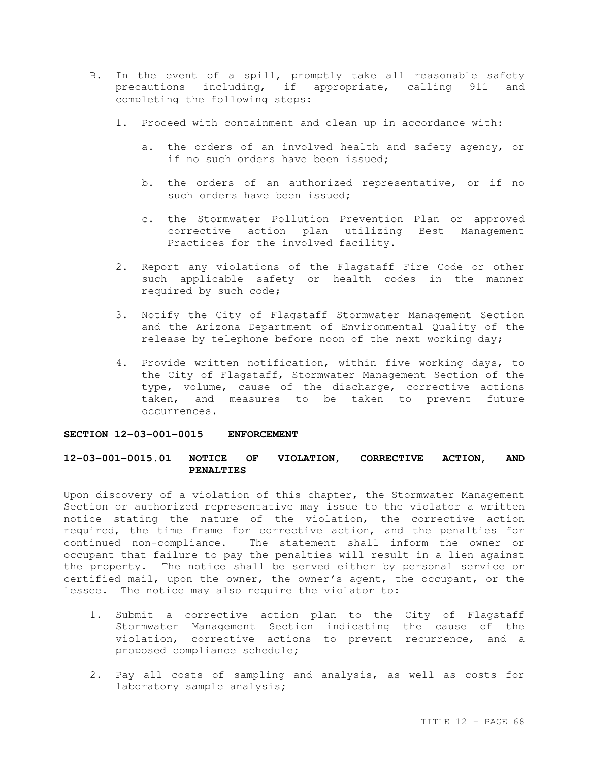- B. In the event of a spill, promptly take all reasonable safety precautions including, if appropriate, calling 911 and completing the following steps:
	- 1. Proceed with containment and clean up in accordance with:
		- a. the orders of an involved health and safety agency, or if no such orders have been issued;
		- b. the orders of an authorized representative, or if no such orders have been issued;
		- c. the Stormwater Pollution Prevention Plan or approved corrective action plan utilizing Best Management Practices for the involved facility.
	- 2. Report any violations of the Flagstaff Fire Code or other such applicable safety or health codes in the manner required by such code;
	- 3. Notify the City of Flagstaff Stormwater Management Section and the Arizona Department of Environmental Quality of the release by telephone before noon of the next working day;
	- 4. Provide written notification, within five working days, to the City of Flagstaff, Stormwater Management Section of the type, volume, cause of the discharge, corrective actions taken, and measures to be taken to prevent future occurrences.

## **SECTION 12-03-001-0015 ENFORCEMENT**

# **12-03-001-0015.01 NOTICE OF VIOLATION, CORRECTIVE ACTION, AND PENALTIES**

Upon discovery of a violation of this chapter, the Stormwater Management Section or authorized representative may issue to the violator a written notice stating the nature of the violation, the corrective action required, the time frame for corrective action, and the penalties for continued non-compliance. The statement shall inform the owner or occupant that failure to pay the penalties will result in a lien against the property. The notice shall be served either by personal service or certified mail, upon the owner, the owner's agent, the occupant, or the lessee. The notice may also require the violator to:

- 1. Submit a corrective action plan to the City of Flagstaff Stormwater Management Section indicating the cause of the violation, corrective actions to prevent recurrence, and a proposed compliance schedule;
- 2. Pay all costs of sampling and analysis, as well as costs for laboratory sample analysis;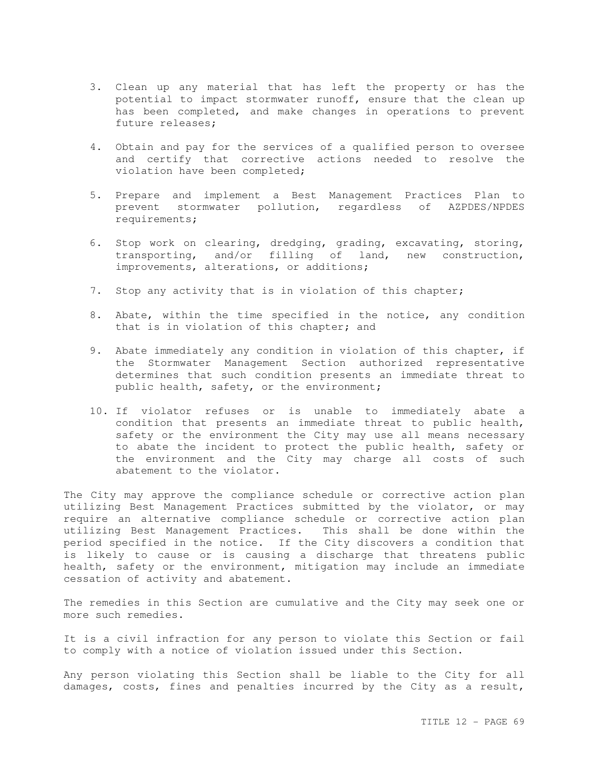- 3. Clean up any material that has left the property or has the potential to impact stormwater runoff, ensure that the clean up has been completed, and make changes in operations to prevent future releases;
- 4. Obtain and pay for the services of a qualified person to oversee and certify that corrective actions needed to resolve the violation have been completed;
- 5. Prepare and implement a Best Management Practices Plan to prevent stormwater pollution, regardless of AZPDES/NPDES requirements;
- 6. Stop work on clearing, dredging, grading, excavating, storing, transporting, and/or filling of land, new construction, improvements, alterations, or additions;
- 7. Stop any activity that is in violation of this chapter;
- 8. Abate, within the time specified in the notice, any condition that is in violation of this chapter; and
- 9. Abate immediately any condition in violation of this chapter, if the Stormwater Management Section authorized representative determines that such condition presents an immediate threat to public health, safety, or the environment;
- 10. If violator refuses or is unable to immediately abate a condition that presents an immediate threat to public health, safety or the environment the City may use all means necessary to abate the incident to protect the public health, safety or the environment and the City may charge all costs of such abatement to the violator.

The City may approve the compliance schedule or corrective action plan utilizing Best Management Practices submitted by the violator, or may require an alternative compliance schedule or corrective action plan utilizing Best Management Practices. This shall be done within the period specified in the notice. If the City discovers a condition that is likely to cause or is causing a discharge that threatens public health, safety or the environment, mitigation may include an immediate cessation of activity and abatement.

The remedies in this Section are cumulative and the City may seek one or more such remedies.

It is a civil infraction for any person to violate this Section or fail to comply with a notice of violation issued under this Section.

Any person violating this Section shall be liable to the City for all damages, costs, fines and penalties incurred by the City as a result,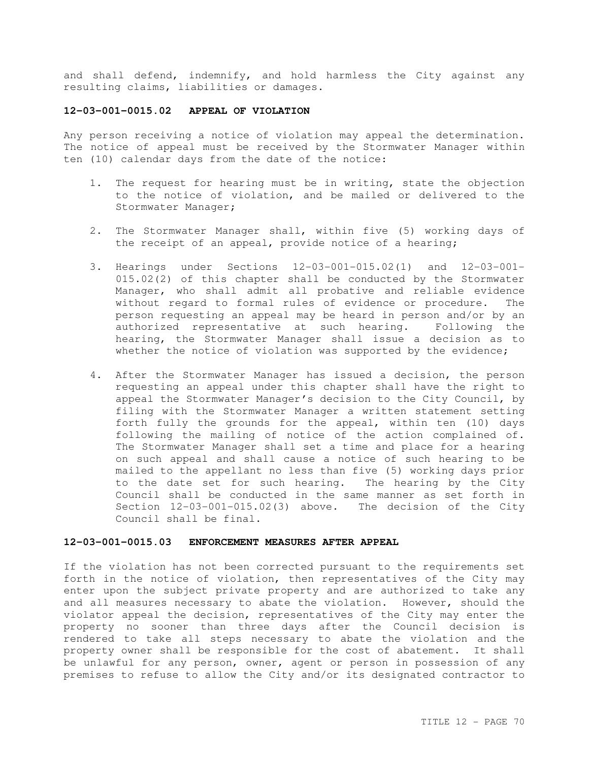and shall defend, indemnify, and hold harmless the City against any resulting claims, liabilities or damages.

# **12-03-001-0015.02 APPEAL OF VIOLATION**

Any person receiving a notice of violation may appeal the determination. The notice of appeal must be received by the Stormwater Manager within ten (10) calendar days from the date of the notice:

- 1. The request for hearing must be in writing, state the objection to the notice of violation, and be mailed or delivered to the Stormwater Manager;
- 2. The Stormwater Manager shall, within five (5) working days of the receipt of an appeal, provide notice of a hearing;
- 3. Hearings under Sections 12-03-001-015.02(1) and 12-03-001- 015.02(2) of this chapter shall be conducted by the Stormwater Manager, who shall admit all probative and reliable evidence without regard to formal rules of evidence or procedure. The person requesting an appeal may be heard in person and/or by an authorized representative at such hearing. Following the hearing, the Stormwater Manager shall issue a decision as to whether the notice of violation was supported by the evidence;
- 4. After the Stormwater Manager has issued a decision, the person requesting an appeal under this chapter shall have the right to appeal the Stormwater Manager's decision to the City Council, by filing with the Stormwater Manager a written statement setting forth fully the grounds for the appeal, within ten (10) days following the mailing of notice of the action complained of. The Stormwater Manager shall set a time and place for a hearing on such appeal and shall cause a notice of such hearing to be mailed to the appellant no less than five (5) working days prior to the date set for such hearing. The hearing by the City Council shall be conducted in the same manner as set forth in Section 12-03-001-015.02(3) above. The decision of the City Council shall be final.

### **12-03-001-0015.03 ENFORCEMENT MEASURES AFTER APPEAL**

If the violation has not been corrected pursuant to the requirements set forth in the notice of violation, then representatives of the City may enter upon the subject private property and are authorized to take any and all measures necessary to abate the violation. However, should the violator appeal the decision, representatives of the City may enter the property no sooner than three days after the Council decision is rendered to take all steps necessary to abate the violation and the property owner shall be responsible for the cost of abatement. It shall be unlawful for any person, owner, agent or person in possession of any premises to refuse to allow the City and/or its designated contractor to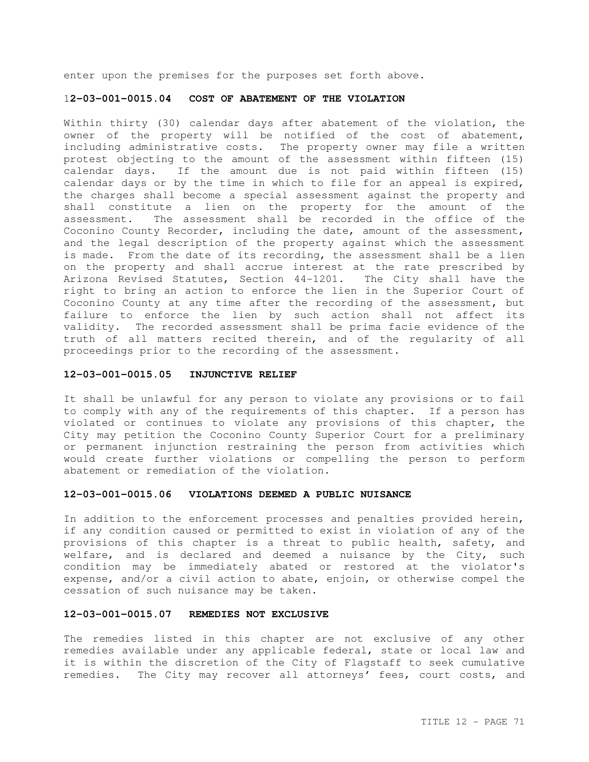enter upon the premises for the purposes set forth above.

## 1**2-03-001-0015.04 COST OF ABATEMENT OF THE VIOLATION**

Within thirty (30) calendar days after abatement of the violation, the owner of the property will be notified of the cost of abatement, including administrative costs. The property owner may file a written protest objecting to the amount of the assessment within fifteen (15) calendar days. If the amount due is not paid within fifteen (15) calendar days or by the time in which to file for an appeal is expired, the charges shall become a special assessment against the property and shall constitute a lien on the property for the amount of the assessment. The assessment shall be recorded in the office of the Coconino County Recorder, including the date, amount of the assessment, and the legal description of the property against which the assessment is made. From the date of its recording, the assessment shall be a lien on the property and shall accrue interest at the rate prescribed by Arizona Revised Statutes, Section 44-1201. The City shall have the right to bring an action to enforce the lien in the Superior Court of Coconino County at any time after the recording of the assessment, but failure to enforce the lien by such action shall not affect its validity. The recorded assessment shall be prima facie evidence of the truth of all matters recited therein, and of the regularity of all proceedings prior to the recording of the assessment.

### **12-03-001-0015.05 INJUNCTIVE RELIEF**

It shall be unlawful for any person to violate any provisions or to fail to comply with any of the requirements of this chapter. If a person has violated or continues to violate any provisions of this chapter, the City may petition the Coconino County Superior Court for a preliminary or permanent injunction restraining the person from activities which would create further violations or compelling the person to perform abatement or remediation of the violation.

## **12-03-001-0015.06 VIOLATIONS DEEMED A PUBLIC NUISANCE**

In addition to the enforcement processes and penalties provided herein, if any condition caused or permitted to exist in violation of any of the provisions of this chapter is a threat to public health, safety, and welfare, and is declared and deemed a nuisance by the City, such condition may be immediately abated or restored at the violator's expense, and/or a civil action to abate, enjoin, or otherwise compel the cessation of such nuisance may be taken.

### **12-03-001-0015.07 REMEDIES NOT EXCLUSIVE**

The remedies listed in this chapter are not exclusive of any other remedies available under any applicable federal, state or local law and it is within the discretion of the City of Flagstaff to seek cumulative remedies. The City may recover all attorneys' fees, court costs, and